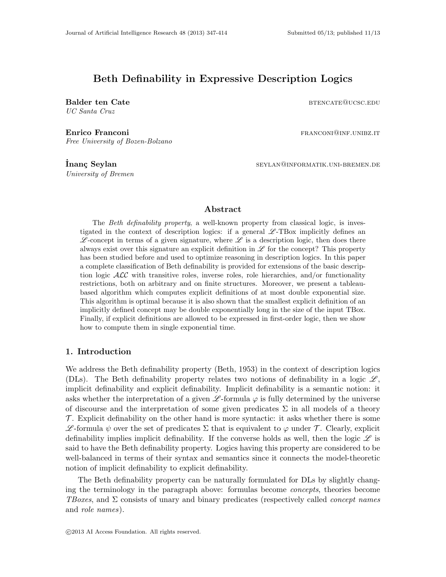# Beth Definability in Expressive Description Logics

UC Santa Cruz

Balder ten Cate btencate btencate between the set of the BTENCATE @ucsc.edu

Enrico Franconi **franconi** franconi and the settlement of the settlement of the settlement of the settlement of the settlement of the settlement of the settlement of the settlement of the settlement of the settlement of th Free University of Bozen-Bolzano

University of Bremen

**İnanç Seylan** seylan seylan seylan seylan seylan seylan seylan seylan seylan seylan seylan seylan se

## Abstract

The Beth definability property, a well-known property from classical logic, is investigated in the context of description logics: if a general  $\mathscr{L}\text{-}\text{TBox}$  implicitly defines an  $\mathscr{L}$ -concept in terms of a given signature, where  $\mathscr{L}$  is a description logic, then does there always exist over this signature an explicit definition in  $\mathscr L$  for the concept? This property has been studied before and used to optimize reasoning in description logics. In this paper a complete classification of Beth definability is provided for extensions of the basic description logic  $\mathcal{ALC}$  with transitive roles, inverse roles, role hierarchies, and/or functionality restrictions, both on arbitrary and on finite structures. Moreover, we present a tableaubased algorithm which computes explicit definitions of at most double exponential size. This algorithm is optimal because it is also shown that the smallest explicit definition of an implicitly defined concept may be double exponentially long in the size of the input TBox. Finally, if explicit definitions are allowed to be expressed in first-order logic, then we show how to compute them in single exponential time.

# 1. Introduction

We address the Beth definability property (Beth, 1953) in the context of description logics (DLs). The Beth definability property relates two notions of definability in a logic  $\mathscr{L},$ implicit definability and explicit definability. Implicit definability is a semantic notion: it asks whether the interpretation of a given  $\mathscr L$ -formula  $\varphi$  is fully determined by the universe of discourse and the interpretation of some given predicates  $\Sigma$  in all models of a theory  $\mathcal T$ . Explicit definability on the other hand is more syntactic: it asks whether there is some L -formula ψ over the set of predicates Σ that is equivalent to  $\varphi$  under T. Clearly, explicit definability implies implicit definability. If the converse holds as well, then the logic  $\mathscr L$  is said to have the Beth definability property. Logics having this property are considered to be well-balanced in terms of their syntax and semantics since it connects the model-theoretic notion of implicit definability to explicit definability.

The Beth definability property can be naturally formulated for DLs by slightly changing the terminology in the paragraph above: formulas become concepts, theories become TBoxes, and  $\Sigma$  consists of unary and binary predicates (respectively called *concept names* and role names).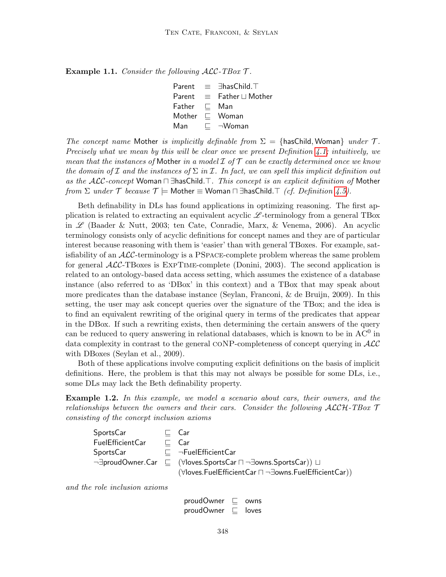**Example 1.1.** Consider the following  $\mathcal{ALC}\text{-}TBox \mathcal{T}$ .

Parent ≡ ∃hasChild.<sup>T</sup> Parent  $\equiv$  Father  $\sqcup$  Mother Father  $\sqsubseteq$  Man Mother  $\sqsubset$  Woman Man  $\sqsubset \neg W$ oman

The concept name Mother is implicitly definable from  $\Sigma = \{\text{hasChild}, \text{Woman}\}\$  under T. Precisely what we mean by this will be clear once we present Definition [4.1;](#page-31-0) intuitively, we mean that the instances of Mother in a model  $\mathcal I$  of  $\mathcal T$  can be exactly determined once we know the domain of  $\mathcal I$  and the instances of  $\Sigma$  in  $\mathcal I$ . In fact, we can spell this implicit definition out as the  $\mathcal{ALC}\text{-}concept$  Woman  $\Box$   $\exists$  has Child. $\top$ . This concept is an explicit definition of Mother from  $\Sigma$  under  $\mathcal T$  because  $\mathcal T \models$  Mother  $\equiv$  Woman  $\sqcap$  ∃hasChild. $\top$  (cf. Definition [4.5\)](#page-32-0).

Beth definability in DLs has found applications in optimizing reasoning. The first application is related to extracting an equivalent acyclic  $\mathscr{L}$ -terminology from a general TBox in  $\mathscr L$  (Baader & Nutt, 2003; ten Cate, Conradie, Marx, & Venema, 2006). An acyclic terminology consists only of acyclic definitions for concept names and they are of particular interest because reasoning with them is 'easier' than with general TBoxes. For example, satisfiability of an  $\mathcal{ALC}$ -terminology is a PSPACE-complete problem whereas the same problem for general  $\text{ALC-TBoxes}$  is  $\text{EXPTIME-complete}$  (Donini, 2003). The second application is related to an ontology-based data access setting, which assumes the existence of a database instance (also referred to as 'DBox' in this context) and a TBox that may speak about more predicates than the database instance (Seylan, Franconi, & de Bruijn, 2009). In this setting, the user may ask concept queries over the signature of the TBox; and the idea is to find an equivalent rewriting of the original query in terms of the predicates that appear in the DBox. If such a rewriting exists, then determining the certain answers of the query can be reduced to query answering in relational databases, which is known to be in  $AC^0$  in data complexity in contrast to the general CONP-completeness of concept querying in  $\mathcal{ALC}$ with DBoxes (Seylan et al., 2009).

Both of these applications involve computing explicit definitions on the basis of implicit definitions. Here, the problem is that this may not always be possible for some DLs, i.e., some DLs may lack the Beth definability property.

<span id="page-1-0"></span>**Example 1.2.** In this example, we model a scenario about cars, their owners, and the relationships between the owners and their cars. Consider the following  $\mathcal{ALCH}\text{-}\mathbf{TBox}$   $\mathcal{T}$ consisting of the concept inclusion axioms

```
SportsCar \sqsubseteq Car
FuelEfficientCar \sqsubseteq Car
SportsCar \quad \sqsubseteq \quad \neg \mathsf{FuelEfficientCar}¬∃proudOwner.Car \sqsubseteq (∀loves.SportsCar \sqcap¬∃owns.SportsCar)) \sqcup(∀loves.FuelEfficientCar n ¬∃owns.FuelEfficientCar))
```
and the role inclusion axioms

proudOwner  $\sqsubseteq$  owns proudOwner  $\Box$  loves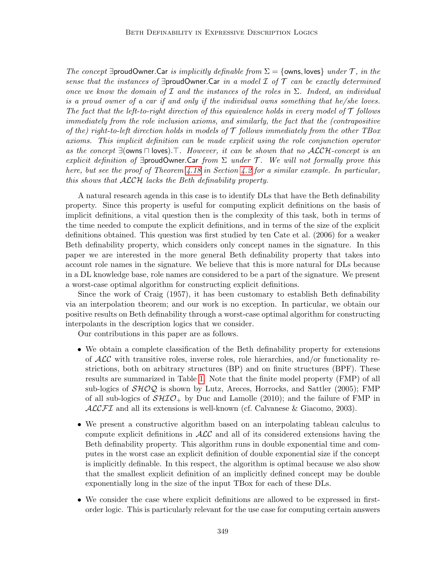The concept  $\exists$ proudOwner.Car is implicitly definable from  $\Sigma = \{\text{owns}, \text{loves}\}\$ under  $\mathcal T$ , in the sense that the instances of  $\exists$ proudOwner.Car in a model  $\mathcal I$  of  $\mathcal T$  can be exactly determined once we know the domain of  $\mathcal I$  and the instances of the roles in  $\Sigma$ . Indeed, an individual is a proud owner of a car if and only if the individual owns something that he/she loves. The fact that the left-to-right direction of this equivalence holds in every model of  $\mathcal T$  follows immediately from the role inclusion axioms, and similarly, the fact that the (contrapositive of the) right-to-left direction holds in models of  $\mathcal T$  follows immediately from the other TBox axioms. This implicit definition can be made explicit using the role conjunction operator as the concept  $\exists$ (owns  $\sqcap$  loves). T. However, it can be shown that no ALCH-concept is an explicit definition of  $\exists$ proudOwner.Car from  $\Sigma$  under T. We will not formally prove this here, but see the proof of Theorem [4.18](#page-38-0) in Section [4.2](#page-38-1) for a similar example. In particular, this shows that ALCH lacks the Beth definability property.

A natural research agenda in this case is to identify DLs that have the Beth definability property. Since this property is useful for computing explicit definitions on the basis of implicit definitions, a vital question then is the complexity of this task, both in terms of the time needed to compute the explicit definitions, and in terms of the size of the explicit definitions obtained. This question was first studied by ten Cate et al. (2006) for a weaker Beth definability property, which considers only concept names in the signature. In this paper we are interested in the more general Beth definability property that takes into account role names in the signature. We believe that this is more natural for DLs because in a DL knowledge base, role names are considered to be a part of the signature. We present a worst-case optimal algorithm for constructing explicit definitions.

Since the work of Craig (1957), it has been customary to establish Beth definability via an interpolation theorem; and our work is no exception. In particular, we obtain our positive results on Beth definability through a worst-case optimal algorithm for constructing interpolants in the description logics that we consider.

Our contributions in this paper are as follows.

- We obtain a complete classification of the Beth definability property for extensions of  $\mathcal{ALC}$  with transitive roles, inverse roles, role hierarchies, and/or functionality restrictions, both on arbitrary structures (BP) and on finite structures (BPF). These results are summarized in Table [1.](#page-1-0) Note that the finite model property (FMP) of all sub-logics of  $\mathcal{SHOQ}$  is shown by Lutz, Areces, Horrocks, and Sattler (2005); FMP of all sub-logics of  $\mathcal{SHIO}_{+}$  by Duc and Lamolle (2010); and the failure of FMP in  $ALCFT$  and all its extensions is well-known (cf. Calvanese & Giacomo, 2003).
- We present a constructive algorithm based on an interpolating tableau calculus to compute explicit definitions in  $\text{ALC}$  and all of its considered extensions having the Beth definability property. This algorithm runs in double exponential time and computes in the worst case an explicit definition of double exponential size if the concept is implicitly definable. In this respect, the algorithm is optimal because we also show that the smallest explicit definition of an implicitly defined concept may be double exponentially long in the size of the input TBox for each of these DLs.
- We consider the case where explicit definitions are allowed to be expressed in firstorder logic. This is particularly relevant for the use case for computing certain answers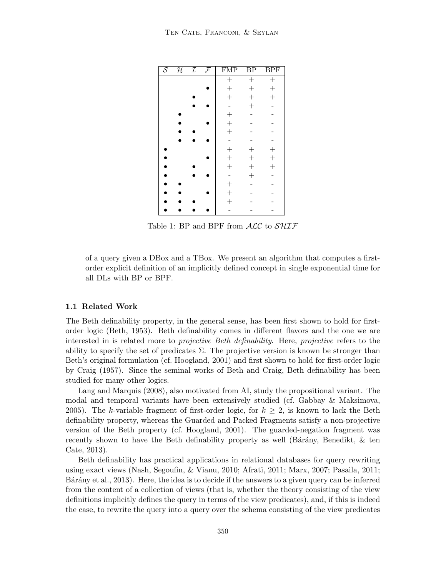<span id="page-3-0"></span>

| $\overline{\mathcal{S}}$ | ${\cal H}$ | $\mathcal I$ | $\overline{\mathcal{F}}$ | <b>FMP</b>        | BP     | <b>BPF</b>     |
|--------------------------|------------|--------------|--------------------------|-------------------|--------|----------------|
|                          |            |              |                          | $^{+}$            | $^{+}$ | $^{+}$         |
|                          |            |              |                          | $^{+}$            | $^{+}$ | $\! + \!$      |
|                          |            |              |                          | $^{+}$            | $^{+}$ | $^{+}$         |
|                          |            |              |                          | $\overline{a}$    | $^{+}$ |                |
|                          |            |              |                          | $^{+}$            |        |                |
|                          |            |              |                          | $+$<br>$+$        |        |                |
|                          |            |              |                          |                   |        |                |
|                          |            |              |                          |                   |        |                |
|                          |            |              |                          |                   | $^{+}$ | $^{+}$         |
|                          |            |              |                          | $+$ $+$ $+$       | $^{+}$ | $^{+}$         |
|                          |            |              |                          |                   | $^{+}$ | $\overline{+}$ |
|                          |            |              |                          | $\qquad \qquad -$ | $^{+}$ |                |
|                          |            |              |                          | $^{+}$            |        |                |
|                          |            |              |                          | $+$               |        |                |
|                          |            |              |                          |                   |        |                |
|                          |            |              |                          |                   |        |                |

Table 1: BP and BPF from  $\text{ALC}$  to  $\text{SHIF}$ 

of a query given a DBox and a TBox. We present an algorithm that computes a firstorder explicit definition of an implicitly defined concept in single exponential time for all DLs with BP or BPF.

## 1.1 Related Work

The Beth definability property, in the general sense, has been first shown to hold for firstorder logic (Beth, 1953). Beth definability comes in different flavors and the one we are interested in is related more to *projective Beth definability*. Here, *projective* refers to the ability to specify the set of predicates  $\Sigma$ . The projective version is known be stronger than Beth's original formulation (cf. Hoogland, 2001) and first shown to hold for first-order logic by Craig (1957). Since the seminal works of Beth and Craig, Beth definability has been studied for many other logics.

Lang and Marquis (2008), also motivated from AI, study the propositional variant. The modal and temporal variants have been extensively studied (cf. Gabbay & Maksimova, 2005). The k-variable fragment of first-order logic, for  $k \geq 2$ , is known to lack the Beth definability property, whereas the Guarded and Packed Fragments satisfy a non-projective version of the Beth property (cf. Hoogland, 2001). The guarded-negation fragment was recently shown to have the Beth definability property as well (Bárány, Benedikt,  $\&$  ten Cate, 2013).

Beth definability has practical applications in relational databases for query rewriting using exact views (Nash, Segoufin, & Vianu, 2010; Afrati, 2011; Marx, 2007; Pasaila, 2011; Bárány et al., 2013). Here, the idea is to decide if the answers to a given query can be inferred from the content of a collection of views (that is, whether the theory consisting of the view definitions implicitly defines the query in terms of the view predicates), and, if this is indeed the case, to rewrite the query into a query over the schema consisting of the view predicates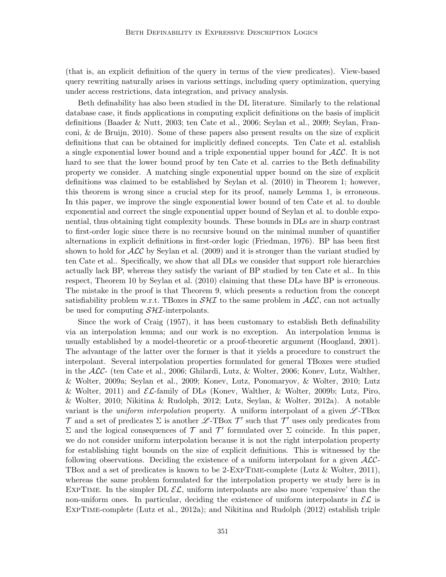(that is, an explicit definition of the query in terms of the view predicates). View-based query rewriting naturally arises in various settings, including query optimization, querying under access restrictions, data integration, and privacy analysis.

Beth definability has also been studied in the DL literature. Similarly to the relational database case, it finds applications in computing explicit definitions on the basis of implicit definitions (Baader & Nutt, 2003; ten Cate et al., 2006; Seylan et al., 2009; Seylan, Franconi, & de Bruijn, 2010). Some of these papers also present results on the size of explicit definitions that can be obtained for implicitly defined concepts. Ten Cate et al. establish a single exponential lower bound and a triple exponential upper bound for  $ALC$ . It is not hard to see that the lower bound proof by ten Cate et al. carries to the Beth definability property we consider. A matching single exponential upper bound on the size of explicit definitions was claimed to be established by Seylan et al. (2010) in Theorem 1; however, this theorem is wrong since a crucial step for its proof, namely Lemma 1, is erroneous. In this paper, we improve the single exponential lower bound of ten Cate et al. to double exponential and correct the single exponential upper bound of Seylan et al. to double exponential, thus obtaining tight complexity bounds. These bounds in DLs are in sharp contrast to first-order logic since there is no recursive bound on the minimal number of quantifier alternations in explicit definitions in first-order logic (Friedman, 1976). BP has been first shown to hold for  $\mathcal{ALC}$  by Seylan et al. (2009) and it is stronger than the variant studied by ten Cate et al.. Specifically, we show that all DLs we consider that support role hierarchies actually lack BP, whereas they satisfy the variant of BP studied by ten Cate et al.. In this respect, Theorem 10 by Seylan et al. (2010) claiming that these DLs have BP is erroneous. The mistake in the proof is that Theorem 9, which presents a reduction from the concept satisfiability problem w.r.t. TBoxes in  $\mathcal{S}H\mathcal{I}$  to the same problem in  $\mathcal{A}\mathcal{L}\mathcal{C}$ , can not actually be used for computing  $\mathcal{S}H\mathcal{I}$ -interpolants.

Since the work of Craig (1957), it has been customary to establish Beth definability via an interpolation lemma; and our work is no exception. An interpolation lemma is usually established by a model-theoretic or a proof-theoretic argument (Hoogland, 2001). The advantage of the latter over the former is that it yields a procedure to construct the interpolant. Several interpolation properties formulated for general TBoxes were studied in the ALC- (ten Cate et al., 2006; Ghilardi, Lutz, & Wolter, 2006; Konev, Lutz, Walther, & Wolter, 2009a; Seylan et al., 2009; Konev, Lutz, Ponomaryov, & Wolter, 2010; Lutz & Wolter, 2011) and  $\mathcal{EL}$ -family of DLs (Konev, Walther, & Wolter, 2009b; Lutz, Piro, & Wolter, 2010; Nikitina & Rudolph, 2012; Lutz, Seylan, & Wolter, 2012a). A notable variant is the *uniform interpolation* property. A uniform interpolant of a given  $\mathscr{L}\text{-TBox}$  $\mathcal T$  and a set of predicates  $\Sigma$  is another  $\mathscr L$ -TBox  $\mathcal T'$  such that  $\mathcal T'$  uses only predicates from Σ and the logical consequences of  $\mathcal T$  and  $\mathcal T'$  formulated over Σ coincide. In this paper, we do not consider uniform interpolation because it is not the right interpolation property for establishing tight bounds on the size of explicit definitions. This is witnessed by the following observations. Deciding the existence of a uniform interpolant for a given  $\mathcal{ALC}$ -TBox and a set of predicates is known to be 2-ExpTime-complete (Lutz & Wolter, 2011), whereas the same problem formulated for the interpolation property we study here is in EXPTIME. In the simpler DL  $\mathcal{EL}$ , uniform interpolants are also more 'expensive' than the non-uniform ones. In particular, deciding the existence of uniform interpolants in  $\mathcal{EL}$  is ExpTime-complete (Lutz et al., 2012a); and Nikitina and Rudolph (2012) establish triple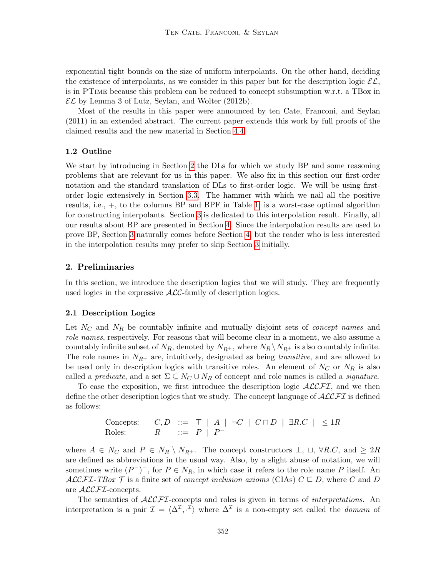exponential tight bounds on the size of uniform interpolants. On the other hand, deciding the existence of interpolants, as we consider in this paper but for the description logic  $\mathcal{EL}$ , is in PTime because this problem can be reduced to concept subsumption w.r.t. a TBox in  $\mathcal{EL}$  by Lemma 3 of Lutz, Seylan, and Wolter (2012b).

Most of the results in this paper were announced by ten Cate, Franconi, and Seylan (2011) in an extended abstract. The current paper extends this work by full proofs of the claimed results and the new material in Section [4.4.](#page-43-0)

## 1.2 Outline

We start by introducing in Section [2](#page-5-0) the DLs for which we study BP and some reasoning problems that are relevant for us in this paper. We also fix in this section our first-order notation and the standard translation of DLs to first-order logic. We will be using firstorder logic extensively in Section [3.3.](#page-22-0) The hammer with which we nail all the positive results, i.e., +, to the columns BP and BPF in Table [1,](#page-3-0) is a worst-case optimal algorithm for constructing interpolants. Section [3](#page-9-0) is dedicated to this interpolation result. Finally, all our results about BP are presented in Section [4.](#page-31-1) Since the interpolation results are used to prove BP, Section [3](#page-9-0) naturally comes before Section [4,](#page-31-1) but the reader who is less interested in the interpolation results may prefer to skip Section [3](#page-9-0) initially.

## <span id="page-5-0"></span>2. Preliminaries

In this section, we introduce the description logics that we will study. They are frequently used logics in the expressive  $\text{ALC-family of description logics.}$ 

## <span id="page-5-1"></span>2.1 Description Logics

Let  $N_c$  and  $N_R$  be countably infinite and mutually disjoint sets of *concept names* and role names, respectively. For reasons that will become clear in a moment, we also assume a countably infinite subset of  $N_R$ , denoted by  $N_{R+}$ , where  $N_R \setminus N_{R+}$  is also countably infinite. The role names in  $N_{R^+}$  are, intuitively, designated as being *transitive*, and are allowed to be used only in description logics with transitive roles. An element of  $N_C$  or  $N_R$  is also called a predicate, and a set  $\Sigma \subseteq N_C \cup N_R$  of concept and role names is called a *signature*.

To ease the exposition, we first introduce the description logic  $\mathcal{ALCFT}$ , and we then define the other description logics that we study. The concept language of  $\mathcal{ALCFT}$  is defined as follows:

Concepts: 
$$
C, D ::= \top | A | \neg C | C \sqcap D | \exists R.C | \leq 1R
$$
  
Roles:  $R ::= P | P$ 

where  $A \in N_C$  and  $P \in N_R \setminus N_{R^+}$ . The concept constructors  $\perp$ ,  $\cup$ ,  $\forall R.C$ , and  $\geq 2R$ are defined as abbreviations in the usual way. Also, by a slight abuse of notation, we will sometimes write  $(P^-)^-$ , for  $P \in N_R$ , in which case it refers to the role name P itself. An  $\mathcal{ALCFT}\text{-}TBox \mathcal{T}$  is a finite set of *concept inclusion axioms* (CIAs)  $C \sqsubseteq D$ , where C and D are *ACCFI*-concepts.

The semantics of  $\mathcal{ALCFT}$ -concepts and roles is given in terms of *interpretations*. An interpretation is a pair  $\mathcal{I} = \langle \Delta^{\mathcal{I}}, \cdot^{\mathcal{I}} \rangle$  where  $\Delta^{\mathcal{I}}$  is a non-empty set called the *domain* of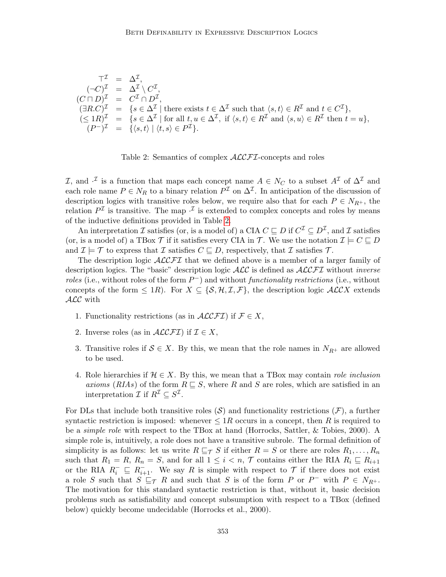$$
\begin{array}{rcl}\n\top^{\mathcal{I}} & = & \Delta^{\mathcal{I}}, \\
(\neg C)^{\mathcal{I}} & = & \Delta^{\mathcal{I}} \setminus C^{\mathcal{I}}, \\
(C \sqcap D)^{\mathcal{I}} & = & C^{\mathcal{I}} \cap D^{\mathcal{I}}, \\
(\exists R.C)^{\mathcal{I}} & = & \{s \in \Delta^{\mathcal{I}} \mid \text{there exists } t \in \Delta^{\mathcal{I}} \text{ such that } \langle s, t \rangle \in R^{\mathcal{I}} \text{ and } t \in C^{\mathcal{I}}\}, \\
(\leq 1R)^{\mathcal{I}} & = & \{s \in \Delta^{\mathcal{I}} \mid \text{for all } t, u \in \Delta^{\mathcal{I}}, \text{ if } \langle s, t \rangle \in R^{\mathcal{I}} \text{ and } \langle s, u \rangle \in R^{\mathcal{I}} \text{ then } t = u\}, \\
(P^{-})^{\mathcal{I}} & = & \{ \langle s, t \rangle \mid \langle t, s \rangle \in P^{\mathcal{I}} \}. \n\end{array}
$$



<span id="page-6-0"></span>I, and  $\cdot^{\mathcal{I}}$  is a function that maps each concept name  $A \in N_C$  to a subset  $A^{\mathcal{I}}$  of  $\Delta^{\mathcal{I}}$  and each role name  $P \in N_R$  to a binary relation  $P^{\mathcal{I}}$  on  $\Delta^{\mathcal{I}}$ . In anticipation of the discussion of description logics with transitive roles below, we require also that for each  $P \in N_{R^+}$ , the relation  $P^{\mathcal{I}}$  is transitive. The map  $\cdot^{\mathcal{I}}$  is extended to complex concepts and roles by means of the inductive definitions provided in Table [2.](#page-6-0)

An interpretation  $\mathcal I$  satisfies (or, is a model of) a CIA  $C \sqsubseteq D$  if  $C^{\mathcal I} \subseteq D^{\mathcal I}$ , and  $\mathcal I$  satisfies (or, is a model of) a TBox  $\mathcal T$  if it satisfies every CIA in  $\mathcal T$ . We use the notation  $\mathcal I \models C \sqsubseteq D$ and  $\mathcal{I} \models \mathcal{T}$  to express that  $\mathcal{I}$  satisfies  $C \sqsubseteq D$ , respectively, that  $\mathcal{I}$  satisfies  $\mathcal{T}$ .

The description logic  $\mathcal{ALCFT}$  that we defined above is a member of a larger family of description logics. The "basic" description logic  $\mathcal{ALC}$  is defined as  $\mathcal{ALCFT}$  without *inverse* roles (i.e., without roles of the form  $P^-$ ) and without functionality restrictions (i.e., without concepts of the form  $\leq 1R$ ). For  $X \subseteq \{S, H, \mathcal{I}, \mathcal{F}\}\$ , the description logic  $\mathcal{ALCX}$  extends ALC with

- 1. Functionality restrictions (as in  $\mathcal{ALCFT}$ ) if  $\mathcal{F} \in X$ ,
- 2. Inverse roles (as in  $\mathcal{ALCFT}$ ) if  $\mathcal{I} \in X$ ,
- 3. Transitive roles if  $S \in X$ . By this, we mean that the role names in  $N_{R^+}$  are allowed to be used.
- 4. Role hierarchies if  $\mathcal{H} \in X$ . By this, we mean that a TBox may contain role inclusion axioms (RIAs) of the form  $R \subseteq S$ , where R and S are roles, which are satisfied in an interpretation  $\mathcal{I}$  if  $R^{\mathcal{I}} \subseteq S^{\mathcal{I}}$ .

For DLs that include both transitive roles  $(S)$  and functionality restrictions  $(F)$ , a further syntactic restriction is imposed: whenever  $\leq 1R$  occurs in a concept, then R is required to be a simple role with respect to the TBox at hand (Horrocks, Sattler, & Tobies, 2000). A simple role is, intuitively, a role does not have a transitive subrole. The formal definition of simplicity is as follows: let us write  $R \sqsubseteq_{\mathcal{T}} S$  if either  $R = S$  or there are roles  $R_1, \ldots, R_n$ such that  $R_1 = R$ ,  $R_n = S$ , and for all  $1 \leq i \leq n$ ,  $\mathcal{T}$  contains either the RIA  $R_i \subseteq R_{i+1}$ or the RIA  $R_i^- \subseteq R_{i+1}^-$ . We say R is simple with respect to  $\mathcal T$  if there does not exist a role S such that  $S \sqsubseteq_{\mathcal{T}} R$  and such that S is of the form P or P<sup>-</sup> with  $P \in N_{R+}$ . The motivation for this standard syntactic restriction is that, without it, basic decision problems such as satisfiability and concept subsumption with respect to a TBox (defined below) quickly become undecidable (Horrocks et al., 2000).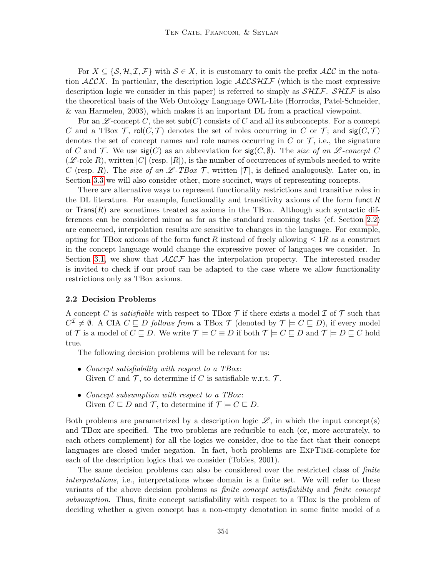For  $X \subseteq \{S, H, \mathcal{I}, \mathcal{F}\}\$  with  $S \in X$ , it is customary to omit the prefix  $\mathcal{ALC}$  in the notation  $ALCX$ . In particular, the description logic  $ALCSHIF$  (which is the most expressive description logic we consider in this paper) is referred to simply as  $\mathcal{SHIF}$ .  $\mathcal{SHIF}$  is also the theoretical basis of the Web Ontology Language OWL-Lite (Horrocks, Patel-Schneider, & van Harmelen, 2003), which makes it an important DL from a practical viewpoint.

For an  $\mathscr{L}$ -concept C, the set sub(C) consists of C and all its subconcepts. For a concept C and a TBox  $\mathcal T$ , rol $(C,\mathcal T)$  denotes the set of roles occurring in C or T; and  $\mathsf{sig}(C,\mathcal T)$ denotes the set of concept names and role names occurring in  $C$  or  $\mathcal T$ , i.e., the signature of C and T. We use  $sig(C)$  as an abbreviation for  $sig(C, \emptyset)$ . The size of an L-concept C  $(\mathscr{L}\text{-role }R)$ , written  $|C|$  (resp.  $|R|$ ), is the number of occurrences of symbols needed to write C (resp. R). The size of an  $\mathscr{L}\text{-}TBox \mathscr{T}$ , written  $|\mathscr{T}|$ , is defined analogously. Later on, in Section [3.3](#page-22-0) we will also consider other, more succinct, ways of representing concepts.

There are alternative ways to represent functionality restrictions and transitive roles in the DL literature. For example, functionality and transitivity axioms of the form funct  $R$ or  $\text{Trans}(R)$  are sometimes treated as axioms in the TBox. Although such syntactic differences can be considered minor as far as the standard reasoning tasks (cf. Section [2.2\)](#page-7-0) are concerned, interpolation results are sensitive to changes in the language. For example, opting for TBox axioms of the form funct R instead of freely allowing  $\leq 1R$  as a construct in the concept language would change the expressive power of languages we consider. In Section [3.1,](#page-10-0) we show that  $\mathcal{ALCF}$  has the interpolation property. The interested reader is invited to check if our proof can be adapted to the case where we allow functionality restrictions only as TBox axioms.

#### <span id="page-7-0"></span>2.2 Decision Problems

A concept C is *satisfiable* with respect to TBox  $\mathcal T$  if there exists a model  $\mathcal I$  of  $\mathcal T$  such that  $C^{\mathcal{I}} \neq \emptyset$ . A CIA  $C \sqsubseteq D$  follows from a TBox  $\mathcal{T}$  (denoted by  $\mathcal{T} \models C \sqsubseteq D$ ), if every model of T is a model of  $C \sqsubseteq D$ . We write  $\mathcal{T} \models C \equiv D$  if both  $\mathcal{T} \models C \sqsubseteq D$  and  $\mathcal{T} \models D \sqsubseteq C$  hold true.

The following decision problems will be relevant for us:

- Concept satisfiability with respect to a TBox: Given C and  $\mathcal{T}$ , to determine if C is satisfiable w.r.t.  $\mathcal{T}$ .
- Concept subsumption with respect to a TBox: Given  $C \sqsubseteq D$  and  $\mathcal{T}$ , to determine if  $\mathcal{T} \models C \sqsubseteq D$ .

Both problems are parametrized by a description logic  $\mathscr{L}$ , in which the input concept(s) and TBox are specified. The two problems are reducible to each (or, more accurately, to each others complement) for all the logics we consider, due to the fact that their concept languages are closed under negation. In fact, both problems are ExpTime-complete for each of the description logics that we consider (Tobies, 2001).

The same decision problems can also be considered over the restricted class of finite interpretations, i.e., interpretations whose domain is a finite set. We will refer to these variants of the above decision problems as finite concept satisfiability and finite concept subsumption. Thus, finite concept satisfiability with respect to a TBox is the problem of deciding whether a given concept has a non-empty denotation in some finite model of a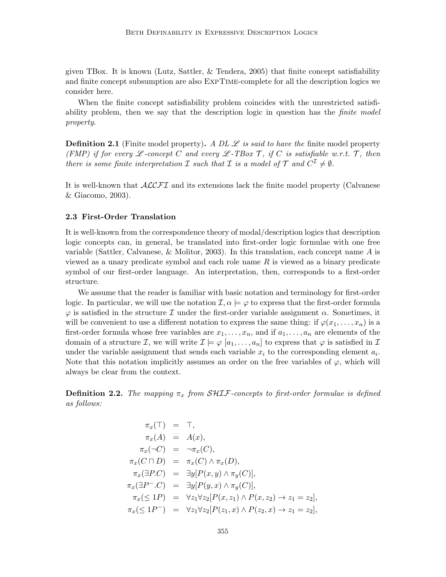given TBox. It is known (Lutz, Sattler, & Tendera, 2005) that finite concept satisfiability and finite concept subsumption are also ExpTime-complete for all the description logics we consider here.

When the finite concept satisfiability problem coincides with the unrestricted satisfiability problem, then we say that the description logic in question has the *finite model* property.

<span id="page-8-1"></span>**Definition 2.1** (Finite model property). A DL  $\mathscr L$  is said to have the finite model property (FMP) if for every  $\mathscr L$ -concept C and every  $\mathscr L$ -TBox T, if C is satisfiable w.r.t. T, then there is some finite interpretation  $\mathcal I$  such that  $\mathcal I$  is a model of  $\mathcal T$  and  $C^{\mathcal I}\neq \emptyset$ .

It is well-known that  $\mathcal{ALCFT}$  and its extensions lack the finite model property (Calvanese & Giacomo, 2003).

#### 2.3 First-Order Translation

It is well-known from the correspondence theory of modal/description logics that description logic concepts can, in general, be translated into first-order logic formulae with one free variable (Sattler, Calvanese,  $\&$  Molitor, 2003). In this translation, each concept name  $A$  is viewed as a unary predicate symbol and each role name  $R$  is viewed as a binary predicate symbol of our first-order language. An interpretation, then, corresponds to a first-order structure.

We assume that the reader is familiar with basic notation and terminology for first-order logic. In particular, we will use the notation  $\mathcal{I}, \alpha \models \varphi$  to express that the first-order formula  $\varphi$  is satisfied in the structure I under the first-order variable assignment  $\alpha$ . Sometimes, it will be convenient to use a different notation to express the same thing: if  $\varphi(x_1, \ldots, x_n)$  is a first-order formula whose free variables are  $x_1, \ldots, x_n$ , and if  $a_1, \ldots, a_n$  are elements of the domain of a structure *I*, we will write  $I \models \varphi [a_1, \ldots, a_n]$  to express that  $\varphi$  is satisfied in *I* under the variable assignment that sends each variable  $x_i$  to the corresponding element  $a_i$ . Note that this notation implicitly assumes an order on the free variables of  $\varphi$ , which will always be clear from the context.

<span id="page-8-0"></span>**Definition 2.2.** The mapping  $\pi_x$  from  $\mathcal{SHIF}$ -concepts to first-order formulae is defined as follows:

$$
\pi_x(\top) = \top,
$$
  
\n
$$
\pi_x(A) = A(x),
$$
  
\n
$$
\pi_x(\neg C) = \neg \pi_x(C),
$$
  
\n
$$
\pi_x(C \sqcap D) = \pi_x(C) \land \pi_x(D),
$$
  
\n
$$
\pi_x(\exists P.C) = \exists y[P(x, y) \land \pi_y(C)],
$$
  
\n
$$
\pi_x(\exists P^{-}.C) = \exists y[P(y, x) \land \pi_y(C)],
$$
  
\n
$$
\pi_x(\leq 1P) = \forall z_1 \forall z_2[P(x, z_1) \land P(x, z_2) \rightarrow z_1 = z_2],
$$
  
\n
$$
\pi_x(\leq 1P^{-}) = \forall z_1 \forall z_2[P(z_1, x) \land P(z_2, x) \rightarrow z_1 = z_2],
$$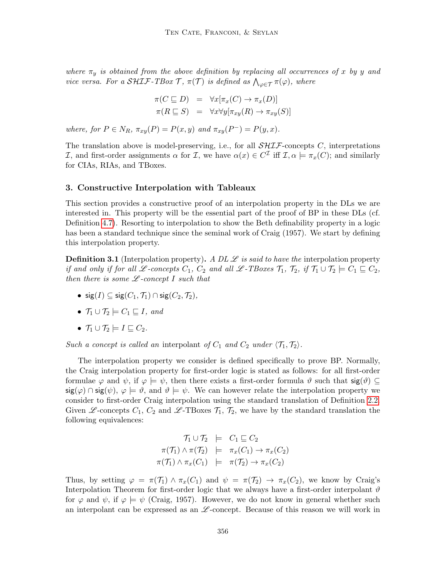where  $\pi_y$  is obtained from the above definition by replacing all occurrences of x by y and vice versa. For a SHIF-TBox  $\mathcal{T}$ ,  $\pi(\mathcal{T})$  is defined as  $\bigwedge_{\varphi \in \mathcal{T}} \pi(\varphi)$ , where

$$
\pi(C \sqsubseteq D) = \forall x [\pi_x(C) \to \pi_x(D)]
$$
  

$$
\pi(R \sqsubseteq S) = \forall x \forall y [\pi_{xy}(R) \to \pi_{xy}(S)]
$$

where, for  $P \in N_R$ ,  $\pi_{xy}(P) = P(x, y)$  and  $\pi_{xy}(P^-) = P(y, x)$ .

The translation above is model-preserving, i.e., for all  $\mathcal{SHTF}$ -concepts C, interpretations I, and first-order assignments  $\alpha$  for I, we have  $\alpha(x) \in C^{\mathcal{I}}$  iff I,  $\alpha \models \pi_x(C)$ ; and similarly for CIAs, RIAs, and TBoxes.

## <span id="page-9-0"></span>3. Constructive Interpolation with Tableaux

This section provides a constructive proof of an interpolation property in the DLs we are interested in. This property will be the essential part of the proof of BP in these DLs (cf. Definition [4.7\)](#page-33-0). Resorting to interpolation to show the Beth definability property in a logic has been a standard technique since the seminal work of Craig (1957). We start by defining this interpolation property.

<span id="page-9-1"></span>**Definition 3.1** (Interpolation property). A DL  $\mathscr L$  is said to have the interpolation property if and only if for all L-concepts  $C_1$ ,  $C_2$  and all L-TBoxes  $\mathcal{T}_1$ ,  $\mathcal{T}_2$ , if  $\mathcal{T}_1 \cup \mathcal{T}_2 \models C_1 \sqsubseteq C_2$ , then there is some  $L$ -concept I such that

- sig(I)  $\subseteq$  sig( $C_1$ ,  $\mathcal{T}_1$ )  $\cap$  sig( $C_2$ ,  $\mathcal{T}_2$ ),
- $\mathcal{T}_1 \cup \mathcal{T}_2 \models C_1 \sqsubset I$ , and
- $\mathcal{T}_1 \cup \mathcal{T}_2 \models I \sqsubseteq C_2$ .

Such a concept is called an interpolant of  $C_1$  and  $C_2$  under  $\langle \mathcal{T}_1, \mathcal{T}_2 \rangle$ .

The interpolation property we consider is defined specifically to prove BP. Normally, the Craig interpolation property for first-order logic is stated as follows: for all first-order formulae  $\varphi$  and  $\psi$ , if  $\varphi \models \psi$ , then there exists a first-order formula  $\vartheta$  such that  $\mathsf{sig}(\vartheta) \subseteq$  $\text{sig}(\varphi) \cap \text{sig}(\psi)$ ,  $\varphi \models \vartheta$ , and  $\vartheta \models \psi$ . We can however relate the interpolation property we consider to first-order Craig interpolation using the standard translation of Definition [2.2.](#page-8-0) Given L-concepts  $C_1$ ,  $C_2$  and L-TBoxes  $\mathcal{T}_1$ ,  $\mathcal{T}_2$ , we have by the standard translation the following equivalences:

$$
\begin{array}{rcl}\n\mathcal{T}_1 \cup \mathcal{T}_2 & \models & C_1 \sqsubseteq C_2 \\
\pi(\mathcal{T}_1) \land \pi(\mathcal{T}_2) & \models & \pi_x(C_1) \to \pi_x(C_2) \\
\pi(\mathcal{T}_1) \land \pi_x(C_1) & \models & \pi(\mathcal{T}_2) \to \pi_x(C_2)\n\end{array}
$$

Thus, by setting  $\varphi = \pi(T_1) \wedge \pi_x(C_1)$  and  $\psi = \pi(T_2) \rightarrow \pi_x(C_2)$ , we know by Craig's Interpolation Theorem for first-order logic that we always have a first-order interpolant  $\vartheta$ for  $\varphi$  and  $\psi$ , if  $\varphi \models \psi$  (Craig, 1957). However, we do not know in general whether such an interpolant can be expressed as an  $\mathscr{L}$ -concept. Because of this reason we will work in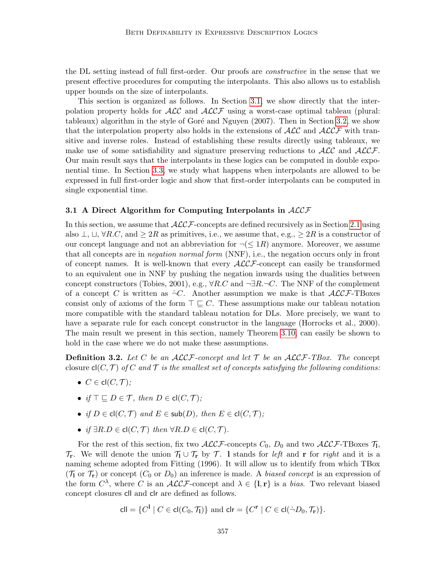the DL setting instead of full first-order. Our proofs are *constructive* in the sense that we present effective procedures for computing the interpolants. This also allows us to establish upper bounds on the size of interpolants.

This section is organized as follows. In Section [3.1,](#page-10-0) we show directly that the interpolation property holds for  $\mathcal{ALC}$  and  $\mathcal{ALCF}$  using a worst-case optimal tableau (plural: tableaux) algorithm in the style of Goré and Nguyen  $(2007)$ . Then in Section [3.2,](#page-17-0) we show that the interpolation property also holds in the extensions of  $\cal{ALC}$  and  $\cal{ALCF}$  with transitive and inverse roles. Instead of establishing these results directly using tableaux, we make use of some satisfiability and signature preserving reductions to  $\mathcal{ALC}$  and  $\mathcal{ALCF}$ . Our main result says that the interpolants in these logics can be computed in double exponential time. In Section [3.3,](#page-22-0) we study what happens when interpolants are allowed to be expressed in full first-order logic and show that first-order interpolants can be computed in single exponential time.

#### <span id="page-10-0"></span>3.1 A Direct Algorithm for Computing Interpolants in  $ALCF$

In this section, we assume that  $\mathcal{ALCF}$ -concepts are defined recursively as in Section [2.1](#page-5-1) using also  $\perp$ ,  $\sqcup$ ,  $\forall R.C$ , and  $\geq 2R$  as primitives, i.e., we assume that, e.g.,  $\geq 2R$  is a constructor of our concept language and not an abbreviation for  $\neg(\leq 1R)$  anymore. Moreover, we assume that all concepts are in *negation normal form* (NNF), i.e., the negation occurs only in front of concept names. It is well-known that every  $\mathcal{ALCF}$ -concept can easily be transformed to an equivalent one in NNF by pushing the negation inwards using the dualities between concept constructors (Tobies, 2001), e.g.,  $\forall R.C$  and  $\neg \exists R.\neg C$ . The NNF of the complement of a concept C is written as  $\neg C$ . Another assumption we make is that  $\mathcal{ALCF}\text{-}\text{TBoxes}$ consist only of axioms of the form  $\top \sqsubseteq C$ . These assumptions make our tableau notation more compatible with the standard tableau notation for DLs. More precisely, we want to have a separate rule for each concept constructor in the language (Horrocks et al., 2000). The main result we present in this section, namely Theorem [3.10,](#page-15-0) can easily be shown to hold in the case where we do not make these assumptions.

<span id="page-10-1"></span>**Definition 3.2.** Let C be an ALCF-concept and let  $\mathcal T$  be an ALCF-TBox. The concept closure  $cl(C, \mathcal{T})$  of C and T is the smallest set of concepts satisfying the following conditions:

- $C \in \text{cl}(C, \mathcal{T})$ :
- if  $\top \sqsubseteq D \in \mathcal{T}$ , then  $D \in \text{cl}(C, \mathcal{T})$ ;
- if  $D \in \text{cl}(C, \mathcal{T})$  and  $E \in \text{sub}(D)$ , then  $E \in \text{cl}(C, \mathcal{T})$ ;
- if  $\exists R.D \in \text{cl}(C, \mathcal{T})$  then  $\forall R.D \in \text{cl}(C, \mathcal{T})$ .

For the rest of this section, fix two  $\mathcal{ALCF}$ -concepts  $C_0$ ,  $D_0$  and two  $\mathcal{ALCF}$ -TBoxes  $\mathcal{T}_1$ ,  $\mathcal{T}_{\mathbf{r}}$ . We will denote the union  $\mathcal{T}_1 \cup \mathcal{T}_{\mathbf{r}}$  by  $\mathcal{T}$ . I stands for left and r for right and it is a naming scheme adopted from Fitting (1996). It will allow us to identify from which TBox  $(\mathcal{T}_1$  or  $\mathcal{T}_r$ ) or concept  $(C_0$  or  $D_0$ ) an inference is made. A biased concept is an expression of the form  $C^{\lambda}$ , where C is an  $ALCF$ -concept and  $\lambda \in \{1, r\}$  is a *bias*. Two relevant biased concept closures cll and clr are defined as follows.

$$
\mathsf{cll} = \{C^1 \mid C \in \mathsf{cl}(C_0, \mathcal{T}_1)\} \text{ and } \mathsf{clr} = \{C^r \mid C \in \mathsf{cl}(\neg D_0, \mathcal{T}_r)\}.
$$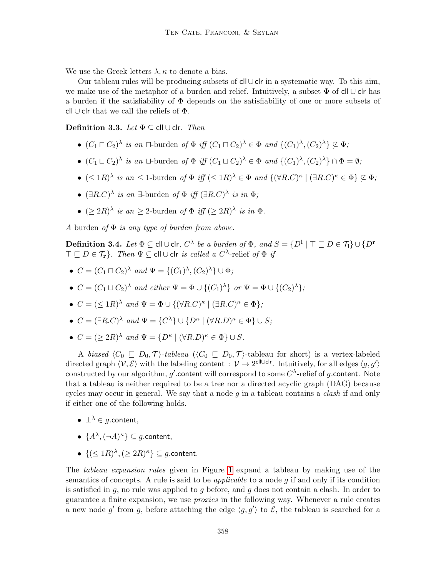We use the Greek letters  $\lambda, \kappa$  to denote a bias.

Our tableau rules will be producing subsets of cll∪clr in a systematic way. To this aim, we make use of the metaphor of a burden and relief. Intuitively, a subset  $\Phi$  of cll ∪ clr has a burden if the satisfiability of Φ depends on the satisfiability of one or more subsets of cll ∪ clr that we call the reliefs of  $\Phi$ .

Definition 3.3. Let  $\Phi \subseteq \text{cll} \cup \text{clr}.$  Then

- $(C_1 \sqcap C_2)^\lambda$  is an  $\sqcap$ -burden of  $\Phi$  iff  $(C_1 \sqcap C_2)^\lambda \in \Phi$  and  $\{(C_1)^\lambda, (C_2)^\lambda\} \not\subseteq \Phi$ ;
- $(C_1 \sqcup C_2)^\lambda$  is an  $\sqcup$ -burden of  $\Phi$  iff  $(C_1 \sqcup C_2)^\lambda \in \Phi$  and  $\{(C_1)^\lambda, (C_2)^\lambda\} \cap \Phi = \emptyset$ ;
- $(\leq 1R)^\lambda$  is an  $\leq 1$ -burden of  $\Phi$  iff  $(\leq 1R)^\lambda \in \Phi$  and  $\{(\forall R.C)^{\kappa} \mid (\exists R.C)^{\kappa} \in \Phi\} \nsubseteq \Phi$ ;
- $(\exists R.C)^{\lambda}$  is an  $\exists$ -burden of  $\Phi$  iff  $(\exists R.C)^{\lambda}$  is in  $\Phi$ ;
- $(\geq 2R)^{\lambda}$  is an  $\geq 2$ -burden of  $\Phi$  iff  $(\geq 2R)^{\lambda}$  is in  $\Phi$ .

A burden of  $\Phi$  is any type of burden from above.

<span id="page-11-0"></span> $\bf{Definition\ 3.4.}\ \ \mathit{Let}\ \Phi\subseteq\mathsf{cll}\cup\mathsf{clr},\ \mathit{C}^\lambda\ \ \mathit{be}\ \ a\ \ \mathit{burden\ of}\ \Phi,\ \mathit{and}\ S=\{D^1\ |\ \top\sqsubseteq D\in\mathcal{T}_l\}\cup\{D^r\ |\ \bot\sqsubseteq\mathit{C}\}$  $\top \sqsubseteq D \in \mathcal{T}_{\mathbf{r}}\}$ . Then  $\Psi \subseteq \mathsf{cll} \cup \mathsf{clr}$  is called a  $C^\lambda\text{-relief of } \Phi$  if

- $C = (C_1 \sqcap C_2)^\lambda$  and  $\Psi = \{(C_1)^\lambda, (C_2)^\lambda\} \cup \Phi$ ;
- $C = (C_1 \sqcup C_2)^\lambda$  and either  $\Psi = \Phi \cup \{(C_1)^\lambda\}$  or  $\Psi = \Phi \cup \{(C_2)^\lambda\};$
- $C = (\leq 1R)^{\lambda}$  and  $\Psi = \Phi \cup \{ (\forall R.C)^{\kappa} \mid (\exists R.C)^{\kappa} \in \Phi \};$
- $C = (\exists R.C)^{\lambda}$  and  $\Psi = \{C^{\lambda}\}\cup \{D^{\kappa} \mid (\forall R.D)^{\kappa} \in \Phi\} \cup S;$
- $C = (\geq 2R)^{\lambda}$  and  $\Psi = \{D^{\kappa} \mid (\forall R.D)^{\kappa} \in \Phi\} \cup S$ .

A biased  $\langle C_0 \subseteq D_0, \mathcal{T} \rangle$ -tableau  $(\langle C_0 \subseteq D_0, \mathcal{T} \rangle)$ -tableau for short) is a vertex-labeled directed graph  $\langle V, \mathcal{E} \rangle$  with the labeling content :  $V \to 2^{\text{clU-}clr}$ . Intuitively, for all edges  $\langle g, g' \rangle$ constructed by our algorithm,  $g'$  content will correspond to some  $C^\lambda$ -relief of  $g$  content. Note that a tableau is neither required to be a tree nor a directed acyclic graph (DAG) because cycles may occur in general. We say that a node  $q$  in a tableau contains a *clash* if and only if either one of the following holds.

- $\perp^{\lambda} \in g$ .content,
- $\{A^{\lambda}, (\neg A)^{\kappa}\}\subseteq g$ .content,
- ${ (\leq 1R)^{\lambda}, (\geq 2R)^{\kappa} \}} \subseteq g$ .content.

The tableau expansion rules given in Figure [1](#page-12-0) expand a tableau by making use of the semantics of concepts. A rule is said to be *applicable* to a node  $q$  if and only if its condition is satisfied in q, no rule was applied to q before, and q does not contain a clash. In order to guarantee a finite expansion, we use proxies in the following way. Whenever a rule creates a new node g' from g, before attaching the edge  $\langle g, g' \rangle$  to  $\mathcal{E}$ , the tableau is searched for a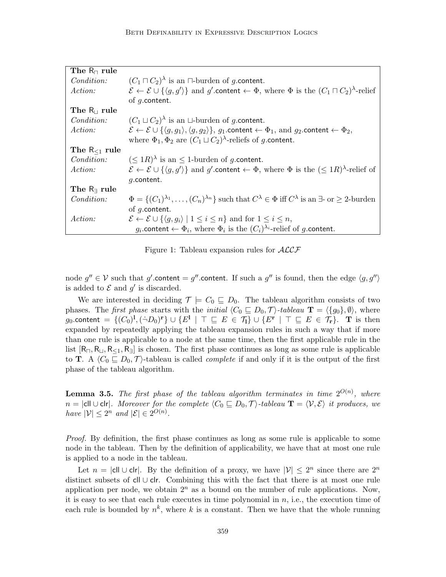| The $R_{\Box}$ rule    |                                                                                                                                                                         |
|------------------------|-------------------------------------------------------------------------------------------------------------------------------------------------------------------------|
| <i>Condition:</i>      | $(C_1 \sqcap C_2)$ is an $\sqcap$ -burden of g.content.                                                                                                                 |
| Action:                | $\mathcal{E} \leftarrow \mathcal{E} \cup \{ \langle g, g' \rangle \}$ and g' content $\leftarrow \Phi$ , where $\Phi$ is the $(C_1 \sqcap C_2)^{\lambda}$ -relief       |
|                        | of $q$ .content.                                                                                                                                                        |
| The $R_{\perp}$ rule   |                                                                                                                                                                         |
| <i>Condition:</i>      | $(C_1 \sqcup C_2)$ is an $\sqcup$ -burden of g.content.                                                                                                                 |
| Action:                | $\mathcal{E} \leftarrow \mathcal{E} \cup \{\langle q, q_1 \rangle, \langle q, q_2 \rangle\}, q_1$ content $\leftarrow \Phi_1$ , and $q_2$ content $\leftarrow \Phi_2$ , |
|                        | where $\Phi_1, \Phi_2$ are $(C_1 \sqcup C_2)$ <sup><math>\lambda</math></sup> -reliefs of g.content.                                                                    |
| The $R_{\leq 1}$ rule  |                                                                                                                                                                         |
| <i>Condition:</i>      | $(\leq 1R)^{\lambda}$ is an $\leq 1$ -burden of g.content.                                                                                                              |
| <i>Action:</i>         | $\mathcal{E} \leftarrow \mathcal{E} \cup \{ \langle q, q' \rangle \}$ and g' content $\leftarrow \Phi$ , where $\Phi$ is the $(\leq 1R)^{\lambda}$ -relief of           |
|                        | $q$ .content.                                                                                                                                                           |
| The $R_{\exists}$ rule |                                                                                                                                                                         |
| <i>Condition:</i>      | $\Phi = \{ (C_1)^{\lambda_1}, \ldots, (C_n)^{\lambda_n} \}$ such that $C^{\lambda} \in \Phi$ iff $C^{\lambda}$ is an $\exists$ - or $\geq 2$ -burden                    |
|                        | of $q$ .content.                                                                                                                                                        |
| <i>Action:</i>         | $\mathcal{E} \leftarrow \mathcal{E} \cup \{ \langle q, q_i \rangle \mid 1 \leq i \leq n \}$ and for $1 \leq i \leq n$ ,                                                 |
|                        | $g_i$ content $\leftarrow \Phi_i$ , where $\Phi_i$ is the $(C_i)^{\lambda_i}$ -relief of g content.                                                                     |

Figure 1: Tableau expansion rules for  $\mathcal{ALCF}$ 

<span id="page-12-0"></span>node  $g'' \in V$  such that g' content = g'' content. If such a g'' is found, then the edge  $\langle g, g'' \rangle$ is added to  $\mathcal E$  and  $g'$  is discarded.

We are interested in deciding  $\mathcal{T} \models C_0 \sqsubseteq D_0$ . The tableau algorithm consists of two phases. The first phase starts with the *initial*  $\langle C_0 \sqsubseteq D_0, \mathcal{T} \rangle$ -tableau  $\mathbf{T} = \langle \{g_0\}, \emptyset \rangle$ , where g0.content = {(C0) l ,( ˙¬D0) <sup>r</sup>} ∪ {E<sup>l</sup> | > v E ∈ Tl} ∪ {E<sup>r</sup> | > v E ∈ Tr}. T is then expanded by repeatedly applying the tableau expansion rules in such a way that if more than one rule is applicable to a node at the same time, then the first applicable rule in the list  $[R_{\Box}, R_{\Box}, R_{\Box}, R_{\overline{\Box}}]$  is chosen. The first phase continues as long as some rule is applicable to **T**. A  $\langle C_0 \sqsubseteq D_0, \mathcal{T} \rangle$ -tableau is called *complete* if and only if it is the output of the first phase of the tableau algorithm.

<span id="page-12-1"></span>**Lemma 3.5.** The first phase of the tableau algorithm terminates in time  $2^{O(n)}$ , where  $n = |c|| \cup c|r|$ . Moreover for the complete  $\langle C_0 \sqsubseteq D_0, \mathcal{T} \rangle$ -tableau  $\mathbf{T} = \langle \mathcal{V}, \mathcal{E} \rangle$  it produces, we have  $|\mathcal{V}| \leq 2^n$  and  $|\mathcal{E}| \in 2^{O(n)}$ .

Proof. By definition, the first phase continues as long as some rule is applicable to some node in the tableau. Then by the definition of applicability, we have that at most one rule is applied to a node in the tableau.

Let  $n = |c|| \cup c|r|$ . By the definition of a proxy, we have  $|\mathcal{V}| \leq 2^n$  since there are  $2^n$ distinct subsets of cll ∪ clr. Combining this with the fact that there is at most one rule application per node, we obtain  $2^n$  as a bound on the number of rule applications. Now, it is easy to see that each rule executes in time polynomial in  $n$ , i.e., the execution time of each rule is bounded by  $n^k$ , where k is a constant. Then we have that the whole running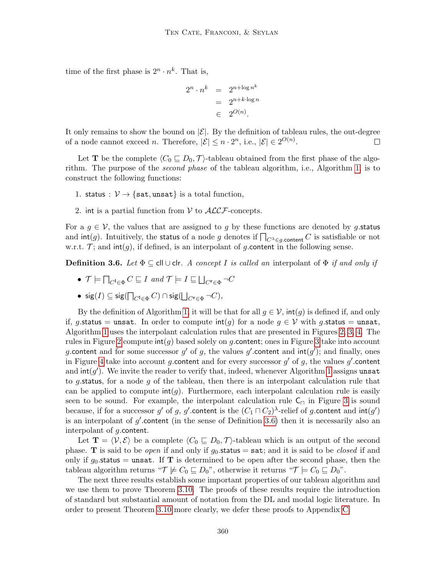time of the first phase is  $2^n \cdot n^k$ . That is,

$$
2^{n} \cdot n^{k} = 2^{n + \log n^{k}}
$$

$$
= 2^{n + k \cdot \log n}
$$

$$
\in 2^{O(n)}.
$$

It only remains to show the bound on  $|\mathcal{E}|$ . By the definition of tableau rules, the out-degree of a node cannot exceed *n*. Therefore,  $|\mathcal{E}| \leq n \cdot 2^n$ , i.e.,  $|\mathcal{E}| \in 2^{O(n)}$ .  $\Box$ 

Let **T** be the complete  $\langle C_0 \sqsubseteq D_0, \mathcal{T} \rangle$ -tableau obtained from the first phase of the algorithm. The purpose of the second phase of the tableau algorithm, i.e., Algorithm [1,](#page-14-0) is to construct the following functions:

- 1. status :  $V \rightarrow \{$ sat, unsat} is a total function,
- 2. int is a partial function from  $V$  to  $\mathcal{ALCF}$ -concepts.

For a  $g \in V$ , the values that are assigned to g by these functions are denoted by g.status and  $\text{int}(g)$ . Intuitively, the status of a node g denotes if  $\bigcap_{C^{\lambda} \in g$  content C is satisfiable or not w.r.t.  $\mathcal{T}$ ; and  $\text{int}(g)$ , if defined, is an interpolant of g.content in the following sense.

<span id="page-13-0"></span>**Definition 3.6.** Let  $\Phi \subseteq \text{cl} \cup \text{cl}r$ . A concept I is called an interpolant of  $\Phi$  if and only if

- $\bullet$   $\mathcal{T} \models \bigcap_{C^1 \in \Phi} C \sqsubseteq I$  and  $\mathcal{T} \models I \sqsubseteq \bigsqcup_{C^{\textbf{r}} \in \Phi} \neg C$
- $\mathop{\sf sig}\nolimits(I) \subseteq \mathop{\sf sig}\nolimits(\bigcap_{C^1 \in \Phi} C) \cap \mathop{\sf sig}\nolimits(\bigsqcup_{C^{\bf r} \in \Phi} \neg C),$

By the definition of Algorithm [1,](#page-14-0) it will be that for all  $g \in V$ ,  $\text{int}(g)$  is defined if, and only if, g.status = unsat. In order to compute  $\text{int}(g)$  for a node  $g \in V$  with g.status = unsat, Algorithm [1](#page-14-0) uses the interpolant calculation rules that are presented in Figures [2,](#page-15-1) [3,](#page-16-0) [4.](#page-17-1) The rules in Figure [2](#page-15-1) compute  $\text{int}(q)$  based solely on q. content; ones in Figure [3](#page-16-0) take into account g. content and for some successor g' of g, the values g' content and  $int(g')$ ; and finally, ones in Figure [4](#page-17-1) take into account g.content and for every successor  $g'$  of  $g$ , the values  $g'$ .content and  $\text{int}(g')$ . We invite the reader to verify that, indeed, whenever Algorithm [1](#page-14-0) assigns unsat to g.status, for a node g of the tableau, then there is an interpolant calculation rule that can be applied to compute  $int(q)$ . Furthermore, each interpolant calculation rule is easily seen to be sound. For example, the interpolant calculation rule  $C_{\Box}$  in Figure [3](#page-16-0) is sound because, if for a successor  $g'$  of  $g$ ,  $g'$  content is the  $(C_1\sqcap C_2)^\lambda$ -relief of  $g$  content and  $\mathsf{int}(g')$ is an interpolant of  $g'$  content (in the sense of Definition [3.6\)](#page-13-0) then it is necessarily also an interpolant of g.content.

Let  $\mathbf{T} = \langle V, \mathcal{E} \rangle$  be a complete  $\langle C_0 \sqsubseteq D_0, \mathcal{T} \rangle$ -tableau which is an output of the second phase. **T** is said to be *open* if and only if  $g_0$  status = sat; and it is said to be *closed* if and only if  $g_0$  status = unsat. If **T** is determined to be open after the second phase, then the tableau algorithm returns " $\mathcal{T} \not\models C_0 \sqsubseteq D_0$ ", otherwise it returns " $\mathcal{T} \models C_0 \sqsubseteq D_0$ ".

<span id="page-13-1"></span>The next three results establish some important properties of our tableau algorithm and we use them to prove Theorem [3.10.](#page-15-0) The proofs of these results require the introduction of standard but substantial amount of notation from the DL and modal logic literature. In order to present Theorem [3.10](#page-15-0) more clearly, we defer these proofs to Appendix [C.](#page-9-0)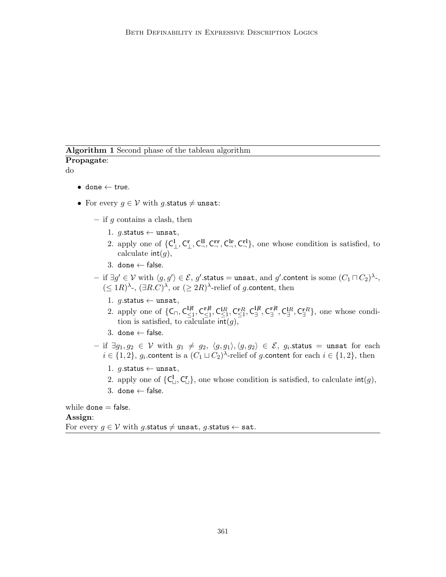# <span id="page-14-0"></span>Algorithm 1 Second phase of the tableau algorithm Propagate:

do

- $\bullet$  done  $\leftarrow$  true.
- For every  $g \in V$  with g.status  $\neq$  unsat:
	- if  $g$  contains a clash, then
		- 1. g.status  $\leftarrow$  unsat,
		- 2. apply one of  $\{C^1_\perp, C^r_\perp, C^{II}_\neg, C^{rr}_\neg, C^{I}_\neg\}$ , one whose condition is satisfied, to calculate  $int(a)$ .
		- 3. done  $\leftarrow$  false.
	- $-$  if ∃ $g' \in \mathcal{V}$  with  $\langle g, g' \rangle \in \mathcal{E}$ ,  $g'$ .status = unsat, and  $g'$ .content is some  $(C_1 \sqcap C_2)^\lambda$ -,  $(\leq 1R)^{\lambda}$ -,  $(\exists R.C)^{\lambda}$ , or  $(\geq 2R)^{\lambda}$ -relief of g.content, then
		- 1.  $g$ .status  $\leftarrow$  unsat,
		- 2. apply one of  $\{C_{\sqcap}, C_{\leq 1}^{l,R}\}$  $\frac{1\mathcal{R}}{\leq 1}, \mathsf{C}^{\mathbf{r}\mathcal{R}}_{\leq 1}$  $\substack{\mathbf{r} \not R \ \leq 1, \ \mathsf{C}^\mathbf{1} \mathsf{R}, \ \mathsf{C}^\mathbf{r} \mathsf{R}, \ \mathsf{C}^\mathbf{1} \not \in \mathsf{R} }^{\mathbf{r} \not R}$  $_{\exists}^{1\!\mathit{R}}, \mathsf{C}^{\mathtt{r}\mathit{R}}_{\exists}$  $\Gamma_{\exists}^{\mathbf{r},\mathcal{R}},\mathsf{C}^{\mathbf{r},\mathcal{R}}_{\exists}\},$  one whose condition is satisfied, to calculate  $\text{int}(g)$ ,
		- 3. done  $\leftarrow$  false.
	- $-$  if  $\exists g_1, g_2 \in \mathcal{V}$  with  $g_1 \neq g_2, \ \langle g, g_1 \rangle, \langle g, g_2 \rangle \in \mathcal{E}, \ g_i.$ status  $=$  unsat for each  $i \in \{1,2\}$ , g<sub>i</sub> content is a  $(C_1 \sqcup C_2)$ <sup> $\lambda$ </sup>-relief of g content for each  $i \in \{1,2\}$ , then
		- 1.  $g$ .status  $\leftarrow$  unsat,
		- 2. apply one of  $\{C^{\mathbf{l}}_{\mathsf{L}}, C^{\mathbf{r}}_{\mathsf{L}}\}$ , one whose condition is satisfied, to calculate  $\mathsf{int}(g)$ ,
		- 3. done  $\leftarrow$  false.

while  $\texttt{done} = \texttt{false}$ . Assign: For every  $q \in V$  with g.status  $\neq$  unsat, g.status  $\leftarrow$  sat.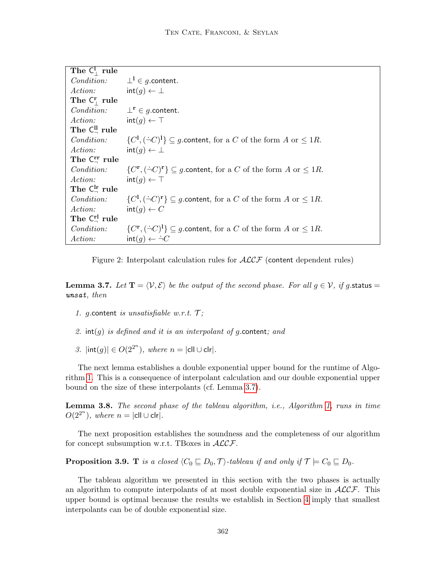| The $C_1^1$ rule                   |                                                                                                             |
|------------------------------------|-------------------------------------------------------------------------------------------------------------|
|                                    | <i>Condition:</i> $\perp^1 \in g$ .content.                                                                 |
| Action:                            | $int(q) \leftarrow \perp$                                                                                   |
| The $C_1^r$ rule                   |                                                                                                             |
| <i>Condition:</i>                  | $\perp^{\mathbf{r}} \in q.$ content.                                                                        |
| Action:                            | $int(q) \leftarrow \top$                                                                                    |
| The $C^{\text{ll}}_{\text{}}$ rule |                                                                                                             |
| <i>Condition:</i>                  | $\{C^1, (\dot{\neg} C)^1\} \subseteq g$ content, for a C of the form A or $\leq 1R$ .                       |
| Action:                            | $int(q) \leftarrow \perp$                                                                                   |
| The $C_+^r$ rule                   |                                                                                                             |
| <i>Condition:</i>                  | $\{C^{\mathbf{r}}, (\dot{\neg} C)^{\mathbf{r}}\} \subseteq g$ content, for a C of the form A or $\leq 1R$ . |
| Action:                            | $int(q) \leftarrow \top$                                                                                    |
| The $C_+^{\text{lr}}$ rule         |                                                                                                             |
| <i>Condition:</i>                  | $\{C^1, (\dot{\neg} C)^r\} \subseteq g$ content, for a C of the form A or $\leq 1R$ .                       |
| <i>Action:</i>                     | $\mathsf{int}(q) \leftarrow C$                                                                              |
| The $C_1^{\prime}$ rule            |                                                                                                             |
| <i>Condition:</i>                  | $\{C^{\mathbf{r}}, (\dot{\neg} C)^{\mathbf{l}}\} \subseteq g$ content, for a C of the form A or $\leq 1R$ . |
| <i>Action:</i>                     | $int(g) \leftarrow \div C$                                                                                  |

<span id="page-15-1"></span>Figure 2: Interpolant calculation rules for  $\mathcal{ALCF}$  (content dependent rules)

**Lemma 3.7.** Let  $\mathbf{T} = \langle V, \mathcal{E} \rangle$  be the output of the second phase. For all  $g \in V$ , if g.status = unsat, then

- 1. g. content is unsatisfiable w.r.t.  $\mathcal{T}$ ;
- 2.  $int(g)$  is defined and it is an interpolant of g.content; and
- 3.  $|\text{int}(g)| \in O(2^{2^n})$ , where  $n = |\text{ell} \cup \text{clr}|$ .

The next lemma establishes a double exponential upper bound for the runtime of Algorithm [1.](#page-14-0) This is a consequence of interpolant calculation and our double exponential upper bound on the size of these interpolants (cf. Lemma [3.7\)](#page-13-1).

<span id="page-15-3"></span>Lemma 3.8. The second phase of the tableau algorithm, i.e., Algorithm [1,](#page-14-0) runs in time  $O(2^{2^n})$ , where  $n = |$ cll  $\cup$  clr $|$ .

The next proposition establishes the soundness and the completeness of our algorithm for concept subsumption w.r.t. TBoxes in  $ALCF$ .

<span id="page-15-2"></span>**Proposition 3.9.** T is a closed  $\langle C_0 \sqsubseteq D_0, \mathcal{T} \rangle$ -tableau if and only if  $\mathcal{T} \models C_0 \sqsubseteq D_0$ .

<span id="page-15-0"></span>The tableau algorithm we presented in this section with the two phases is actually an algorithm to compute interpolants of at most double exponential size in  $ALCF$ . This upper bound is optimal because the results we establish in Section [4](#page-31-1) imply that smallest interpolants can be of double exponential size.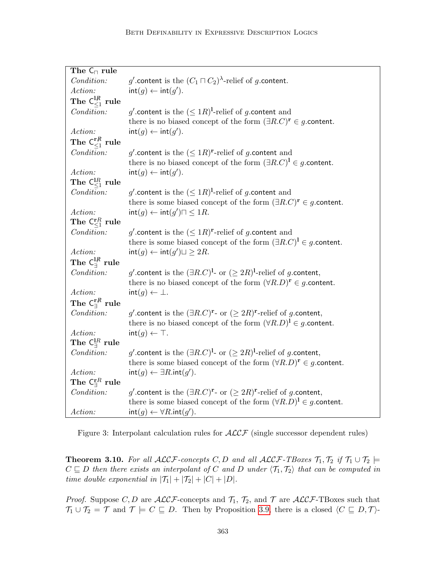| The $C_{\square}$ rule                                 |                                                                                            |
|--------------------------------------------------------|--------------------------------------------------------------------------------------------|
| Condition:                                             | g' content is the $(C_1 \sqcap C_2)$ <sup><math>\lambda</math></sup> -relief of g content. |
| Action:                                                | $\mathsf{int}(g) \leftarrow \mathsf{int}(g')$ .                                            |
| The $\mathsf{C}^{\mathsf{L}\not{\!\!R}}_{\leq 1}$ rule |                                                                                            |
| Condition:                                             | g' content is the $(\leq 1R)^{l}$ -relief of g content and                                 |
|                                                        | there is no biased concept of the form $(\exists R.C)^r \in g$ content.                    |
| Action:                                                | $\mathsf{int}(g) \leftarrow \mathsf{int}(g')$ .                                            |
| The $\mathsf{C}^{\mathbf{r} \not R}_{< 1}$ rule        |                                                                                            |
| Condition:                                             | g' content is the $(\leq 1R)^{r}$ -relief of g content and                                 |
|                                                        | there is no biased concept of the form $(\exists R.C)^{1} \in g$ content.                  |
| Action:                                                | $\mathsf{int}(g) \leftarrow \mathsf{int}(g')$ .                                            |
| The $\mathsf{C}^{ \text{I} R}_{\leq 1}$ rule           |                                                                                            |
| Condition:                                             | g' content is the $(\leq 1R)^{l}$ -relief of g content and                                 |
|                                                        | there is some biased concept of the form $(\exists R.C)^r \in g$ content.                  |
| Action:                                                | $\mathsf{int}(g) \leftarrow \mathsf{int}(g') \sqcap \leq 1R.$                              |
| The $\mathsf{C}^{\mathbf{r}R}_{\leq 1}$ rule           |                                                                                            |
| Condition:                                             | g' content is the $(\leq 1R)^{r}$ -relief of g content and                                 |
|                                                        | there is some biased concept of the form $(\exists R.C)^{1} \in g$ content.                |
| Action:                                                | $\mathsf{int}(g) \leftarrow \mathsf{int}(g') \sqcup \geq 2R.$                              |
| The $\mathsf{C}_\exists^{\mathrm{I}\not R}$ rule       |                                                                                            |
| Condition:                                             | g' content is the $(\exists R.C)^{1}$ - or $(2 R)^{1}$ -relief of g content,               |
|                                                        | there is no biased concept of the form $(\forall R.D)^{r} \in g$ content.                  |
| Action:                                                | $\mathsf{int}(g) \leftarrow \perp.$                                                        |
| The $\mathsf{C}_\exists^{\mathbf{r} R}$ rule           |                                                                                            |
| Condition:                                             | g' content is the $(\exists R.C)^{r}$ - or $(\geq 2R)^{r}$ -relief of g content,           |
|                                                        | there is no biased concept of the form $(\forall R.D)^{1} \in g$ content.                  |
| Action:                                                | $\mathsf{int}(g) \leftarrow \top.$                                                         |
| The $\mathsf{C}^{1R}_\exists$ rule                     |                                                                                            |
| Condition:                                             | g' content is the $(\exists R.C)^{1}$ - or $(\geq 2R)^{1}$ -relief of g content,           |
|                                                        | there is some biased concept of the form $(\forall R.D)^{r} \in g$ content.                |
| Action:                                                | $\mathsf{int}(g) \leftarrow \exists R.\mathsf{int}(g').$                                   |
| The $\mathsf{C}^{\mathrm{r}R}_\exists$ rule            |                                                                                            |
| Condition:                                             | g' content is the $(\exists R.C)^{r}$ - or $(\geq 2R)^{r}$ -relief of g content,           |
|                                                        | there is some biased concept of the form $(\forall R.D)^{1} \in g$ content.                |
| Action:                                                | $\mathsf{int}(g) \leftarrow \forall R.\mathsf{int}(g').$                                   |

<span id="page-16-0"></span>Figure 3: Interpolant calculation rules for  $\mathcal{ALCF}$  (single successor dependent rules)

**Theorem 3.10.** For all  $ALCF$ -concepts C, D and all  $ALCF$ -TBoxes  $\mathcal{T}_1, \mathcal{T}_2$  if  $\mathcal{T}_1 \cup \mathcal{T}_2 \models$  $C \subseteq D$  then there exists an interpolant of C and D under  $\langle T_1, T_2 \rangle$  that can be computed in time double exponential in  $|\mathcal{T}_1| + |\mathcal{T}_2| + |C| + |D|$ .

*Proof.* Suppose C, D are  $ALCF$ -concepts and  $\mathcal{T}_1$ ,  $\mathcal{T}_2$ , and T are  $ALCF$ -TBoxes such that  $\mathcal{T}_1 \cup \mathcal{T}_2 = \mathcal{T}$  and  $\mathcal{T} \models C \sqsubseteq D$ . Then by Proposition [3.9,](#page-15-2) there is a closed  $\langle C \sqsubseteq D, \mathcal{T} \rangle$ -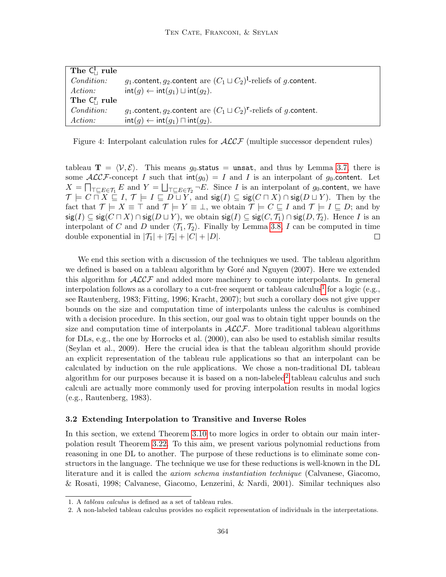| The $C_{\perp}^{\perp}$ rule |                                                                                                    |
|------------------------------|----------------------------------------------------------------------------------------------------|
| <i>Condition:</i>            | g <sub>1</sub> .content, g <sub>2</sub> .content are $(C_1 \sqcup C_2)^{1}$ -reliefs of g.content. |
| <i>Action:</i>               | $\text{int}(q) \leftarrow \text{int}(q_1) \sqcup \text{int}(q_2).$                                 |
| The $C_{\perp}^r$ rule       |                                                                                                    |
| <i>Condition:</i>            | $g_1$ content, $g_2$ content are $(C_1 \sqcup C_2)^r$ -reliefs of g content.                       |
| Action:                      | $\text{int}(q) \leftarrow \text{int}(q_1) \sqcap \text{int}(q_2).$                                 |

<span id="page-17-1"></span>Figure 4: Interpolant calculation rules for  $\mathcal{ALCF}$  (multiple successor dependent rules)

tableau  $\mathbf{T} = \langle \mathcal{V}, \mathcal{E} \rangle$ . This means  $g_0$  status = unsat, and thus by Lemma [3.7,](#page-13-1) there is some  $\mathcal{ALCF}$ -concept I such that  $\text{int}(g_0) = I$  and I is an interpolant of g<sub>0</sub>.content. Let  $X = \prod_{\substack{\top \subseteq E \in \mathcal{T}_1}} E$  and  $Y = \bigsqcup_{\substack{\top \subseteq E \in \mathcal{T}_2}} \neg E$ . Since I is an interpolant of  $g_0$  content, we have  $\mathcal{T} \models C \sqcap X \sqsubseteq I, \, \mathcal{T} \models I \sqsubseteq D \sqcup Y, \text{ and } \mathsf{sig}(I) \subseteq \mathsf{sig}(C \sqcap X) \cap \mathsf{sig}(D \sqcup Y).$  Then by the fact that  $\mathcal{T} \models X \equiv \top$  and  $\mathcal{T} \models Y \equiv \bot$ , we obtain  $\mathcal{T} \models C \sqsubseteq I$  and  $\mathcal{T} \models I \sqsubseteq D$ ; and by  $\mathsf{sig}(I) \subseteq \mathsf{sig}(C \sqcap X) \cap \mathsf{sig}(D \sqcup Y)$ , we obtain  $\mathsf{sig}(I) \subseteq \mathsf{sig}(C, \mathcal{T}_1) \cap \mathsf{sig}(D, \mathcal{T}_2)$ . Hence I is an interpolant of C and D under  $\langle T_1, T_2 \rangle$ . Finally by Lemma [3.8,](#page-15-3) I can be computed in time double exponential in  $|\mathcal{T}_1| + |\mathcal{T}_2| + |C| + |D|$ .  $\Box$ 

We end this section with a discussion of the techniques we used. The tableau algorithm we defined is based on a tableau algorithm by Goré and Nguyen (2007). Here we extended this algorithm for  $\mathcal{ALCF}$  and added more machinery to compute interpolants. In general interpolation follows as a corollary to a cut-free sequent or tableau calculus<sup>[1](#page-17-2)</sup> for a logic (e.g., see Rautenberg, 1983; Fitting, 1996; Kracht, 2007); but such a corollary does not give upper bounds on the size and computation time of interpolants unless the calculus is combined with a decision procedure. In this section, our goal was to obtain tight upper bounds on the size and computation time of interpolants in  $ALCF$ . More traditional tableau algorithms for DLs, e.g., the one by Horrocks et al. (2000), can also be used to establish similar results (Seylan et al., 2009). Here the crucial idea is that the tableau algorithm should provide an explicit representation of the tableau rule applications so that an interpolant can be calculated by induction on the rule applications. We chose a non-traditional DL tableau algorithm for our purposes because it is based on a non-labeled<sup>[2](#page-17-3)</sup> tableau calculus and such calculi are actually more commonly used for proving interpolation results in modal logics (e.g., Rautenberg, 1983).

## <span id="page-17-0"></span>3.2 Extending Interpolation to Transitive and Inverse Roles

In this section, we extend Theorem [3.10](#page-15-0) to more logics in order to obtain our main interpolation result Theorem [3.22.](#page-21-0) To this aim, we present various polynomial reductions from reasoning in one DL to another. The purpose of these reductions is to eliminate some constructors in the language. The technique we use for these reductions is well-known in the DL literature and it is called the axiom schema instantiation technique (Calvanese, Giacomo, & Rosati, 1998; Calvanese, Giacomo, Lenzerini, & Nardi, 2001). Similar techniques also

<span id="page-17-2"></span><sup>1.</sup> A tableau calculus is defined as a set of tableau rules.

<span id="page-17-3"></span><sup>2.</sup> A non-labeled tableau calculus provides no explicit representation of individuals in the interpretations.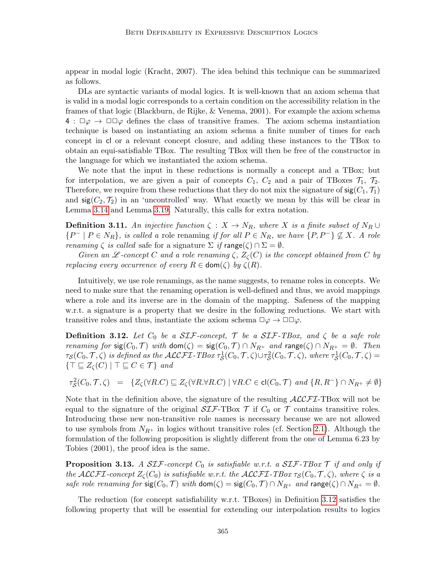appear in modal logic (Kracht, 2007). The idea behind this technique can be summarized as follows.

DLs are syntactic variants of modal logics. It is well-known that an axiom schema that is valid in a modal logic corresponds to a certain condition on the accessibility relation in the frames of that logic (Blackburn, de Rijke, & Venema, 2001). For example the axiom schema  $4: \Box \varphi \rightarrow \Box \Box \varphi$  defines the class of transitive frames. The axiom schema instantiation technique is based on instantiating an axiom schema a finite number of times for each concept in cl or a relevant concept closure, and adding these instances to the TBox to obtain an equi-satisfiable TBox. The resulting TBox will then be free of the constructor in the language for which we instantiated the axiom schema.

We note that the input in these reductions is normally a concept and a TBox; but for interpolation, we are given a pair of concepts  $C_1$ ,  $C_2$  and a pair of TBoxes  $\mathcal{T}_1$ ,  $\mathcal{T}_2$ . Therefore, we require from these reductions that they do not mix the signature of  $sig(C_1, \mathcal{T}_1)$ and  $sig(C_2, \mathcal{T}_2)$  in an 'uncontrolled' way. What exactly we mean by this will be clear in Lemma [3.14](#page-19-0) and Lemma [3.19.](#page-20-0) Naturally, this calls for extra notation.

**Definition 3.11.** An injective function  $\zeta : X \to N_R$ , where X is a finite subset of  $N_R \cup$  $\{P^-\mid P\in N_R\}$ , is called a role renaming if for all  $P\in N_R$ , we have  $\{P,P^-\}\nsubseteq X$ . A role renaming  $\zeta$  is called safe for a signature  $\Sigma$  if range( $\zeta$ )  $\cap \Sigma = \emptyset$ .

Given an L-concept C and a role renaming  $\zeta$ ,  $Z_{\zeta}(C)$  is the concept obtained from C by replacing every occurrence of every  $R \in \text{dom}(\zeta)$  by  $\zeta(R)$ .

Intuitively, we use role renamings, as the name suggests, to rename roles in concepts. We need to make sure that the renaming operation is well-defined and thus, we avoid mappings where a role and its inverse are in the domain of the mapping. Safeness of the mapping w.r.t. a signature is a property that we desire in the following reductions. We start with transitive roles and thus, instantiate the axiom schema  $\Box \varphi \rightarrow \Box \Box \varphi$ .

<span id="page-18-0"></span>**Definition 3.12.** Let  $C_0$  be a SIF-concept,  $\mathcal{T}$  be a SIF-TBox, and  $\zeta$  be a safe role renaming for  $sig(C_0, \mathcal{T})$  with  $dom(\zeta) = sig(C_0, \mathcal{T}) \cap N_{R^+}$  and range $(\zeta) \cap N_{R^+} = \emptyset$ . Then  $\tau_{\mathcal{S}}(C_0,\mathcal{T},\zeta)$  is defined as the  $\mathcal{ALCFL}\text{-}TBox\ \tau_{\mathcal{S}}^1(C_0,\mathcal{T},\zeta)\cup\tau_{\mathcal{S}}^2(C_0,\mathcal{T},\zeta)$ , where  $\tau_{\mathcal{S}}^1(C_0,\mathcal{T},\zeta)=$  $\{\top \sqsubseteq Z_{\zeta}(C) \mid \top \sqsubseteq C \in \mathcal{T}\}\$ and

$$
\tau_{\mathcal{S}}^2(C_0,\mathcal{T},\zeta) = \{Z_{\zeta}(\forall R.C) \sqsubseteq Z_{\zeta}(\forall R.\forall R.C) \mid \forall R.C \in \text{cl}(C_0,\mathcal{T}) \text{ and } \{R,R^-\} \cap N_{R^+} \neq \emptyset\}
$$

Note that in the definition above, the signature of the resulting  $\mathcal{ALCFT}\text{-}\text{TBox}$  will not be equal to the signature of the original  $\mathcal{SIF}\text{-}\text{TBox }\mathcal{T}$  if  $C_0$  or  $\mathcal{T}$  contains transitive roles. Introducing these new non-transitive role names is necessary because we are not allowed to use symbols from  $N_{R+}$  in logics without transitive roles (cf. Section [2.1\)](#page-5-1). Although the formulation of the following proposition is slightly different from the one of Lemma 6.23 by Tobies (2001), the proof idea is the same.

<span id="page-18-1"></span>**Proposition 3.13.** A SIF-concept  $C_0$  is satisfiable w.r.t. a SIF-TBox  $\mathcal T$  if and only if the ALCFI-concept  $Z_{\zeta}(C_0)$  is satisfiable w.r.t. the ALCFI-TBox  $\tau_{\mathcal{S}}(C_0, \mathcal{T}, \zeta)$ , where  $\zeta$  is a safe role renaming for  $sig(C_0, \mathcal{T})$  with  $dom(\zeta) = sig(C_0, \mathcal{T}) \cap N_{R^+}$  and range $(\zeta) \cap N_{R^+} = \emptyset$ .

The reduction (for concept satisfiability w.r.t. TBoxes) in Definition [3.12](#page-18-0) satisfies the following property that will be essential for extending our interpolation results to logics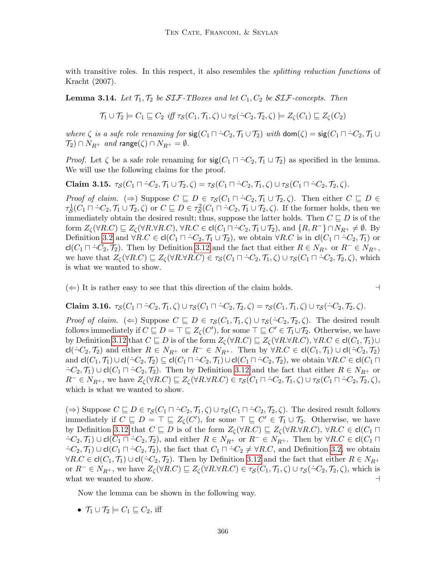with transitive roles. In this respect, it also resembles the *splitting reduction functions* of Kracht (2007).

<span id="page-19-0"></span>**Lemma 3.14.** Let  $\mathcal{T}_1, \mathcal{T}_2$  be SIF-TBoxes and let  $C_1, C_2$  be SIF-concepts. Then

$$
\mathcal{T}_1 \cup \mathcal{T}_2 \models C_1 \sqsubseteq C_2 \text{ iff } \tau_{\mathcal{S}}(C_1, \mathcal{T}_1, \zeta) \cup \tau_{\mathcal{S}}(\neg C_2, \mathcal{T}_2, \zeta) \models Z_{\zeta}(C_1) \sqsubseteq Z_{\zeta}(C_2)
$$

where  $\zeta$  is a safe role renaming for  $\text{sig}(C_1 \cap \neg C_2, \mathcal{T}_1 \cup \mathcal{T}_2)$  with  $\text{dom}(\zeta) = \text{sig}(C_1 \cap \neg C_2, \mathcal{T}_1 \cup \mathcal{T}_2)$  $\mathcal{T}_2$ )  $\cap$   $N_{R^+}$  and range( $\zeta$ )  $\cap$   $N_{R^+} = \emptyset$ .

*Proof.* Let  $\zeta$  be a safe role renaming for  $sig(C_1 \sqcap \neg C_2, \mathcal{T}_1 \cup \mathcal{T}_2)$  as specified in the lemma. We will use the following claims for the proof.

<span id="page-19-1"></span>Claim 3.15.  $\tau_S(C_1 \sqcap \neg C_2, \mathcal{T}_1 \cup \mathcal{T}_2, \zeta) = \tau_S(C_1 \sqcap \neg C_2, \mathcal{T}_1, \zeta) \cup \tau_S(C_1 \sqcap \neg C_2, \mathcal{T}_2, \zeta).$ 

Proof of claim. ( $\Rightarrow$ ) Suppose  $C \subseteq D \in \tau_{\mathcal{S}}(C_1 \sqcap \neg C_2, \mathcal{T}_1 \cup \mathcal{T}_2, \zeta)$ . Then either  $C \subseteq D \in$  $\tau_{\mathcal{S}}^1(C_1 \sqcap \dot{\neg} C_2, \mathcal{T}_1 \cup \mathcal{T}_2, \zeta)$  or  $C \sqsubseteq D \in \tau_{\mathcal{S}}^2(C_1 \sqcap \dot{\neg} C_2, \mathcal{T}_1 \cup \mathcal{T}_2, \zeta)$ . If the former holds, then we immediately obtain the desired result; thus, suppose the latter holds. Then  $C \sqsubseteq D$  is of the form  $Z_{\zeta}(\forall R.C) \sqsubseteq Z_{\zeta}(\forall R.\forall R.C)$ ,  $\forall R.C \in \text{cl}(C_1 \sqcap \neg C_2, \mathcal{T}_1 \cup \mathcal{T}_2)$ , and  $\{R, R^{-}\}\cap N_{R^{+}} \neq \emptyset$ . By Definition [3.2](#page-10-1) and  $\forall R.C \in cl(C_1 \sqcap \neg C_2, \mathcal{T}_1 \cup \mathcal{T}_2)$ , we obtain  $\forall R.C$  is in  $cl(C_1 \sqcap \neg C_2, \mathcal{T}_1)$  or cl( $C_1 \sqcap \neg C_2, \mathcal{T}_2$ ). Then by Definition [3.12](#page-18-0) and the fact that either  $R \in N_{R^+}$  or  $R^- \in N_{R^+}$ , we have that  $Z_{\zeta}(\forall R.C) \sqsubseteq Z_{\zeta}(\forall R.\forall R.C) \in \tau_{\zeta}(C_1 \sqcap \neg C_2, \mathcal{T}_1, \zeta) \cup \tau_{\zeta}(C_1 \sqcap \neg C_2, \mathcal{T}_2, \zeta)$ , which is what we wanted to show.

 $(\Leftarrow)$  It is rather easy to see that this direction of the claim holds.

<span id="page-19-2"></span>**Claim 3.16.**  $\tau_S(C_1 \sqcap \neg C_2, \mathcal{T}_1, \zeta) \cup \tau_S(C_1 \sqcap \neg C_2, \mathcal{T}_2, \zeta) = \tau_S(C_1, \mathcal{T}_1, \zeta) \cup \tau_S(\neg C_2, \mathcal{T}_2, \zeta).$ 

Proof of claim. ( $\Leftarrow$ ) Suppose  $C \sqsubseteq D \in \tau_S(C_1, \mathcal{T}_1, \zeta) \cup \tau_S(\neg C_2, \mathcal{T}_2, \zeta)$ . The desired result follows immediately if  $C \sqsubseteq D = \top \sqsubseteq Z_{\zeta}(C')$ , for some  $\top \sqsubseteq C' \in \mathcal{T}_1 \cup \mathcal{T}_2$ . Otherwise, we have by Definition [3.12](#page-18-0) that  $C \subseteq D$  is of the form  $Z_{\zeta}(\forall R.C) \subseteq Z_{\zeta}(\forall R.\forall R.C)$ ,  $\forall R.C \in cl(C_1, \mathcal{T}_1) \cup$ cl( $\dot{\neg}C_2$ ,  $\mathcal{T}_2$ ) and either  $R \in N_{R^+}$  or  $R^- \in N_{R^+}$ . Then by  $\forall R.C \in$  cl( $C_1$ ,  $\mathcal{T}_1$ ) ∪ cl( $\dot{\neg}C_2$ ,  $\mathcal{T}_2$ ) and  $\mathsf{cl}(C_1, \mathcal{T}_1) \cup \mathsf{cl}(\neg C_2, \mathcal{T}_2) \subseteq \mathsf{cl}(C_1 \sqcap \neg C_2, \mathcal{T}_1) \cup \mathsf{cl}(C_1 \sqcap \neg C_2, \mathcal{T}_2)$ , we obtain  $\forall R.C \in \mathsf{cl}(C_1 \sqcap$  $\neg C_2$ ,  $\mathcal{T}_1$ ) ∪ cl( $C_1 \sqcap \neg C_2$ ,  $\mathcal{T}_2$ ). Then by Definition [3.12](#page-18-0) and the fact that either  $R \in N_{R^+}$  or  $R^{-} \in N_{R^{+}}$ , we have  $Z_{\zeta}(\forall R.C) \sqsubseteq Z_{\zeta}(\forall R.\forall R.C) \in \tau_{\mathcal{S}}(C_{1} \sqcap \neg C_{2}, \mathcal{T}_{1}, \zeta) \cup \tau_{\mathcal{S}}(C_{1} \sqcap \neg C_{2}, \mathcal{T}_{2}, \zeta),$ which is what we wanted to show.

 $(\Rightarrow)$  Suppose  $C \sqsubseteq D \in \tau_{\mathcal{S}}(C_1 \sqcap \neg C_2, \mathcal{T}_1, \zeta) \cup \tau_{\mathcal{S}}(C_1 \sqcap \neg C_2, \mathcal{T}_2, \zeta)$ . The desired result follows immediately if  $C \subseteq D = \top \subseteq Z_{\zeta}(C')$ , for some  $\top \subseteq C' \in \mathcal{T}_1 \cup \mathcal{T}_2$ . Otherwise, we have by Definition [3.12](#page-18-0) that  $C \subseteq D$  is of the form  $Z_{\zeta}(\forall R.C) \subseteq Z_{\zeta}(\forall R.\forall R.C)$ ,  $\forall R.C \in cl(C_1 \sqcap$  $\neg C_2, \mathcal{T}_1) \cup \text{cl}(C_1 \sqcap \neg C_2, \mathcal{T}_2)$ , and either  $R \in N_{R^+}$  or  $R^- \in N_{R^+}$ . Then by  $\forall R.C \in \text{cl}(C_1 \sqcap$  $\exists C_2, \mathcal{T}_1) \cup \text{cl}(C_1 \sqcap \exists C_2, \mathcal{T}_2)$ , the fact that  $C_1 \sqcap \exists C_2 \neq \forall R.C$ , and Definition [3.2,](#page-10-1) we obtain  $\forall R.C \in \text{cl}(C_1, \mathcal{T}_1) \cup \text{cl}(\dot{\neg} C_2, \mathcal{T}_2)$ . Then by Definition [3.12](#page-18-0) and the fact that either  $R \in N_{R^+}$ or  $R^{-} \in N_{R^{+}}$ , we have  $Z_{\zeta}(\forall R.C) \sqsubseteq Z_{\zeta}(\forall R.\forall R.C) \in \tau_{\mathcal{S}}(C_1, \mathcal{T}_1, \zeta) \cup \tau_{\mathcal{S}}(\neg C_2, \mathcal{T}_2, \zeta)$ , which is what we wanted to show.

Now the lemma can be shown in the following way.

• 
$$
\mathcal{T}_1 \cup \mathcal{T}_2 \models C_1 \sqsubseteq C_2
$$
, iff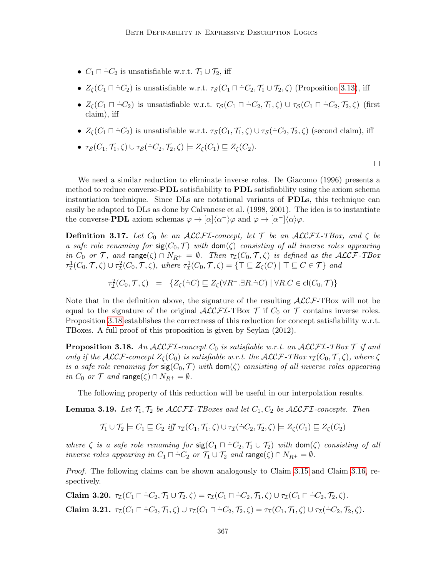- $C_1 \sqcap \neg C_2$  is unsatisfiable w.r.t.  $\mathcal{T}_1 \cup \mathcal{T}_2$ , iff
- $Z_{\zeta}(C_1 \sqcap \neg C_2)$  is unsatisfiable w.r.t.  $\tau_{\mathcal{S}}(C_1 \sqcap \neg C_2, \mathcal{T}_1 \cup \mathcal{T}_2, \zeta)$  (Proposition [3.13\)](#page-18-1), iff
- $Z_{\zeta}(C_1 \sqcap \dot{\neg} C_2)$  is unsatisfiable w.r.t.  $\tau_{\mathcal{S}}(C_1 \sqcap \dot{\neg} C_2, \mathcal{T}_1, \zeta) \cup \tau_{\mathcal{S}}(C_1 \sqcap \dot{\neg} C_2, \mathcal{T}_2, \zeta)$  (first claim), iff
- $Z_{\zeta}(C_1 \sqcap \neg C_2)$  is unsatisfiable w.r.t.  $\tau_{\mathcal{S}}(C_1, \mathcal{T}_1, \zeta) \cup \tau_{\mathcal{S}}(\neg C_2, \mathcal{T}_2, \zeta)$  (second claim), iff
- $\tau_S(C_1, \mathcal{T}_1, \zeta) \cup \tau_S(\dot{\neg} C_2, \mathcal{T}_2, \zeta) \models Z_{\zeta}(C_1) \sqsubseteq Z_{\zeta}(C_2).$

We need a similar reduction to eliminate inverse roles. De Giacomo (1996) presents a method to reduce converse-**PDL** satisfiability to **PDL** satisfiability using the axiom schema instantiation technique. Since DLs are notational variants of PDLs, this technique can easily be adapted to DLs as done by Calvanese et al. (1998, 2001). The idea is to instantiate the converse-**PDL** axiom schemas  $\varphi \to [\alpha](\alpha^{-})\varphi$  and  $\varphi \to [\alpha^{-}]\langle \alpha \rangle \varphi$ .

**Definition 3.17.** Let  $C_0$  be an ALCFI-concept, let  $\mathcal T$  be an ALCFI-TBox, and  $\zeta$  be a safe role renaming for  $sig(C_0, \mathcal{T})$  with  $dom(\zeta)$  consisting of all inverse roles appearing in  $C_0$  or T, and range( $\zeta$ )  $\cap N_{R^+} = \emptyset$ . Then  $\tau_{\mathcal{I}}(C_0, \mathcal{T}, \zeta)$  is defined as the ALCF-TBox  $\tau^1_\mathcal{I}(C_0,\mathcal{T},\zeta) \cup \tau^2_\mathcal{I}(C_0,\mathcal{T},\zeta)$ , where  $\tau^1_\mathcal{I}(C_0,\mathcal{T},\zeta) = \{ \top \sqsubseteq Z_\zeta(C) \mid \top \sqsubseteq C \in \mathcal{T} \}$  and

$$
\tau^2_{\mathcal{I}}(C_0,\mathcal{T},\zeta) = \{Z_{\zeta}(\dot{\neg}C) \sqsubseteq Z_{\zeta}(\forall R^-.\exists R.\dot{\neg}C) \mid \forall R.C \in \mathrm{cl}(C_0,\mathcal{T})\}
$$

Note that in the definition above, the signature of the resulting  $\mathcal{ALCF}\text{-}\text{TBox}$  will not be equal to the signature of the original  $\mathcal{ALCFT}\text{-}\mathrm{TBox}$   $\mathcal T$  if  $C_0$  or  $\mathcal T$  contains inverse roles. Proposition [3.18](#page-20-1) establishes the correctness of this reduction for concept satisfiability w.r.t. TBoxes. A full proof of this proposition is given by Seylan (2012).

<span id="page-20-1"></span>**Proposition 3.18.** An ALCFI-concept  $C_0$  is satisfiable w.r.t. an ALCFI-TBox  $\mathcal T$  if and only if the  $\mathcal{ALCF}$ -concept  $Z_c(C_0)$  is satisfiable w.r.t. the  $\mathcal{ALCF}\text{-}TBox\tau_T(C_0, \mathcal{T}, \zeta)$ , where  $\zeta$ is a safe role renaming for  $sig(C_0, \mathcal{T})$  with  $dom(\zeta)$  consisting of all inverse roles appearing in  $C_0$  or  $\mathcal T$  and range( $\zeta$ )  $\cap N_{R^+} = \emptyset$ .

The following property of this reduction will be useful in our interpolation results.

<span id="page-20-0"></span>**Lemma 3.19.** Let  $\mathcal{T}_1, \mathcal{T}_2$  be  $\mathcal{ALCFL}\text{-}T\text{Boxes}$  and let  $C_1, C_2$  be  $\mathcal{ALCFL}\text{-}concepts.$  Then

$$
\mathcal{T}_1 \cup \mathcal{T}_2 \models C_1 \sqsubseteq C_2 \text{ iff } \tau_{\mathcal{I}}(C_1, \mathcal{T}_1, \zeta) \cup \tau_{\mathcal{I}}(\neg C_2, \mathcal{T}_2, \zeta) \models Z_{\zeta}(C_1) \sqsubseteq Z_{\zeta}(C_2)
$$

where  $\zeta$  is a safe role renaming for  $\text{sig}(C_1 \cap \neg C_2, \mathcal{T}_1 \cup \mathcal{T}_2)$  with  $\text{dom}(\zeta)$  consisting of all inverse roles appearing in  $C_1 \sqcap \neg C_2$  or  $\mathcal{T}_1 \cup \mathcal{T}_2$  and range $(\zeta) \cap N_{R^+} = \emptyset$ .

Proof. The following claims can be shown analogously to Claim [3.15](#page-19-1) and Claim [3.16,](#page-19-2) respectively.

Claim 3.20.  $\tau_{\mathcal{I}}(C_1 \sqcap \neg C_2, \mathcal{T}_1 \cup \mathcal{T}_2, \zeta) = \tau_{\mathcal{I}}(C_1 \sqcap \neg C_2, \mathcal{T}_1, \zeta) \cup \tau_{\mathcal{I}}(C_1 \sqcap \neg C_2, \mathcal{T}_2, \zeta).$ Claim 3.21.  $\tau_{\mathcal{I}}(C_1 \sqcap \neg C_2, \mathcal{T}_1, \zeta) \cup \tau_{\mathcal{I}}(C_1 \sqcap \neg C_2, \mathcal{T}_2, \zeta) = \tau_{\mathcal{I}}(C_1, \mathcal{T}_1, \zeta) \cup \tau_{\mathcal{I}}(\neg C_2, \mathcal{T}_2, \zeta).$   $\Box$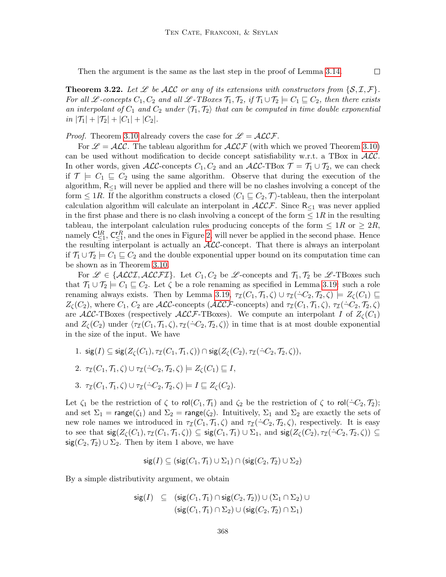Then the argument is the same as the last step in the proof of Lemma [3.14.](#page-19-0)

<span id="page-21-0"></span>**Theorem 3.22.** Let L be ALC or any of its extensions with constructors from  $\{S, \mathcal{I}, \mathcal{F}\}\$ . For all L-concepts  $C_1, C_2$  and all L-TBoxes  $\mathcal{T}_1, \mathcal{T}_2$ , if  $\mathcal{T}_1 \cup \mathcal{T}_2 \models C_1 \sqsubseteq C_2$ , then there exists an interpolant of  $C_1$  and  $C_2$  under  $\langle \mathcal{T}_1, \mathcal{T}_2 \rangle$  that can be computed in time double exponential in  $|\mathcal{T}_1| + |\mathcal{T}_2| + |C_1| + |C_2|$ .

 $\Box$ 

*Proof.* Theorem [3.10](#page-15-0) already covers the case for  $\mathscr{L} = \mathscr{ALCF}$ .

For  $\mathscr{L} = \mathscr{ALC}$ . The tableau algorithm for  $\mathscr{ALCF}$  (with which we proved Theorem [3.10\)](#page-15-0) can be used without modification to decide concept satisfiability w.r.t. a TBox in  $ALC$ . In other words, given  $\mathcal{ALC}$ -concepts  $C_1, C_2$  and an  $\mathcal{ALC}\text{-TBox }\mathcal{T} = \mathcal{T}_1 \cup \mathcal{T}_2$ , we can check if  $\mathcal{T} \models C_1 \sqsubseteq C_2$  using the same algorithm. Observe that during the execution of the algorithm,  $R_{\leq 1}$  will never be applied and there will be no clashes involving a concept of the form  $\leq 1R$ . If the algorithm constructs a closed  $\langle C_1 \sqsubseteq C_2, \mathcal{T} \rangle$ -tableau, then the interpolant calculation algorithm will calculate an interpolant in  $ALCF$ . Since  $R_{\leq 1}$  was never applied in the first phase and there is no clash involving a concept of the form  $\leq 1R$  in the resulting tableau, the interpolant calculation rules producing concepts of the form  $\leq 1R$  or  $\geq 2R$ , namely  $C_{\leq 1}^R$ ,  $C_{\leq 1}^R$ , and the ones in Figure [2,](#page-15-1) will never be applied in the second phase. Hence the resulting interpolant is actually an  $\text{ALC-concept.}$  That there is always an interpolant if  $\mathcal{T}_1 \cup \mathcal{T}_2 \models C_1 \sqsubseteq C_2$  and the double exponential upper bound on its computation time can be shown as in Theorem [3.10.](#page-15-0)

For  $\mathscr{L} \in \{\text{ALCI}, \text{ALCFT}\}\.$  Let  $C_1, C_2$  be  $\mathscr{L}\text{-concepts}$  and  $\mathcal{T}_1, \mathcal{T}_2$  be  $\mathscr{L}\text{-TBoxes}$  such that  $\mathcal{T}_1 \cup \mathcal{T}_2 \models C_1 \sqsubseteq C_2$ . Let  $\zeta$  be a role renaming as specified in Lemma [3.19:](#page-20-0) such a role renaming always exists. Then by Lemma [3.19,](#page-20-0)  $\tau_{\mathcal{I}}(C_1, \mathcal{T}_1, \zeta) \cup \tau_{\mathcal{I}}(\neg C_2, \mathcal{T}_2, \zeta) \models Z_{\zeta}(C_1) \sqsubseteq$  $Z_{\mathcal{C}}(C_2)$ , where  $C_1$ ,  $C_2$  are ALC-concepts (ALCF-concepts) and  $\tau_{\mathcal{I}}(C_1, \mathcal{T}_1, \zeta)$ ,  $\tau_{\mathcal{I}}(\neg C_2, \mathcal{T}_2, \zeta)$ are ALC-TBoxes (respectively ALCF-TBoxes). We compute an interpolant I of  $Z_{\zeta}(C_1)$ and  $Z_{\zeta}(C_2)$  under  $\langle \tau_{\mathcal{I}}(C_1, \mathcal{T}_1, \zeta), \tau_{\mathcal{I}}(\neg C_2, \mathcal{T}_2, \zeta) \rangle$  in time that is at most double exponential in the size of the input. We have

1.  $\text{sig}(I) \subseteq \text{sig}(Z_c(C_1), \tau_{\mathcal{I}}(C_1, \mathcal{T}_1, \zeta)) \cap \text{sig}(Z_c(C_2), \tau_{\mathcal{I}}(\neg C_2, \mathcal{T}_2, \zeta)),$ 2.  $\tau_{\mathcal{I}}(C_1, \mathcal{T}_1, \zeta) \cup \tau_{\mathcal{I}}(\neg C_2, \mathcal{T}_2, \zeta) \models Z_{\zeta}(C_1) \sqsubseteq I,$ 

3. 
$$
\tau_{\mathcal{I}}(C_1, \mathcal{T}_1, \zeta) \cup \tau_{\mathcal{I}}(\neg C_2, \mathcal{T}_2, \zeta) \models I \sqsubseteq Z_{\zeta}(C_2).
$$

Let  $\zeta_1$  be the restriction of  $\zeta$  to rol $(C_1, \mathcal{T}_1)$  and  $\zeta_2$  be the restriction of  $\zeta$  to rol( $\dot{\neg} C_2, \mathcal{T}_2$ ); and set  $\Sigma_1$  = range( $\zeta_1$ ) and  $\Sigma_2$  = range( $\zeta_2$ ). Intuitively,  $\Sigma_1$  and  $\Sigma_2$  are exactly the sets of new role names we introduced in  $\tau_{\mathcal{I}}(C_1, \mathcal{T}_1, \zeta)$  and  $\tau_{\mathcal{I}}(\neg C_2, \mathcal{T}_2, \zeta)$ , respectively. It is easy to see that  $\operatorname{sig}(Z_{\zeta}(C_1), \tau_{\mathcal{I}}(C_1, \mathcal{T}_1, \zeta)) \subseteq \operatorname{sig}(C_1, \mathcal{T}_1) \cup \Sigma_1$ , and  $\operatorname{sig}(Z_{\zeta}(C_2), \tau_{\mathcal{I}}(\dot{\neg}C_2, \mathcal{T}_2, \zeta)) \subseteq$  $sig(C_2, \mathcal{T}_2) \cup \Sigma_2$ . Then by item 1 above, we have

$$
\mathsf{sig}(I) \subseteq (\mathsf{sig}(C_1,\mathcal{T}_1) \cup \Sigma_1) \cap (\mathsf{sig}(C_2,\mathcal{T}_2) \cup \Sigma_2)
$$

By a simple distributivity argument, we obtain

$$
\begin{array}{rl} \mathsf{sig}(I) & \subseteq & (\mathsf{sig}(C_1,\mathcal{T}_1) \cap \mathsf{sig}(C_2,\mathcal{T}_2)) \cup (\Sigma_1 \cap \Sigma_2) \cup \\ & (\mathsf{sig}(C_1,\mathcal{T}_1) \cap \Sigma_2) \cup (\mathsf{sig}(C_2,\mathcal{T}_2) \cap \Sigma_1) \end{array}
$$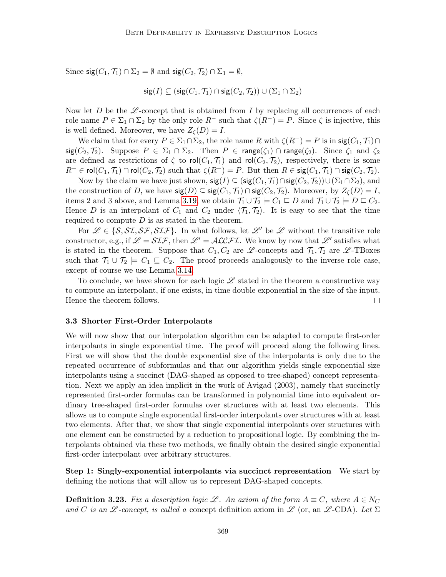Since  $sig(C_1, \mathcal{T}_1) \cap \Sigma_2 = \emptyset$  and  $sig(C_2, \mathcal{T}_2) \cap \Sigma_1 = \emptyset$ ,

$$
\mathsf{sig}(I) \subseteq (\mathsf{sig}(C_1,\mathcal{T}_1) \cap \mathsf{sig}(C_2,\mathcal{T}_2)) \cup (\Sigma_1 \cap \Sigma_2)
$$

Now let D be the L-concept that is obtained from I by replacing all occurrences of each role name  $P \in \Sigma_1 \cap \Sigma_2$  by the only role  $R^-$  such that  $\zeta(R^-) = P$ . Since  $\zeta$  is injective, this is well defined. Moreover, we have  $Z_{\zeta}(D) = I$ .

We claim that for every  $P \in \Sigma_1 \cap \Sigma_2$ , the role name R with  $\zeta(R^-) = P$  is in  $sig(C_1, \mathcal{T}_1) \cap$  $sig(C_2, \mathcal{T}_2)$ . Suppose  $P \in \Sigma_1 \cap \Sigma_2$ . Then  $P \in range(\zeta_1) \cap range(\zeta_2)$ . Since  $\zeta_1$  and  $\zeta_2$ are defined as restrictions of  $\zeta$  to rol $(C_1, \mathcal{T}_1)$  and rol $(C_2, \mathcal{T}_2)$ , respectively, there is some  $R^{-} \in \text{rol}(C_1, \mathcal{T}_1) \cap \text{rol}(C_2, \mathcal{T}_2)$  such that  $\zeta(R^{-}) = P$ . But then  $R \in \text{sig}(C_1, \mathcal{T}_1) \cap \text{sig}(C_2, \mathcal{T}_2)$ .

Now by the claim we have just shown,  $sig(I) \subseteq (sig(C_1, \mathcal{T}_1) \cap sig(C_2, \mathcal{T}_2)) \cup (\Sigma_1 \cap \Sigma_2)$ , and the construction of D, we have  $sig(D) \subseteq sig(C_1, \mathcal{T}_1) \cap sig(C_2, \mathcal{T}_2)$ . Moreover, by  $Z_{\zeta}(D) = I$ , items 2 and 3 above, and Lemma [3.19,](#page-20-0) we obtain  $\mathcal{T}_1 \cup \mathcal{T}_2 \models C_1 \sqsubseteq D$  and  $\mathcal{T}_1 \cup \mathcal{T}_2 \models D \sqsubseteq C_2$ . Hence D is an interpolant of  $C_1$  and  $C_2$  under  $\langle \mathcal{T}_1, \mathcal{T}_2 \rangle$ . It is easy to see that the time required to compute  $D$  is as stated in the theorem.

For  $\mathscr{L} \in \{S, \mathcal{SI}, \mathcal{SF}, \mathcal{SLF}\}\.$  In what follows, let  $\mathscr{L}'$  be  $\mathscr{L}$  without the transitive role constructor, e.g., if  $\mathscr{L} = \mathcal{SIF}$ , then  $\mathscr{L}' = \mathcal{ALCFL}$ . We know by now that  $\mathscr{L}'$  satisfies what is stated in the theorem. Suppose that  $C_1, C_2$  are  $\mathscr{L}$ -concepts and  $\mathcal{T}_1, \mathcal{T}_2$  are  $\mathscr{L}$ -TBoxes such that  $\mathcal{T}_1 \cup \mathcal{T}_2 \models C_1 \sqsubseteq C_2$ . The proof proceeds analogously to the inverse role case, except of course we use Lemma [3.14.](#page-19-0)

To conclude, we have shown for each logic  $\mathscr L$  stated in the theorem a constructive way to compute an interpolant, if one exists, in time double exponential in the size of the input. Hence the theorem follows.  $\Box$ 

#### <span id="page-22-0"></span>3.3 Shorter First-Order Interpolants

We will now show that our interpolation algorithm can be adapted to compute first-order interpolants in single exponential time. The proof will proceed along the following lines. First we will show that the double exponential size of the interpolants is only due to the repeated occurrence of subformulas and that our algorithm yields single exponential size interpolants using a succinct (DAG-shaped as opposed to tree-shaped) concept representation. Next we apply an idea implicit in the work of Avigad (2003), namely that succinctly represented first-order formulas can be transformed in polynomial time into equivalent ordinary tree-shaped first-order formulas over structures with at least two elements. This allows us to compute single exponential first-order interpolants over structures with at least two elements. After that, we show that single exponential interpolants over structures with one element can be constructed by a reduction to propositional logic. By combining the interpolants obtained via these two methods, we finally obtain the desired single exponential first-order interpolant over arbitrary structures.

Step 1: Singly-exponential interpolants via succinct representation We start by defining the notions that will allow us to represent DAG-shaped concepts.

**Definition 3.23.** Fix a description logic Let An axiom of the form  $A \equiv C$ , where  $A \in N_C$ and C is an L-concept, is called a concept definition axiom in L (or, an L-CDA). Let  $\Sigma$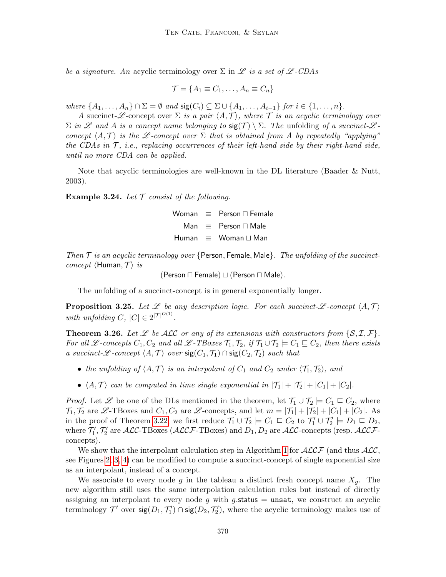be a signature. An acyclic terminology over  $\Sigma$  in  $\mathscr L$  is a set of  $\mathscr L$ -CDAs

$$
\mathcal{T} = \{A_1 \equiv C_1, \ldots, A_n \equiv C_n\}
$$

where  $\{A_1, \ldots, A_n\} \cap \Sigma = \emptyset$  and  $\text{sig}(C_i) \subseteq \Sigma \cup \{A_1, \ldots, A_{i-1}\}$  for  $i \in \{1, \ldots, n\}$ .

A succinct-L-concept over  $\Sigma$  is a pair  $\langle A, \mathcal{T} \rangle$ , where T is an acyclic terminology over  $\Sigma$  in L and A is a concept name belonging to  $\text{sig}(\mathcal{T}) \setminus \Sigma$ . The unfolding of a succinct-Lconcept  $\langle A, \mathcal{T} \rangle$  is the L-concept over  $\Sigma$  that is obtained from A by repeatedly "applying" the CDAs in  $\mathcal{T}$ , i.e., replacing occurrences of their left-hand side by their right-hand side, until no more CDA can be applied.

Note that acyclic terminologies are well-known in the DL literature (Baader & Nutt, 2003).

**Example 3.24.** Let  $\mathcal T$  consist of the following.

Woman  $\equiv$  Person  $\Box$  Female Man  $\equiv$  Person  $\Box$  Male Human  $\equiv$  Woman  $\sqcup$  Man

Then  $\mathcal T$  is an acyclic terminology over {Person, Female, Male}. The unfolding of the succinct*concept*  $\langle$ Human,  $\mathcal{T} \rangle$  *is* 

(Person  $\sqcap$  Female)  $\sqcup$  (Person  $\sqcap$  Male).

The unfolding of a succinct-concept is in general exponentially longer.

**Proposition 3.25.** Let  $\mathscr L$  be any description logic. For each succinct- $\mathscr L$ -concept  $\langle A, \mathcal T \rangle$ with unfolding C,  $|C| \in 2^{|\mathcal{T}|^{O(1)}}$ .

<span id="page-23-0"></span>**Theorem 3.26.** Let  $\mathscr L$  be ALC or any of its extensions with constructors from  $\{S, \mathcal I, \mathcal F\}$ . For all L-concepts  $C_1, C_2$  and all L-TBoxes  $\mathcal{T}_1, \mathcal{T}_2$ , if  $\mathcal{T}_1 \cup \mathcal{T}_2 \models C_1 \sqsubseteq C_2$ , then there exists a succinct-L -concept  $\langle A, \mathcal{T} \rangle$  over  $sig(C_1, \mathcal{T}_1) \cap sig(C_2, \mathcal{T}_2)$  such that

- the unfolding of  $\langle A, \mathcal{T} \rangle$  is an interpolant of  $C_1$  and  $C_2$  under  $\langle \mathcal{T}_1, \mathcal{T}_2 \rangle$ , and
- $\langle A, \mathcal{T} \rangle$  can be computed in time single exponential in  $|\mathcal{T}_1| + |\mathcal{T}_2| + |C_1| + |C_2|$ .

*Proof.* Let  $\mathscr L$  be one of the DLs mentioned in the theorem, let  $\mathcal T_1 \cup \mathcal T_2 \models C_1 \sqsubseteq C_2$ , where  $\mathcal{T}_1, \mathcal{T}_2$  are  $\mathscr{L}\text{-}\text{TDoxes}$  and  $C_1, C_2$  are  $\mathscr{L}\text{-}\text{concepts}$ , and let  $m = |\mathcal{T}_1| + |\mathcal{T}_2| + |C_1| + |C_2|$ . As in the proof of Theorem [3.22,](#page-21-0) we first reduce  $\mathcal{T}_1 \cup \mathcal{T}_2 \models C_1 \sqsubseteq C_2$  to  $\mathcal{T}'_1 \cup \mathcal{T}'_2 \models D_1 \sqsubseteq D_2$ , where T 0 1 , T 0 2 are ALC-TBoxes (ALCF-TBoxes) and D1, D<sup>2</sup> are ALC-concepts (resp. ALCFconcepts).

We show that the interpolant calculation step in Algorithm [1](#page-14-0) for  $\mathcal{ALCF}$  (and thus  $\mathcal{ALC}$ , see Figures [2,](#page-15-1) [3,](#page-16-0) [4\)](#page-17-1) can be modified to compute a succinct-concept of single exponential size as an interpolant, instead of a concept.

We associate to every node g in the tableau a distinct fresh concept name  $X_q$ . The new algorithm still uses the same interpolation calculation rules but instead of directly assigning an interpolant to every node g with g.status  $=$  unsat, we construct an acyclic terminology  $\mathcal{T}'$  over  $\mathsf{sig}(D_1, \mathcal{T}'_1) \cap \mathsf{sig}(D_2, \mathcal{T}'_2)$ , where the acyclic terminology makes use of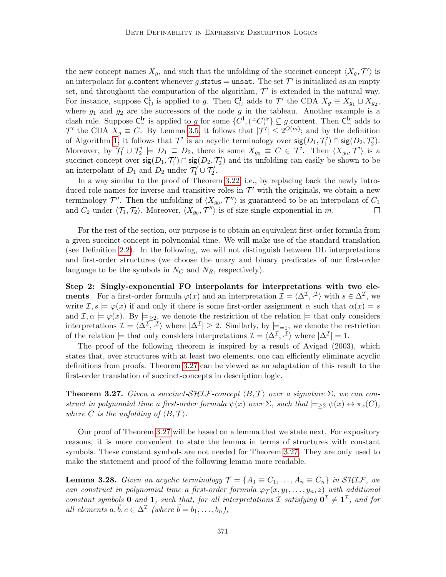the new concept names  $X_g$ , and such that the unfolding of the succinct-concept  $\langle X_g, \mathcal{T}' \rangle$  is an interpolant for g.content whenever g.status = unsat. The set  $\mathcal{T}'$  is initialized as an empty set, and throughout the computation of the algorithm,  $\mathcal{T}'$  is extended in the natural way. For instance, suppose  $C^1_{\square}$  is applied to g. Then  $C^1_{\square}$  adds to  $\mathcal{T}'$  the CDA  $X_g \equiv X_{g_1} \sqcup X_{g_2}$ , where  $g_1$  and  $g_2$  are the successors of the node g in the tableau. Another example is a clash rule. Suppose  $C^{\text{lr}}_{\neg}$  is applied to g for some  $\{C^{\text{l}}, (\dot{\neg}C)^{\text{r}}\} \subseteq g$  content. Then  $C^{\text{lr}}_{\neg}$  adds to  $\mathcal{T}'$  the CDA  $X_g \equiv C$ . By Lemma [3.5,](#page-12-1) it follows that  $|\mathcal{T}'| \leq 2^{O(m)}$ ; and by the definition of Algorithm [1,](#page-14-0) it follows that  $\mathcal{T}'$  is an acyclic terminology over  $\mathsf{sig}(D_1, \mathcal{T}'_1) \cap \mathsf{sig}(D_2, \mathcal{T}'_2)$ . Moreover, by  $\mathcal{T}'_1 \cup \mathcal{T}'_2 \models D_1 \sqsubseteq D_2$ , there is some  $X_{g_0} \equiv C \in \mathcal{T}'$ . Then  $\langle X_{g_0}, \mathcal{T}' \rangle$  is a succinct-concept over  $\mathsf{sig}(D_1, \mathcal{T}_1') \cap \mathsf{sig}(D_2, \mathcal{T}_2')$  and its unfolding can easily be shown to be an interpolant of  $D_1$  and  $D_2$  under  $\mathcal{T}_1' \cup \mathcal{T}_2'$ .

In a way similar to the proof of Theorem [3.22,](#page-21-0) i.e., by replacing back the newly introduced role names for inverse and transitive roles in  $\mathcal{T}'$  with the originals, we obtain a new terminology  $\mathcal{T}''$ . Then the unfolding of  $\langle X_{g_0}, \mathcal{T}'' \rangle$  is guaranteed to be an interpolant of  $C_1$ and  $C_2$  under  $\langle \mathcal{T}_1, \mathcal{T}_2 \rangle$ . Moreover,  $\langle X_{g_0}, \mathcal{T}'' \rangle$  is of size single exponential in m.  $\Box$ 

For the rest of the section, our purpose is to obtain an equivalent first-order formula from a given succinct-concept in polynomial time. We will make use of the standard translation (see Definition [2.2\)](#page-8-0). In the following, we will not distinguish between DL interpretations and first-order structures (we choose the unary and binary predicates of our first-order language to be the symbols in  $N_C$  and  $N_R$ , respectively).

Step 2: Singly-exponential FO interpolants for interpretations with two ele**ments** For a first-order formula  $\varphi(x)$  and an interpretation  $\mathcal{I} = \langle \Delta^{\mathcal{I}}, \cdot^{\mathcal{I}} \rangle$  with  $s \in \Delta^{\mathcal{I}}$ , we write  $\mathcal{I}, s \models \varphi(x)$  if and only if there is some first-order assignment  $\alpha$  such that  $\alpha(x) = s$ and  $\mathcal{I}, \alpha \models \varphi(x)$ . By  $\models_{\geq 2}$ , we denote the restriction of the relation  $\models$  that only considers interpretations  $\mathcal{I} = \langle \Delta^{\mathcal{I}}, \mathcal{I} \rangle$  where  $|\Delta^{\mathcal{I}}| \geq 2$ . Similarly, by  $\models_{=1}$ , we denote the restriction of the relation  $\models$  that only considers interpretations  $\mathcal{I} = \langle \Delta^{\mathcal{I}}, \cdot^{\mathcal{I}} \rangle$  where  $|\Delta^{\mathcal{I}}| = 1$ .

The proof of the following theorem is inspired by a result of Avigad (2003), which states that, over structures with at least two elements, one can efficiently eliminate acyclic definitions from proofs. Theorem [3.27](#page-24-0) can be viewed as an adaptation of this result to the first-order translation of succinct-concepts in description logic.

<span id="page-24-0"></span>**Theorem 3.27.** Given a succinct-SHIF-concept  $\langle B, \mathcal{T} \rangle$  over a signature  $\Sigma$ , we can construct in polynomial time a first-order formula  $\psi(x)$  over  $\Sigma$ , such that  $\models_{\geq 2} \psi(x) \leftrightarrow \pi_x(C)$ , where C is the unfolding of  $\langle B, \mathcal{T} \rangle$ .

Our proof of Theorem [3.27](#page-24-0) will be based on a lemma that we state next. For expository reasons, it is more convenient to state the lemma in terms of structures with constant symbols. These constant symbols are not needed for Theorem [3.27.](#page-24-0) They are only used to make the statement and proof of the following lemma more readable.

<span id="page-24-1"></span>**Lemma 3.28.** Given an acyclic terminology  $\mathcal{T} = \{A_1 \equiv C_1, \ldots, A_n \equiv C_n\}$  in  $\mathcal{SHIF}$ , we can construct in polynomial time a first-order formula  $\varphi_T(x, y_1, \ldots, y_n, z)$  with additional constant symbols 0 and 1, such that, for all interpretations  $\mathcal I$  satisfying  $\mathbf{0}^{\mathcal I} \neq \mathbf{1}^{\mathcal I}$ , and for all elements  $a, \vec{b}, c \in \Delta^{\mathcal{I}}$  (where  $\vec{b} = b_1, \ldots, b_n$ ),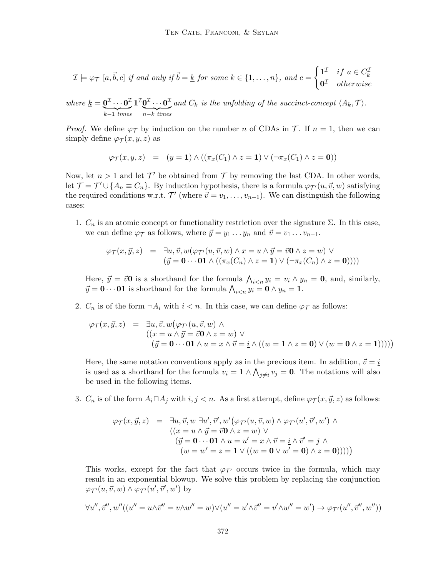$$
\mathcal{I} \models \varphi_{\mathcal{T}} \ [a, \vec{b}, c] \ \text{if and only if} \ \vec{b} = \underline{k} \ \text{for some} \ k \in \{1, \dots, n\}, \ \text{and} \ c = \begin{cases} \mathbf{1}^{\mathcal{I}} & \text{if} \ a \in C_{k}^{\mathcal{I}} \\ \mathbf{0}^{\mathcal{I}} & \text{otherwise} \end{cases}
$$

where 
$$
\underline{k} = \underbrace{\mathbf{0}^{\mathcal{I}} \cdots \mathbf{0}^{\mathcal{I}}}_{k-1 \text{ times}} \mathbf{1}^{\mathcal{I}} \underbrace{\mathbf{0}^{\mathcal{I}} \cdots \mathbf{0}^{\mathcal{I}}}_{n-k \text{ times}} \text{ and } C_k
$$
 is the unfolding of the succinct-concept  $\langle A_k, \mathcal{T} \rangle$ .

*Proof.* We define  $\varphi_{\mathcal{T}}$  by induction on the number n of CDAs in T. If  $n = 1$ , then we can simply define  $\varphi_{\mathcal{T}}(x, y, z)$  as

$$
\varphi_{\mathcal{T}}(x, y, z) = (y = 1) \land ((\pi_x(C_1) \land z = 1) \lor (\neg \pi_x(C_1) \land z = 0))
$$

Now, let  $n > 1$  and let  $\mathcal{T}'$  be obtained from  $\mathcal{T}$  by removing the last CDA. In other words, let  $\mathcal{T} = \mathcal{T}' \cup \{A_n \equiv C_n\}$ . By induction hypothesis, there is a formula  $\varphi_{\mathcal{T}'}(u, \vec{v}, w)$  satisfying the required conditions w.r.t.  $\mathcal{T}'$  (where  $\vec{v} = v_1, \ldots, v_{n-1}$ ). We can distinguish the following cases:

1.  $C_n$  is an atomic concept or functionality restriction over the signature  $\Sigma$ . In this case, we can define  $\varphi_{\mathcal{T}}$  as follows, where  $\vec{y} = y_1 \dots y_n$  and  $\vec{v} = v_1 \dots v_{n-1}$ .

$$
\varphi_{\mathcal{T}}(x, \vec{y}, z) = \exists u, \vec{v}, w(\varphi_{\mathcal{T}'}(u, \vec{v}, w) \land x = u \land \vec{y} = \vec{v} \mathbf{0} \land z = w) \lor (\vec{y} = \mathbf{0} \cdots \mathbf{0} \mathbf{1} \land ((\pi_x(C_n) \land z = \mathbf{1}) \lor (\neg \pi_x(C_n) \land z = \mathbf{0}))))
$$

Here,  $\vec{y} = \vec{v}$ **O** is a shorthand for the formula  $\bigwedge_{i \leq n} y_i = v_i \wedge y_n = 0$ , and, similarly,  $\vec{y} = \mathbf{0} \cdots \mathbf{0} \mathbf{1}$  is shorthand for the formula  $\bigwedge_{i \leq n} y_i = \mathbf{0} \wedge y_n = \mathbf{1}$ .

2.  $C_n$  is of the form  $\neg A_i$  with  $i < n$ . In this case, we can define  $\varphi_{\mathcal{T}}$  as follows:

$$
\varphi_{\mathcal{T}}(x, \vec{y}, z) = \exists u, \vec{v}, w \left( \varphi_{\mathcal{T}'}(u, \vec{v}, w) \land (x = u \land \vec{y} = \vec{v} \mathbf{0} \land z = w) \lor ((\vec{y} = \mathbf{0} \cdots \mathbf{0} \mathbf{1} \land u = x \land \vec{v} = \underline{i} \land ((w = \mathbf{1} \land z = \mathbf{0}) \lor (w = \mathbf{0} \land z = \mathbf{1}))))\right)
$$

Here, the same notation conventions apply as in the previous item. In addition,  $\vec{v} = \underline{i}$ is used as a shorthand for the formula  $v_i = \mathbf{1} \wedge \bigwedge_{j \neq i} v_j = \mathbf{0}$ . The notations will also be used in the following items.

3.  $C_n$  is of the form  $A_i \square A_j$  with  $i, j < n$ . As a first attempt, define  $\varphi_{\mathcal{T}}(x, \vec{y}, z)$  as follows:

$$
\varphi_{\mathcal{T}}(x, \vec{y}, z) = \exists u, \vec{v}, w \exists u', \vec{v}', w' \big( \varphi_{\mathcal{T}'}(u, \vec{v}, w) \land \varphi_{\mathcal{T}'}(u', \vec{v}', w') \land ((x = u \land \vec{y} = \vec{v} \mathbf{0} \land z = w) \lor (\vec{y} = \mathbf{0} \cdots \mathbf{0} \mathbf{1} \land u = u' = x \land \vec{v} = \underline{i} \land \vec{v}' = \underline{j} \land (w = w' = z = \mathbf{1} \lor ((w = \mathbf{0} \lor w' = \mathbf{0}) \land z = \mathbf{0}))))
$$

This works, except for the fact that  $\varphi_{\mathcal{T}}$  occurs twice in the formula, which may result in an exponential blowup. We solve this problem by replacing the conjunction  $\varphi_{\mathcal{T}'}(u, \vec{v}, w) \wedge \varphi_{\mathcal{T}'}(u', \vec{v}', w')$  by

$$
\forall u'', \vec{v}'', w''((u'' = u \wedge \vec{v}' = v \wedge w'' = w) \vee (u'' = u' \wedge \vec{v}' = v' \wedge w'' = w') \rightarrow \varphi_{\mathcal{T}'}(u'', \vec{v}'', w''))
$$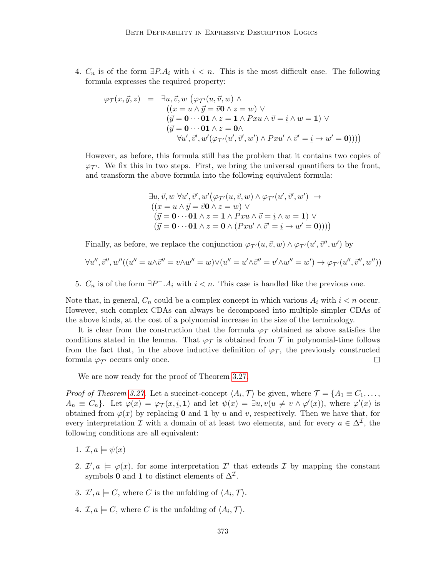4.  $C_n$  is of the form  $\exists P.A_i$  with  $i < n$ . This is the most difficult case. The following formula expresses the required property:

$$
\varphi_{\mathcal{T}}(x, \vec{y}, z) = \exists u, \vec{v}, w \ (\varphi_{\mathcal{T}'}(u, \vec{v}, w) \land ((x = u \land \vec{y} = \vec{v} \mathbf{0} \land z = w) \lor (\vec{y} = \mathbf{0} \cdots \mathbf{0} \mathbf{1} \land z = \mathbf{1} \land P x u \land \vec{v} = \underline{i} \land w = \mathbf{1}) \lor (\vec{y} = \mathbf{0} \cdots \mathbf{0} \mathbf{1} \land z = \mathbf{0} \land \forall u', \vec{v}', w' (\varphi_{\mathcal{T}'}(u', \vec{v}', w') \land P x u' \land \vec{v}' = \underline{i} \rightarrow w' = \mathbf{0})))
$$

However, as before, this formula still has the problem that it contains two copies of  $\varphi_{\mathcal{T}}$ . We fix this in two steps. First, we bring the universal quantifiers to the front, and transform the above formula into the following equivalent formula:

$$
\exists u, \vec{v}, w \,\forall u', \vec{v}', w' \big(\varphi_{\mathcal{T}'}(u, \vec{v}, w) \land \varphi_{\mathcal{T}'}(u', \vec{v}', w') \rightarrow
$$
  

$$
((x = u \land \vec{y} = \vec{v} \mathbf{0} \land z = w) \lor
$$
  

$$
(\vec{y} = \mathbf{0} \cdots \mathbf{0} \mathbf{1} \land z = \mathbf{1} \land P x u \land \vec{v} = \underline{i} \land w = \mathbf{1}) \lor
$$
  

$$
(\vec{y} = \mathbf{0} \cdots \mathbf{0} \mathbf{1} \land z = \mathbf{0} \land (P x u' \land \vec{v}' = \underline{i} \rightarrow w' = \mathbf{0})))
$$

Finally, as before, we replace the conjunction  $\varphi_{\mathcal{T}'}(u, \vec{v}, w) \wedge \varphi_{\mathcal{T}'}(u', \vec{v}'', w')$  by

$$
\forall u'',\vec{v}'',w''((u''=u\wedge\vec{v}''=v\wedge w''=w)\vee (u''=u'\wedge\vec{v}''=v'\wedge w''=w')\rightarrow \varphi_{\mathcal{T}'}(u'',\vec{v}'',w''))
$$

5.  $C_n$  is of the form  $\exists P^- A_i$  with  $i < n$ . This case is handled like the previous one.

Note that, in general,  $C_n$  could be a complex concept in which various  $A_i$  with  $i < n$  occur. However, such complex CDAs can always be decomposed into multiple simpler CDAs of the above kinds, at the cost of a polynomial increase in the size of the terminology.

It is clear from the construction that the formula  $\varphi_{\mathcal{T}}$  obtained as above satisfies the conditions stated in the lemma. That  $\varphi_{\mathcal{T}}$  is obtained from  $\mathcal T$  in polynomial-time follows from the fact that, in the above inductive definition of  $\varphi_{\tau}$ , the previously constructed formula  $\varphi_{\mathcal{T}'}$  occurs only once.  $\Box$ 

We are now ready for the proof of Theorem [3.27.](#page-24-0)

*Proof of Theorem [3.27.](#page-24-0)* Let a succinct-concept  $\langle A_i, \mathcal{T} \rangle$  be given, where  $\mathcal{T} = \{A_1 \equiv C_1, \ldots, A_n\}$  $A_n \equiv C_n$ . Let  $\varphi(x) = \varphi_{\mathcal{T}}(x, \underline{i}, 1)$  and let  $\psi(x) = \exists u, v(u \neq v \land \varphi'(x))$ , where  $\varphi'(x)$  is obtained from  $\varphi(x)$  by replacing 0 and 1 by u and v, respectively. Then we have that, for every interpretation  $\mathcal I$  with a domain of at least two elements, and for every  $a \in \Delta^{\mathcal I}$ , the following conditions are all equivalent:

- 1.  $\mathcal{I}, a \models \psi(x)$
- 2.  $\mathcal{I}', a \models \varphi(x)$ , for some interpretation  $\mathcal{I}'$  that extends  $\mathcal{I}$  by mapping the constant symbols 0 and 1 to distinct elements of  $\Delta^{\mathcal{I}}$ .
- 3.  $\mathcal{I}', a \models C$ , where C is the unfolding of  $\langle A_i, \mathcal{T} \rangle$ .
- 4.  $\mathcal{I}, a \models C$ , where C is the unfolding of  $\langle A_i, \mathcal{T} \rangle$ .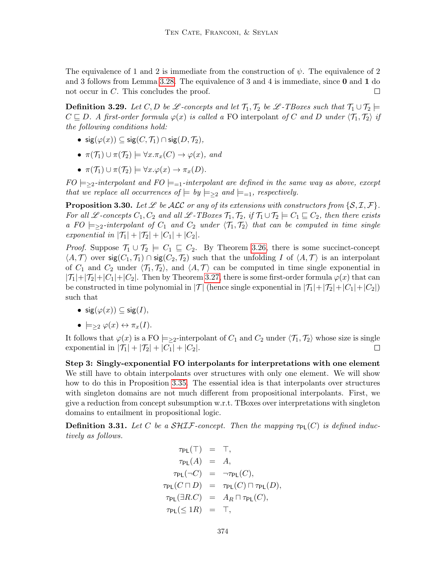The equivalence of 1 and 2 is immediate from the construction of  $\psi$ . The equivalence of 2 and 3 follows from Lemma [3.28.](#page-24-1) The equivalence of 3 and 4 is immediate, since 0 and 1 do not occur in C. This concludes the proof.  $\Box$ 

**Definition 3.29.** Let C, D be L -concepts and let  $\mathcal{T}_1, \mathcal{T}_2$  be L -TBoxes such that  $\mathcal{T}_1 \cup \mathcal{T}_2 \models$  $C \subseteq D$ . A first-order formula  $\varphi(x)$  is called a FO interpolant of C and D under  $\langle \mathcal{T}_1, \mathcal{T}_2 \rangle$  if the following conditions hold:

- sig $(\varphi(x)) \subseteq$  sig $(C, \mathcal{T}_1) \cap$  sig $(D, \mathcal{T}_2)$ ,
- $\pi(\mathcal{T}_1) \cup \pi(\mathcal{T}_2) \models \forall x . \pi_x(C) \rightarrow \varphi(x), \text{ and}$
- $\pi(\mathcal{T}_1) \cup \pi(\mathcal{T}_2) \models \forall x. \varphi(x) \rightarrow \pi_x(D).$

 $FO \models_{\geq 2}$ -interpolant and  $FO \models_{=1}$ -interpolant are defined in the same way as above, except that we replace all occurrences of  $\models by \models_{\geq 2} and \models_{=1}$ , respectively.

<span id="page-27-1"></span>**Proposition 3.30.** Let  $\mathscr L$  be ALC or any of its extensions with constructors from  $\{S, \mathcal{I}, \mathcal{F}\}\$ . For all L-concepts  $C_1, C_2$  and all L-TBoxes  $\mathcal{T}_1, \mathcal{T}_2$ , if  $\mathcal{T}_1 \cup \mathcal{T}_2 \models C_1 \sqsubseteq C_2$ , then there exists a FO  $\models$  >2-interpolant of  $C_1$  and  $C_2$  under  $\langle \mathcal{T}_1, \mathcal{T}_2 \rangle$  that can be computed in time single exponential in  $|\mathcal{T}_1| + |\mathcal{T}_2| + |C_1| + |C_2|$ .

*Proof.* Suppose  $\mathcal{T}_1 \cup \mathcal{T}_2 \models C_1 \sqsubseteq C_2$ . By Theorem [3.26,](#page-23-0) there is some succinct-concept  $\langle A, \mathcal{T} \rangle$  over sig $(C_1, \mathcal{T}_1) \cap$  sig $(C_2, \mathcal{T}_2)$  such that the unfolding I of  $\langle A, \mathcal{T} \rangle$  is an interpolant of  $C_1$  and  $C_2$  under  $\langle \mathcal{T}_1, \mathcal{T}_2 \rangle$ , and  $\langle A, \mathcal{T} \rangle$  can be computed in time single exponential in  $|\mathcal{T}_1|+|\mathcal{T}_2|+|C_1|+|C_2|$ . Then by Theorem [3.27,](#page-24-0) there is some first-order formula  $\varphi(x)$  that can be constructed in time polynomial in  $|\mathcal{T}|$  (hence single exponential in  $|\mathcal{T}_1|+|\mathcal{T}_2|+|C_1|+|C_2|$ ) such that

- $sig(\varphi(x)) \subseteq sig(I)$ ,
- $\bullet \models_{\geq 2} \varphi(x) \leftrightarrow \pi_x(I).$

It follows that  $\varphi(x)$  is a FO  $\models_{\geq 2}$ -interpolant of  $C_1$  and  $C_2$  under  $\langle \mathcal{T}_1, \mathcal{T}_2 \rangle$  whose size is single exponential in  $|\mathcal{T}_1| + |\mathcal{T}_2| + |C_1| + |C_2|$ .  $\Box$ 

Step 3: Singly-exponential FO interpolants for interpretations with one element We still have to obtain interpolants over structures with only one element. We will show how to do this in Proposition [3.35.](#page-30-0) The essential idea is that interpolants over structures with singleton domains are not much different from propositional interpolants. First, we give a reduction from concept subsumption w.r.t. TBoxes over interpretations with singleton domains to entailment in propositional logic.

<span id="page-27-0"></span>**Definition 3.31.** Let C be a  $\mathcal{SHIF}$ -concept. Then the mapping  $\tau_{PI}(C)$  is defined inductively as follows.

$$
\tau_{PL}(\top) = \top,
$$
  
\n
$$
\tau_{PL}(A) = A,
$$
  
\n
$$
\tau_{PL}(\neg C) = \neg \tau_{PL}(C),
$$
  
\n
$$
\tau_{PL}(C \sqcap D) = \tau_{PL}(C) \sqcap \tau_{PL}(D),
$$
  
\n
$$
\tau_{PL}(\exists R.C) = A_R \sqcap \tau_{PL}(C),
$$
  
\n
$$
\tau_{PL}(\leq 1R) = \top,
$$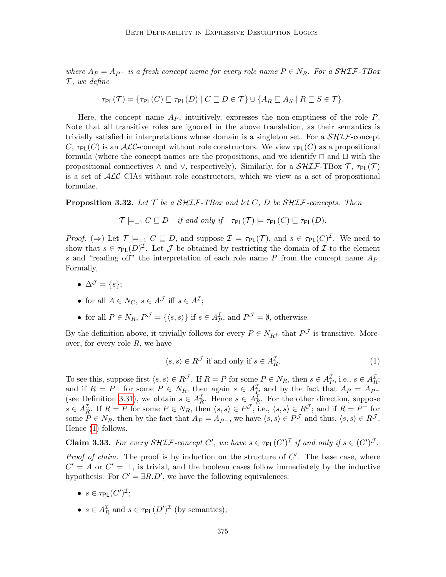where  $A_P = A_{P^-}$  is a fresh concept name for every role name  $P \in N_R$ . For a SHIF-TBox  $\mathcal{T}$ , we define

$$
\tau_{\mathsf{PL}}(\mathcal{T}) = \{ \tau_{\mathsf{PL}}(C) \sqsubseteq \tau_{\mathsf{PL}}(D) \mid C \sqsubseteq D \in \mathcal{T} \} \cup \{ A_R \sqsubseteq A_S \mid R \sqsubseteq S \in \mathcal{T} \}.
$$

Here, the concept name  $A_P$ , intuitively, expresses the non-emptiness of the role P. Note that all transitive roles are ignored in the above translation, as their semantics is trivially satisfied in interpretations whose domain is a singleton set. For a  $\mathcal{SHIF}$ -concept C,  $\tau_{PL}(C)$  is an ALC-concept without role constructors. We view  $\tau_{PL}(C)$  as a propositional formula (where the concept names are the propositions, and we identify  $\sqcap$  and  $\sqcup$  with the propositional connectives  $\land$  and  $\lor$ , respectively). Similarly, for a  $\mathcal{SHIF}\text{-TBox }\mathcal{T}$ ,  $\tau_{PL}(\mathcal{T})$ is a set of  $\mathcal{ALC}$  CIAs without role constructors, which we view as a set of propositional formulae.

<span id="page-28-1"></span>**Proposition 3.32.** Let  $\mathcal{T}$  be a SHIF-TBox and let  $C$ , D be SHIF-concepts. Then

 $\mathcal{T} \models_{=1} C \sqsubseteq D$  if and only if  $\tau_{PL}(\mathcal{T}) \models \tau_{PL}(C) \sqsubseteq \tau_{PL}(D)$ .

Proof.  $(\Rightarrow)$  Let  $\mathcal{T} \models_{=1} C \sqsubseteq D$ , and suppose  $\mathcal{I} \models \tau_{PL}(\mathcal{T})$ , and  $s \in \tau_{PL}(C)^{\mathcal{I}}$ . We need to show that  $s \in \tau_{PL}(D)^{\mathcal{I}}$ . Let  $\mathcal J$  be obtained by restricting the domain of  $\mathcal I$  to the element s and "reading off" the interpretation of each role name  $P$  from the concept name  $A_P$ . Formally,

- $\Delta^{\mathcal{J}} = \{s\};$
- for all  $A \in N_C$ ,  $s \in A^{\mathcal{J}}$  iff  $s \in A^{\mathcal{I}}$ ;
- for all  $P \in N_R$ ,  $P^{\mathcal{J}} = \{ \langle s, s \rangle \}$  if  $s \in A_P^{\mathcal{I}}$ , and  $P^{\mathcal{J}} = \emptyset$ , otherwise.

By the definition above, it trivially follows for every  $P \in N_{R^+}$  that  $P^{\mathcal{J}}$  is transitive. Moreover, for every role  $R$ , we have

<span id="page-28-0"></span>
$$
\langle s, s \rangle \in R^{\mathcal{J}} \text{ if and only if } s \in A_R^{\mathcal{I}}.
$$
 (1)

To see this, suppose first  $\langle s, s \rangle \in R^{\mathcal{J}}$ . If  $R = P$  for some  $P \in N_R$ , then  $s \in A_P^{\mathcal{I}}$ , i.e.,  $s \in A_R^{\mathcal{I}}$ , and if  $R = P^-$  for some  $P \in N_R$ , then again  $s \in A_P^{\mathcal{I}}$  and by the fact that  $A_P = A_{P^-}$ (see Definition [3.31\)](#page-27-0), we obtain  $s \in A_R^{\mathcal{I}}$ . Hence  $s \in A_R^{\mathcal{I}}$ . For the other direction, suppose  $s \in A_R^{\mathcal{I}}$ . If  $R = P$  for some  $P \in N_R$ , then  $\langle s, s \rangle \in P^{\mathcal{J}}$ , i.e.,  $\langle s, s \rangle \in R^{\mathcal{J}}$ ; and if  $R = P^-$  for some  $P \in N_R$ , then by the fact that  $A_P = A_{P^-}$ , we have  $\langle s, s \rangle \in P^{\mathcal{J}}$  and thus,  $\langle s, s \rangle \in R^{\mathcal{J}}$ . Hence [\(1\)](#page-28-0) follows.

**Claim 3.33.** For every SHIF-concept C', we have  $s \in \tau_{PL}(C')^{\mathcal{I}}$  if and only if  $s \in (C')^{\mathcal{J}}$ .

*Proof of claim.* The proof is by induction on the structure of  $C'$ . The base case, where  $C' = A$  or  $C' = \top$ , is trivial, and the boolean cases follow immediately by the inductive hypothesis. For  $C' = \exists R.D'$ , we have the following equivalences:

- $\bullet\;s\in\tau_{\mathsf{PL}}(C')^{\mathcal{I}};$
- $s \in A_R^{\mathcal{I}}$  and  $s \in \tau_{PL}(D')^{\mathcal{I}}$  (by semantics);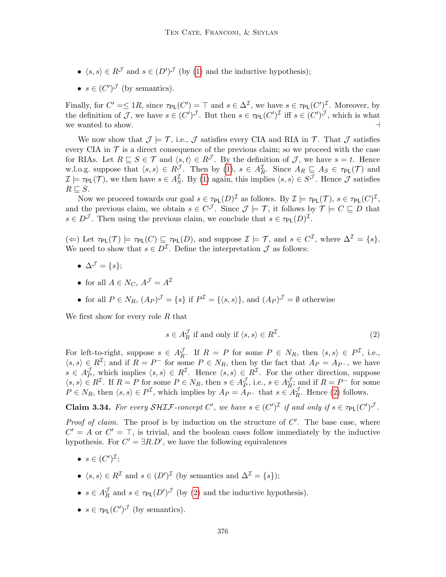- $\langle s, s \rangle \in R^{\mathcal{J}}$  and  $s \in (D')^{\mathcal{J}}$  (by [\(1\)](#page-28-0) and the inductive hypothesis);
- $s \in (C')^{\mathcal{J}}$  (by semantics).

Finally, for  $C' = \leq 1R$ , since  $\tau_{PL}(C') = \top$  and  $s \in \Delta^{\mathcal{I}}$ , we have  $s \in \tau_{PL}(C')^{\mathcal{I}}$ . Moreover, by the definition of J, we have  $s \in (C')^{\mathcal{J}}$ . But then  $s \in \tau_{PL}(C')^{\mathcal{I}}$  iff  $s \in (C')^{\mathcal{J}}$ , which is what we wanted to show.  $\Box$ 

We now show that  $\mathcal{J} \models \mathcal{T}$ , i.e.,  $\mathcal{J}$  satisfies every CIA and RIA in  $\mathcal{T}$ . That  $\mathcal{J}$  satisfies every CIA in  $\mathcal T$  is a direct consequence of the previous claim; so we proceed with the case for RIAs. Let  $R \sqsubseteq S \in \mathcal{T}$  and  $\langle s, t \rangle \in R^{\mathcal{J}}$ . By the definition of  $\mathcal{J}$ , we have  $s = t$ . Hence w.l.o.g. suppose that  $\langle s, s \rangle \in R^{\mathcal{J}}$ . Then by [\(1\)](#page-28-0),  $s \in A_R^{\mathcal{I}}$ . Since  $A_R \sqsubseteq A_S \in \tau_{PL}(\mathcal{T})$  and  $\mathcal{I} \models \tau_{\textsf{PL}}(\mathcal{T})$ , we then have  $s \in A_S^{\mathcal{I}}$ . By [\(1\)](#page-28-0) again, this implies  $\langle s, s \rangle \in S^{\mathcal{J}}$ . Hence  $\mathcal{J}$  satisfies  $R \sqsubseteq S$ .

Now we proceed towards our goal  $s \in \tau_{PL}(D)^{\mathcal{I}}$  as follows. By  $\mathcal{I} \models \tau_{PL}(\mathcal{T}), s \in \tau_{PL}(C)^{\mathcal{I}},$ and the previous claim, we obtain  $s \in C^{\mathcal{J}}$ . Since  $\mathcal{J} \models \mathcal{T}$ , it follows by  $\mathcal{T} \models C \sqsubseteq D$  that  $s \in D^{\mathcal{J}}$ . Then using the previous claim, we conclude that  $s \in \tau_{PL}(D)^{\mathcal{I}}$ .

 $(\Leftarrow)$  Let  $\tau_{PL}(\mathcal{T}) \models \tau_{PL}(C) \sqsubseteq \tau_{PL}(D)$ , and suppose  $\mathcal{I} \models \mathcal{T}$ , and  $s \in C^{\mathcal{I}}$ , where  $\Delta^{\mathcal{I}} = \{s\}.$ We need to show that  $s \in D^{\mathcal{I}}$ . Define the interpretation  $\mathcal{J}$  as follows:

- $\Delta^{\mathcal{J}} = \{s\};$
- for all  $A \in N_C$ ,  $A^{\mathcal{J}} = A^{\mathcal{I}}$
- for all  $P \in N_R$ ,  $(A_P)^{\mathcal{J}} = \{s\}$  if  $P^{\mathcal{I}} = \{\langle s, s \rangle\}$ , and  $(A_P)^{\mathcal{J}} = \emptyset$  otherwise

We first show for every role  $R$  that

<span id="page-29-0"></span>
$$
s \in A_R^{\mathcal{J}} \text{ if and only if } \langle s, s \rangle \in R^{\mathcal{I}}. \tag{2}
$$

For left-to-right, suppose  $s \in A_R^{\mathcal{J}}$  $\mathcal{J}_R$ . If  $R = P$  for some  $P \in N_R$ , then  $\langle s, s \rangle \in P^{\mathcal{I}}$ , i.e.,  $\langle s, s \rangle \in R^{\mathcal{I}}$ ; and if  $R = P^-$  for some  $P \in N_R$ , then by the fact that  $A_P = A_{P^-}$ , we have  $s \in A_P^{\mathcal{J}}$ , which implies  $\langle s, s \rangle \in R^{\mathcal{I}}$ . Hence  $\langle s, s \rangle \in R^{\mathcal{I}}$ . For the other direction, suppose  $\langle s, s \rangle \in R^{\mathcal{I}}$ . If  $R = P$  for some  $P \in N_R$ , then  $s \in A_P^{\mathcal{I}}$  $\mathcal{J}_P$ , i.e.,  $s \in A_R^{\mathcal{J}}$  $\mathcal{J}_R$ ; and if  $R = P^-$  for some  $P \in N_R$ , then  $\langle s, s \rangle \in P^{\mathcal{I}}$ , which implies by  $A_P = A_{P^-}$  that  $s \in A_R^{\mathcal{J}}$  $\frac{\partial}{\partial R}$ . Hence [\(2\)](#page-29-0) follows.

**Claim 3.34.** For every SHIF-concept C', we have  $s \in (C')^{\mathcal{I}}$  if and only if  $s \in \tau_{\mathsf{PL}}(C')^{\mathcal{J}}$ .

*Proof of claim.* The proof is by induction on the structure of  $C'$ . The base case, where  $C' = A$  or  $C' = \top$ , is trivial, and the boolean cases follow immediately by the inductive hypothesis. For  $C' = \exists R.D'$ , we have the following equivalences

- $s \in (C')^{\mathcal{I}};$
- $\langle s, s \rangle \in R^{\mathcal{I}}$  and  $s \in (D')^{\mathcal{I}}$  (by semantics and  $\Delta^{\mathcal{I}} = \{s\}$ );
- $\bullet\ \ s\in A_{B}^{\mathcal{J}}$  $\frac{\mathcal{J}}{R}$  and  $s \in \tau_{PL}(D')^{\mathcal{J}}$  (by [\(2\)](#page-29-0) and the inductive hypothesis).
- $s \in \tau_{PL}(C')^{\mathcal{J}}$  (by semantics).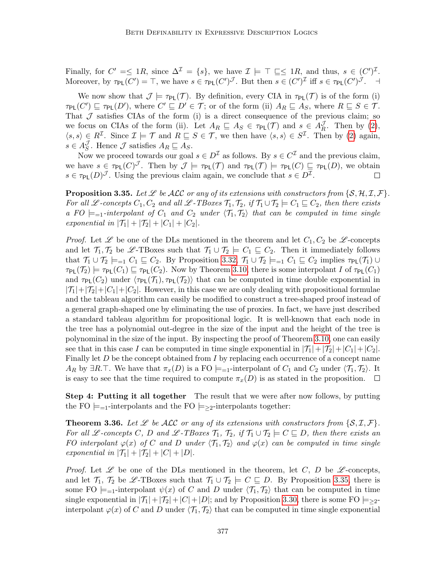Finally, for  $C' = \leq 1R$ , since  $\Delta^{\mathcal{I}} = \{s\}$ , we have  $\mathcal{I} \models \top \sqsubseteq \leq 1R$ , and thus,  $s \in (C')^{\mathcal{I}}$ . Moreover, by  $\tau_{PL}(C') = \top$ , we have  $s \in \tau_{PL}(C')^{\mathcal{J}}$ . But then  $s \in (C')^{\mathcal{I}}$  iff  $s \in \tau_{PL}(C')^{\mathcal{J}}$ .

We now show that  $\mathcal{J} \models \tau_{PL}(\mathcal{T})$ . By definition, every CIA in  $\tau_{PL}(\mathcal{T})$  is of the form (i)  $\tau_{PL}(C') \sqsubseteq \tau_{PL}(D')$ , where  $C' \sqsubseteq D' \in \mathcal{T}$ ; or of the form (ii)  $A_R \sqsubseteq A_S$ , where  $R \sqsubseteq S \in \mathcal{T}$ . That  $J$  satisfies CIAs of the form (i) is a direct consequence of the previous claim; so we focus on CIAs of the form (ii). Let  $A_R \sqsubseteq A_S \in \tau_{PL}(\mathcal{T})$  and  $s \in A_R^{\mathcal{J}}$  $\frac{\partial}{\partial R}$ . Then by [\(2\)](#page-29-0),  $\langle s, s \rangle \in R^{\mathcal{I}}$ . Since  $\mathcal{I} \models \mathcal{T}$  and  $R \sqsubseteq S \in \mathcal{T}$ , we then have  $\langle s, s \rangle \in S^{\mathcal{I}}$ . Then by [\(2\)](#page-29-0) again,  $s \in A_{S}^{\mathcal{J}}$  $\mathcal{S}_S$ . Hence  $\mathcal{J}$  satisfies  $A_R \sqsubseteq A_S$ .

Now we proceed towards our goal  $s \in D^{\mathcal{I}}$  as follows. By  $s \in C^{\mathcal{I}}$  and the previous claim, we have  $s \in \tau_{PL}(C)^{\mathcal{J}}$ . Then by  $\mathcal{J} \models \tau_{PL}(\mathcal{T})$  and  $\tau_{PL}(\mathcal{T}) \models \tau_{PL}(C) \sqsubseteq \tau_{PL}(D)$ , we obtain  $s \in \tau_{PL}(D)^{\mathcal{J}}$ . Using the previous claim again, we conclude that  $s \in D^{\mathcal{I}}$ .  $\Box$ 

<span id="page-30-0"></span>**Proposition 3.35.** Let  $\mathscr L$  be ALC or any of its extensions with constructors from  $\{S, H, \mathcal{I}, \mathcal{F}\}\$ . For all L-concepts  $C_1, C_2$  and all L-TBoxes  $\mathcal{T}_1, \mathcal{T}_2$ , if  $\mathcal{T}_1 \cup \mathcal{T}_2 \models C_1 \sqsubseteq C_2$ , then there exists a FO  $\models_{=1}$ -interpolant of  $C_1$  and  $C_2$  under  $\langle \mathcal{T}_1, \mathcal{T}_2 \rangle$  that can be computed in time single exponential in  $|\mathcal{T}_1| + |\mathcal{T}_2| + |C_1| + |C_2|$ .

*Proof.* Let  $\mathscr L$  be one of the DLs mentioned in the theorem and let  $C_1, C_2$  be  $\mathscr L$ -concepts and let  $\mathcal{T}_1, \mathcal{T}_2$  be  $\mathscr{L}\text{-}\text{TBoxes}$  such that  $\mathcal{T}_1 \cup \mathcal{T}_2 \models C_1 \sqsubseteq C_2$ . Then it immediately follows that  $\mathcal{T}_1 \cup \mathcal{T}_2 \models_{=1} C_1 \sqsubseteq C_2$ . By Proposition [3.32,](#page-28-1)  $\mathcal{T}_1 \cup \mathcal{T}_2 \models_{=1} C_1 \sqsubseteq C_2$  implies  $\tau_{PL}(\mathcal{T}_1) \cup$  $\tau_{PL}(\mathcal{T}_2) \models \tau_{PL}(C_1) \sqsubseteq \tau_{PL}(C_2)$ . Now by Theorem [3.10,](#page-15-0) there is some interpolant I of  $\tau_{PL}(C_1)$ and  $\tau_{PL}(C_2)$  under  $\langle \tau_{PL}(\mathcal{T}_1), \tau_{PL}(\mathcal{T}_2) \rangle$  that can be computed in time double exponential in  $|\mathcal{T}_1|+|\mathcal{T}_2|+|C_1|+|C_2|$ . However, in this case we are only dealing with propositional formulae and the tableau algorithm can easily be modified to construct a tree-shaped proof instead of a general graph-shaped one by eliminating the use of proxies. In fact, we have just described a standard tableau algorithm for propositional logic. It is well-known that each node in the tree has a polynomial out-degree in the size of the input and the height of the tree is polynominal in the size of the input. By inspecting the proof of Theorem [3.10,](#page-15-0) one can easily see that in this case I can be computed in time single exponential in  $|\mathcal{T}_1|+|\mathcal{T}_2|+|C_1|+|C_2|$ . Finally let  $D$  be the concept obtained from  $I$  by replacing each occurrence of a concept name AR by  $\exists R.\top$ . We have that  $\pi_x(D)$  is a FO  $\models_{=1}$ -interpolant of  $C_1$  and  $C_2$  under  $\langle \mathcal{T}_1, \mathcal{T}_2 \rangle$ . It is easy to see that the time required to compute  $\pi_x(D)$  is as stated in the proposition.  $\Box$ 

**Step 4: Putting it all together** The result that we were after now follows, by putting the FO  $\models_{=1}$ -interpolants and the FO  $\models_{\geq 2}$ -interpolants together:

<span id="page-30-1"></span>**Theorem 3.36.** Let  $\mathscr L$  be ALC or any of its extensions with constructors from  $\{S, \mathcal{I}, \mathcal{F}\}.$ For all L-concepts C, D and L-TBoxes  $\mathcal{T}_1$ ,  $\mathcal{T}_2$ , if  $\mathcal{T}_1 \cup \mathcal{T}_2 \models C \sqsubseteq D$ , then there exists an FO interpolant  $\varphi(x)$  of C and D under  $\langle \mathcal{T}_1, \mathcal{T}_2 \rangle$  and  $\varphi(x)$  can be computed in time single exponential in  $|\mathcal{T}_1| + |\mathcal{T}_2| + |C| + |D|$ .

*Proof.* Let  $\mathscr L$  be one of the DLs mentioned in the theorem, let C, D be  $\mathscr L$ -concepts, and let  $\mathcal{T}_1$ ,  $\mathcal{T}_2$  be  $\mathscr{L}\text{-}\text{T}$ Boxes such that  $\mathcal{T}_1 \cup \mathcal{T}_2 \models C \sqsubseteq D$ . By Proposition [3.35,](#page-30-0) there is some FO  $\models_{=1}$ -interpolant  $\psi(x)$  of C and D under  $\langle \mathcal{T}_1, \mathcal{T}_2 \rangle$  that can be computed in time single exponential in  $|\mathcal{T}_1|+|\mathcal{T}_2|+|C|+|D|$ ; and by Proposition [3.30,](#page-27-1) there is some FO  $\models_{\geq 2}$ interpolant  $\varphi(x)$  of C and D under  $\langle \mathcal{T}_1, \mathcal{T}_2 \rangle$  that can be computed in time single exponential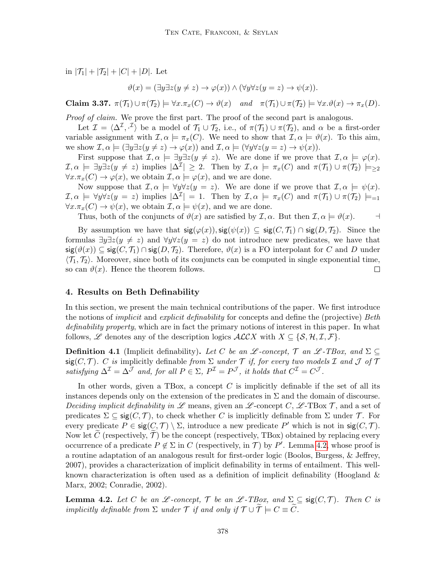in  $|\mathcal{T}_1| + |\mathcal{T}_2| + |C| + |D|$ . Let

$$
\vartheta(x) = (\exists y \exists z (y \neq z) \rightarrow \varphi(x)) \land (\forall y \forall z (y = z) \rightarrow \psi(x)).
$$

Claim 3.37.  $\pi(\mathcal{T}_1) \cup \pi(\mathcal{T}_2) \models \forall x . \pi_x(C) \rightarrow \vartheta(x)$  and  $\pi(\mathcal{T}_1) \cup \pi(\mathcal{T}_2) \models \forall x . \vartheta(x) \rightarrow \pi_x(D)$ .

Proof of claim. We prove the first part. The proof of the second part is analogous.

Let  $\mathcal{I} = \langle \Delta^{\mathcal{I}}, \cdot^{\mathcal{I}} \rangle$  be a model of  $\mathcal{T}_1 \cup \mathcal{T}_2$ , i.e., of  $\pi(\mathcal{T}_1) \cup \pi(\mathcal{T}_2)$ , and  $\alpha$  be a first-order variable assignment with  $\mathcal{I}, \alpha \models \pi_x(C)$ . We need to show that  $\mathcal{I}, \alpha \models \vartheta(x)$ . To this aim, we show  $\mathcal{I}, \alpha \models (\exists y \exists z (y \neq z) \rightarrow \varphi(x))$  and  $\mathcal{I}, \alpha \models (\forall y \forall z (y = z) \rightarrow \psi(x)).$ 

First suppose that  $\mathcal{I}, \alpha \models \exists y \exists z (y \neq z)$ . We are done if we prove that  $\mathcal{I}, \alpha \models \varphi(x)$ .  $\mathcal{I}, \alpha \models \exists y \exists z (y \neq z) \text{ implies } |\Delta^{\mathcal{I}}| \geq 2. \text{ Then by } \mathcal{I}, \alpha \models \pi_x(C) \text{ and } \pi(\mathcal{T}_1) \cup \pi(\mathcal{T}_2) \models_{\geq 2}$  $\forall x. \pi_x(C) \to \varphi(x)$ , we obtain  $\mathcal{I}, \alpha \models \varphi(x)$ , and we are done.

Now suppose that  $\mathcal{I}, \alpha \models \forall y \forall z (y = z)$ . We are done if we prove that  $\mathcal{I}, \alpha \models \psi(x)$ .  $\mathcal{I}, \alpha \models \forall y \forall z (y = z) \text{ implies } |\Delta^{\mathcal{I}}| = 1. \text{ Then by } \mathcal{I}, \alpha \models \pi_x(C) \text{ and } \pi(\mathcal{T}_1) \cup \pi(\mathcal{T}_2) \models_{=1}$  $\forall x.\pi_x(C) \rightarrow \psi(x)$ , we obtain  $\mathcal{I}, \alpha \models \psi(x)$ , and we are done.

Thus, both of the conjuncts of  $\vartheta(x)$  are satisfied by  $\mathcal{I}, \alpha$ . But then  $\mathcal{I}, \alpha \models \vartheta(x)$ .

By assumption we have that  $sig(\varphi(x))$ ,  $sig(\psi(x)) \subseteq sig(C, \mathcal{T}_1) \cap sig(D, \mathcal{T}_2)$ . Since the formulas  $\exists y \exists z(y \neq z)$  and  $\forall y \forall z(y = z)$  do not introduce new predicates, we have that  $\text{sig}(\vartheta(x)) \subseteq \text{sig}(C, \mathcal{T}_1) \cap \text{sig}(D, \mathcal{T}_2)$ . Therefore,  $\vartheta(x)$  is a FO interpolant for C and D under  $\langle \mathcal{T}_1, \mathcal{T}_2 \rangle$ . Moreover, since both of its conjuncts can be computed in single exponential time, so can  $\vartheta(x)$ . Hence the theorem follows.  $\Box$ 

## <span id="page-31-1"></span>4. Results on Beth Definability

In this section, we present the main technical contributions of the paper. We first introduce the notions of *implicit* and *explicit definability* for concepts and define the (projective) Beth definability property, which are in fact the primary notions of interest in this paper. In what follows, L denotes any of the description logics  $\mathcal{ALCX}$  with  $X \subseteq \{S, H, \mathcal{I}, \mathcal{F}\}.$ 

<span id="page-31-0"></span>**Definition 4.1** (Implicit definability). Let C be an  $\mathscr{L}\text{-concept}, \mathscr{T}$  an  $\mathscr{L}\text{-}TBox,$  and  $\Sigma \subseteq$ sig(C, T). C is implicitly definable from  $\Sigma$  under T if, for every two models I and J of T satisfying  $\Delta^{\mathcal{I}} = \Delta^{\mathcal{J}}$  and, for all  $P \in \Sigma$ ,  $P^{\mathcal{I}} = P^{\mathcal{J}}$ , it holds that  $C^{\mathcal{I}} = C^{\mathcal{J}}$ .

In other words, given a TBox, a concept  $C$  is implicitly definable if the set of all its instances depends only on the extension of the predicates in  $\Sigma$  and the domain of discourse. Deciding implicit definability in  $\mathscr L$  means, given an  $\mathscr L$ -concept C,  $\mathscr L$ -TBox T, and a set of predicates  $\Sigma \subseteq \text{sig}(C, \mathcal{T})$ , to check whether C is implicitly definable from  $\Sigma$  under  $\mathcal{T}$ . For every predicate  $P \in \text{sig}(C, \mathcal{T}) \setminus \Sigma$ , introduce a new predicate P' which is not in  $\text{sig}(C, \mathcal{T})$ . Now let C (respectively,  $\mathcal{T}$ ) be the concept (respectively, TBox) obtained by replacing every occurrence of a predicate  $P \notin \Sigma$  in C (respectively, in T) by P'. Lemma [4.2,](#page-31-2) whose proof is a routine adaptation of an analogous result for first-order logic (Boolos, Burgess, & Jeffrey, 2007), provides a characterization of implicit definability in terms of entailment. This wellknown characterization is often used as a definition of implicit definability (Hoogland  $\&$ Marx, 2002; Conradie, 2002).

<span id="page-31-2"></span>**Lemma 4.2.** Let C be an  $\mathscr L$ -concept,  $\mathscr T$  be an  $\mathscr L$ -TBox, and  $\Sigma \subseteq \text{sig}(C, \mathscr T)$ . Then C is implicitly definable from  $\Sigma$  under  $\mathcal T$  if and only if  $\mathcal T \cup \widetilde{\mathcal T} \models C \equiv \widetilde{C}$ .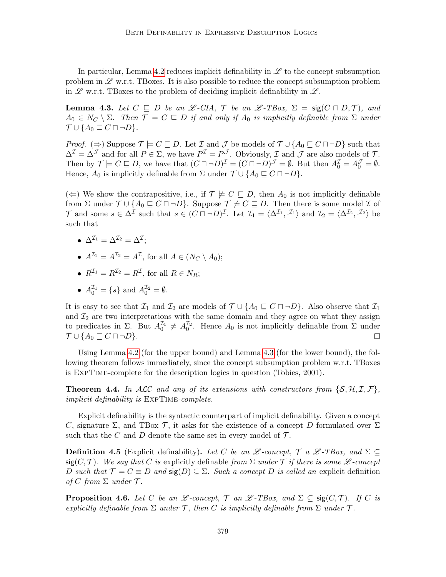In particular, Lemma [4.2](#page-31-2) reduces implicit definability in  $\mathscr L$  to the concept subsumption problem in  $\mathscr L$  w.r.t. TBoxes. It is also possible to reduce the concept subsumption problem in  $\mathscr L$  w.r.t. TBoxes to the problem of deciding implicit definability in  $\mathscr L$ .

<span id="page-32-1"></span>**Lemma 4.3.** Let  $C \subseteq D$  be an  $\mathscr{L}\text{-}CIA$ ,  $\mathscr{T}$  be an  $\mathscr{L}\text{-}TBox$ ,  $\Sigma = \text{sig}(C \sqcap D, \mathscr{T})$ , and  $A_0 \in N_C \setminus \Sigma$ . Then  $\mathcal{T} \models C \sqsubseteq D$  if and only if  $A_0$  is implicitly definable from  $\Sigma$  under  $\mathcal{T} \cup \{A_0 \sqsubseteq C \sqcap \neg D\}.$ 

*Proof.* ( $\Rightarrow$ ) Suppose  $\mathcal{T} \models C \sqsubseteq D$ . Let  $\mathcal{I}$  and  $\mathcal{J}$  be models of  $\mathcal{T} \cup \{A_0 \sqsubseteq C \sqcap \neg D\}$  such that  $\Delta^{\mathcal{I}} = \Delta^{\mathcal{J}}$  and for all  $P \in \Sigma$ , we have  $P^{\mathcal{I}} = P^{\mathcal{J}}$ . Obviously,  $\mathcal{I}$  and  $\mathcal{J}$  are also models of  $\mathcal{T}$ . Then by  $\mathcal{T} \models C \sqsubseteq D$ , we have that  $(C \sqcap \neg D)^{\mathcal{I}} = (C \sqcap \neg D)^{\mathcal{J}} = \emptyset$ . But then  $A_0^{\mathcal{I}} = A_0^{\mathcal{J}} = \emptyset$ . Hence,  $A_0$  is implicitly definable from  $\Sigma$  under  $\mathcal{T} \cup \{A_0 \sqsubseteq C \sqcap \neg D\}$ .

(←) We show the contrapositive, i.e., if  $\mathcal{T} \not\models C \sqsubseteq D$ , then  $A_0$  is not implicitly definable from  $\Sigma$  under  $\mathcal{T} \cup \{A_0 \sqsubseteq C \sqcap \neg D\}$ . Suppose  $\mathcal{T} \not\models C \sqsubseteq D$ . Then there is some model  $\mathcal{I}$  of T and some  $s \in \Delta^{\mathcal{I}}$  such that  $s \in (C \sqcap \neg D)^{\mathcal{I}}$ . Let  $\mathcal{I}_1 = \langle \Delta^{\mathcal{I}_1}, \cdot^{\mathcal{I}_1} \rangle$  and  $\mathcal{I}_2 = \langle \Delta^{\mathcal{I}_2}, \cdot^{\mathcal{I}_2} \rangle$  be such that

- $\bullet\;\, \Delta^{{\cal I}_1} = \Delta^{{\cal I}_2} = \Delta^{{\cal I}};$
- $A^{I_1} = A^{I_2} = A^I$ , for all  $A \in (N_C \setminus A_0)$ ;
- $R^{\mathcal{I}_1} = R^{\mathcal{I}_2} = R^{\mathcal{I}}$ , for all  $R \in N_R$ ;
- $A_0^{\mathcal{I}_1} = \{s\}$  and  $A_0^{\mathcal{I}_2} = \emptyset$ .

It is easy to see that  $\mathcal{I}_1$  and  $\mathcal{I}_2$  are models of  $\mathcal{T} \cup \{A_0 \sqsubseteq C \sqcap \neg D\}$ . Also observe that  $\mathcal{I}_1$ and  $\mathcal{I}_2$  are two interpretations with the same domain and they agree on what they assign to predicates in  $\Sigma$ . But  $A_0^{\mathcal{I}_1} \neq A_0^{\mathcal{I}_2}$ . Hence  $A_0$  is not implicitly definable from  $\Sigma$  under  $\mathcal{T} \cup \{A_0 \sqsubseteq C \sqcap \neg D\}.$  $\Box$ 

Using Lemma [4.2](#page-31-2) (for the upper bound) and Lemma [4.3](#page-32-1) (for the lower bound), the following theorem follows immediately, since the concept subsumption problem w.r.t. TBoxes is ExpTime-complete for the description logics in question (Tobies, 2001).

**Theorem 4.4.** In ALC and any of its extensions with constructors from  $\{S, H, I, F\}$ , implicit definability is ExpTime-complete.

Explicit definability is the syntactic counterpart of implicit definability. Given a concept C, signature  $\Sigma$ , and TBox T, it asks for the existence of a concept D formulated over  $\Sigma$ such that the C and D denote the same set in every model of  $\mathcal{T}$ .

<span id="page-32-0"></span>**Definition 4.5** (Explicit definability). Let C be an L-concept,  $\mathcal{T}$  a L-TBox, and  $\Sigma \subseteq$  $sig(C, \mathcal{T})$ . We say that C is explicitly definable from  $\Sigma$  under  $\mathcal T$  if there is some  $\mathscr L$ -concept D such that  $\mathcal{T} \models C \equiv D$  and  $\text{sig}(D) \subseteq \Sigma$ . Such a concept D is called an explicit definition of C from  $\Sigma$  under  $\mathcal T$ .

<span id="page-32-2"></span>**Proposition 4.6.** Let C be an L-concept,  $\mathcal{T}$  an L-TBox, and  $\Sigma \subseteq \text{sig}(C,\mathcal{T})$ . If C is explicitly definable from  $\Sigma$  under  $\mathcal T$ , then C is implicitly definable from  $\Sigma$  under  $\mathcal T$ .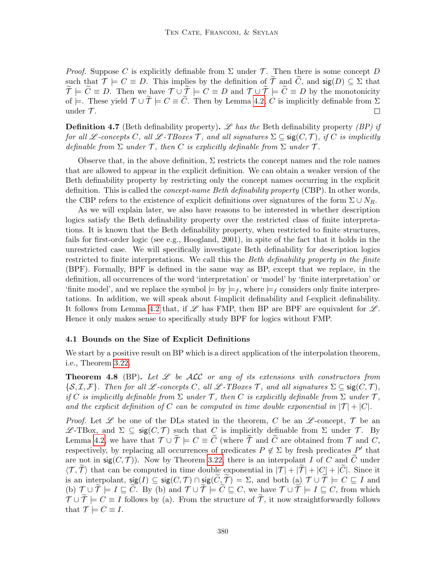*Proof.* Suppose C is explicitly definable from  $\Sigma$  under T. Then there is some concept D such that  $\mathcal{T} \models C \equiv D$ . This implies by the definition of  $\tilde{\mathcal{T}}$  and  $\tilde{C}$ , and  $\tilde{\mathsf{sig}}(D) \subseteq \Sigma$  that  $\mathcal{T} \models \mathcal{C} \equiv \mathcal{D}$ . Then we have  $\mathcal{T} \cup \mathcal{T} \models \mathcal{C} \equiv \mathcal{D}$  and  $\mathcal{T} \cup \mathcal{T} \models \mathcal{C} \equiv \mathcal{D}$  by the monotonicity of  $\models$ . These yield  $\mathcal{T} \cup \widetilde{\mathcal{T}} \models C \equiv \widetilde{C}$ . Then by Lemma [4.2,](#page-31-2) C is implicitly definable from  $\Sigma$  under  $\mathcal{T}$ . under  $\mathcal{T}$ .

<span id="page-33-0"></span>**Definition 4.7** (Beth definability property). Let the Beth definability property (BP) if for all L-concepts C, all L-TBoxes T, and all signatures  $\Sigma \subseteq \text{sig}(C, \mathcal{T})$ , if C is implicitly definable from  $\Sigma$  under  $\mathcal T$ , then C is explicitly definable from  $\Sigma$  under  $\mathcal T$ .

Observe that, in the above definition,  $\Sigma$  restricts the concept names and the role names that are allowed to appear in the explicit definition. We can obtain a weaker version of the Beth definability property by restricting only the concept names occurring in the explicit definition. This is called the *concept-name Beth definability property* (CBP). In other words, the CBP refers to the existence of explicit definitions over signatures of the form  $\Sigma \cup N_R$ .

As we will explain later, we also have reasons to be interested in whether description logics satisfy the Beth definability property over the restricted class of finite interpretations. It is known that the Beth definability property, when restricted to finite structures, fails for first-order logic (see e.g., Hoogland, 2001), in spite of the fact that it holds in the unrestricted case. We will specifically investigate Beth definability for description logics restricted to finite interpretations. We call this the Beth definability property in the finite (BPF). Formally, BPF is defined in the same way as BP, except that we replace, in the definition, all occurrences of the word 'interpretation' or 'model' by 'finite interpretation' or 'finite model', and we replace the symbol  $\models$  by  $\models$  f, where  $\models$  f considers only finite interpretations. In addition, we will speak about f-implicit definability and f-explicit definability. It follows from Lemma [4.2](#page-31-2) that, if  $\mathscr L$  has FMP, then BP are BPF are equivalent for  $\mathscr L$ . Hence it only makes sense to specifically study BPF for logics without FMP.

## 4.1 Bounds on the Size of Explicit Definitions

We start by a positive result on BP which is a direct application of the interpolation theorem, i.e., Theorem [3.22.](#page-21-0)

<span id="page-33-1"></span>**Theorem 4.8** (BP). Let  $\mathcal{L}$  be ALC or any of its extensions with constructors from  $\{S, \mathcal{I}, \mathcal{F}\}\$ . Then for all L-concepts C, all L-TBoxes T, and all signatures  $\Sigma \subseteq \text{sig}(C, \mathcal{T})$ , if C is implicitly definable from  $\Sigma$  under T, then C is explicitly definable from  $\Sigma$  under T, and the explicit definition of C can be computed in time double exponential in  $|\mathcal{T}| + |\mathcal{C}|$ .

*Proof.* Let  $\mathscr L$  be one of the DLs stated in the theorem, C be an  $\mathscr L$ -concept,  $\mathcal T$  be an  $\mathscr{L}\text{-TBox}$ , and  $\Sigma ⊆ \text{sig}(C, \mathcal{T})$  such that C is implicitly definable from  $\Sigma$  under  $\mathcal{T}$ . By Lemma [4.2,](#page-31-2) we have that  $\mathcal{T} \cup \mathcal{T} \models C \equiv C$  (where  $\mathcal{T}$  and  $\mathcal{C}$  are obtained from  $\mathcal{T}$  and  $C$ , respectively, by replacing all occurrences of predicates  $P \notin \Sigma$  by fresh predicates P' that are not in  $sig(C, \mathcal{T})$ ). Now by Theorem [3.22,](#page-21-0) there is an interpolant I of C and C under  $\langle \mathcal{T}, \mathcal{T} \rangle$  that can be computed in time double exponential in  $|\mathcal{T}| + |\mathcal{T}| + |C| + |C|$ . Since it is an interpolant,  $sig(I) \subseteq sig(C, \mathcal{T}) \cap sig(\tilde{C}, \tilde{\mathcal{T}}) = \Sigma$ , and both (a)  $\mathcal{T} \cup \tilde{\mathcal{T}} \models C \sqsubseteq I$  and (b)  $\mathcal{T} \cup \tilde{\mathcal{T}} \models I \sqsubseteq \tilde{C}$ . By (b) and  $\mathcal{T} \cup \tilde{\mathcal{T}} \models \tilde{C} \sqsubseteq C$ , we have  $\mathcal{T} \cup \tilde{\mathcal{T}} \models I \sqsubseteq C$ , from which  $\mathcal{T} \cup \tilde{\mathcal{T}} \models C \equiv I$  follows by (a). From the structure of  $\tilde{\mathcal{T}}$ , it now straightforwardly follows that  $\mathcal{T} \models C \equiv I$ .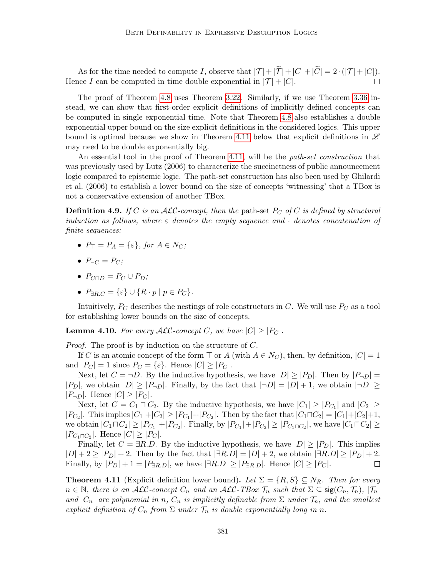As for the time needed to compute I, observe that  $|\mathcal{T}| + |\tilde{\mathcal{T}}| + |C| + |\tilde{C}| = 2 \cdot (|\mathcal{T}| + |C|)$ .<br>
ce I can be computed in time double exponential in  $|\mathcal{T}| + |C|$ . Hence I can be computed in time double exponential in  $|\mathcal{T}| + |C|$ .

The proof of Theorem [4.8](#page-33-1) uses Theorem [3.22.](#page-21-0) Similarly, if we use Theorem [3.36](#page-30-1) instead, we can show that first-order explicit definitions of implicitly defined concepts can be computed in single exponential time. Note that Theorem [4.8](#page-33-1) also establishes a double exponential upper bound on the size explicit definitions in the considered logics. This upper bound is optimal because we show in Theorem [4.11](#page-34-0) below that explicit definitions in  $\mathscr L$ may need to be double exponentially big.

An essential tool in the proof of Theorem [4.11,](#page-34-0) will be the *path-set construction* that was previously used by Lutz (2006) to characterize the succinctness of public announcement logic compared to epistemic logic. The path-set construction has also been used by Ghilardi et al. (2006) to establish a lower bound on the size of concepts 'witnessing' that a TBox is not a conservative extension of another TBox.

**Definition 4.9.** If C is an ALC-concept, then the path-set  $P_C$  of C is defined by structural induction as follows, where  $\varepsilon$  denotes the empty sequence and  $\cdot$  denotes concatenation of finite sequences:

- $P_{\top} = P_A = \{\varepsilon\},$  for  $A \in N_C$ ;
- $P_{\neg C} = P_C$ ;
- $P_{C\Box D} = P_C \cup P_D;$
- $P_{\exists R.C} = \{\varepsilon\} \cup \{R \cdot p \mid p \in P_C\}.$

Intuitively,  $P_C$  describes the nestings of role constructors in C. We will use  $P_C$  as a tool for establishing lower bounds on the size of concepts.

<span id="page-34-1"></span>**Lemma 4.10.** For every  $\mathcal{ALC}$ -concept C, we have  $|C| \geq |P_C|$ .

Proof. The proof is by induction on the structure of C.

If C is an atomic concept of the form  $\top$  or A (with  $A \in N_C$ ), then, by definition,  $|C| = 1$ and  $|P_C| = 1$  since  $P_C = {\varepsilon}$ . Hence  $|C| \ge |P_C|$ .

Next, let  $C = \neg D$ . By the inductive hypothesis, we have  $|D| \ge |P_D|$ . Then by  $|P_{\neg D}| =$  $|P_D|$ , we obtain  $|D| \geq |P_{\neg D}|$ . Finally, by the fact that  $|\neg D| = |D| + 1$ , we obtain  $|\neg D| \geq$  $|P_{\neg D}|$ . Hence  $|C| \geq |P_C|$ .

Next, let  $C = C_1 \sqcap C_2$ . By the inductive hypothesis, we have  $|C_1| \geq |P_{C_1}|$  and  $|C_2| \geq$  $|P_{C_2}|$ . This implies  $|C_1|+|C_2| \ge |P_{C_1}|+|P_{C_2}|$ . Then by the fact that  $|C_1 \sqcap C_2| = |C_1|+|C_2|+1$ , we obtain  $|C_1 \sqcap C_2| \ge |P_{C_1}| + |P_{C_2}|$ . Finally, by  $|P_{C_1}| + |P_{C_2}| \ge |P_{C_1 \sqcap C_2}|$ , we have  $|C_1 \sqcap C_2| \ge$  $|P_{C_1 \cap C_2}|$ . Hence  $|C| \ge |P_C|$ .

Finally, let  $C = \exists R.D$ . By the inductive hypothesis, we have  $|D| \ge |P_D|$ . This implies  $|D| + 2 \ge |P_D| + 2$ . Then by the fact that  $|\exists R.D| = |D| + 2$ , we obtain  $|\exists R.D| \ge |P_D| + 2$ . Finally, by  $|P_D| + 1 = |P_{\exists R.D}|$ , we have  $|\exists R.D| \ge |P_{\exists R.D}|$ . Hence  $|C| \ge |P_C|$ .  $\Box$ 

<span id="page-34-0"></span>**Theorem 4.11** (Explicit definition lower bound). Let  $\Sigma = \{R, S\} \subseteq N_R$ . Then for every  $n \in \mathbb{N}$ , there is an ALC-concept  $C_n$  and an ALC-TBox  $\mathcal{T}_n$  such that  $\Sigma \subseteq \text{sig}(C_n, \mathcal{T}_n)$ ,  $|\mathcal{T}_n|$ and  $|C_n|$  are polynomial in n,  $C_n$  is implicitly definable from  $\Sigma$  under  $\mathcal{T}_n$ , and the smallest explicit definition of  $C_n$  from  $\Sigma$  under  $\mathcal{T}_n$  is double exponentially long in n.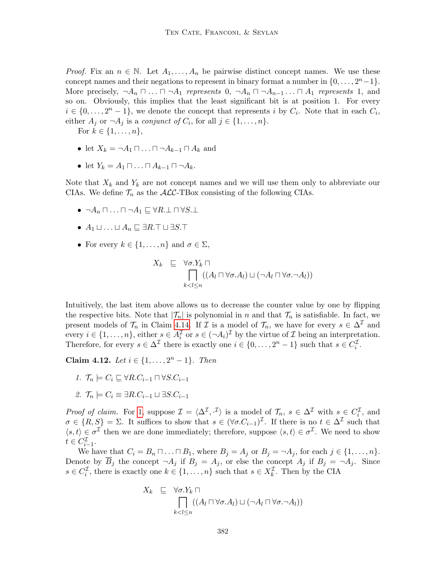*Proof.* Fix an  $n \in \mathbb{N}$ . Let  $A_1, \ldots, A_n$  be pairwise distinct concept names. We use these concept names and their negations to represent in binary format a number in  $\{0, \ldots, 2<sup>n</sup> - 1\}$ . More precisely,  $\neg A_n \sqcap ... \sqcap \neg A_1$  represents  $0, \neg A_n \sqcap \neg A_{n-1} ... \sqcap A_1$  represents 1, and so on. Obviously, this implies that the least significant bit is at position 1. For every  $i \in \{0, \ldots, 2^n - 1\}$ , we denote the concept that represents i by  $C_i$ . Note that in each  $C_i$ , either  $A_j$  or  $\neg A_j$  is a *conjunct of*  $C_i$ , for all  $j \in \{1, \ldots, n\}$ .

For  $k \in \{1, ..., n\},\$ 

- let  $X_k = \neg A_1 \sqcap \ldots \sqcap \neg A_{k-1} \sqcap A_k$  and
- let  $Y_k = A_1 \sqcap \ldots \sqcap A_{k-1} \sqcap \neg A_k$ .

Note that  $X_k$  and  $Y_k$  are not concept names and we will use them only to abbreviate our CIAs. We define  $\mathcal{T}_n$  as the  $\mathcal{ALC}\text{-}\mathrm{TBox}$  consisting of the following CIAs.

- $\neg A_n \sqcap \ldots \sqcap \neg A_1 \sqsubset \forall R \perp \sqcap \forall S \perp$
- $A_1 \sqcup \ldots \sqcup A_n \sqsubseteq \exists R.\top \sqcup \exists S.\top$
- For every  $k \in \{1, \ldots, n\}$  and  $\sigma \in \Sigma$ ,

$$
X_k \subseteq \forall \sigma. Y_k \sqcap
$$
  
\n
$$
\bigcap_{k < l \leq n} ((A_l \sqcap \forall \sigma. A_l) \sqcup (\neg A_l \sqcap \forall \sigma. \neg A_l))
$$

Intuitively, the last item above allows us to decrease the counter value by one by flipping the respective bits. Note that  $|\mathcal{T}_n|$  is polynomial in n and that  $\mathcal{T}_n$  is satisfiable. In fact, we present models of  $\mathcal{T}_n$  in Claim [4.14.](#page-37-0) If  $\mathcal I$  is a model of  $\mathcal{T}_n$ , we have for every  $s \in \Delta^{\mathcal I}$  and every  $i \in \{1, \ldots, n\}$ , either  $s \in A_i^{\mathcal{I}}$  or  $s \in (-A_i)^{\mathcal{I}}$  by the virtue of  $\mathcal{I}$  being an interpretation. Therefore, for every  $s \in \Delta^{\mathcal{I}}$  there is exactly one  $i \in \{0, \ldots, 2^n - 1\}$  such that  $s \in C_i^{\mathcal{I}}$ .

Claim 4.12. Let  $i \in \{1, ..., 2^n - 1\}$ . Then

- <span id="page-35-0"></span>1.  $\mathcal{T}_n \models C_i \sqsubseteq \forall R.C_{i-1} \sqcap \forall S.C_{i-1}$
- <span id="page-35-1"></span>2.  $\mathcal{T}_n \models C_i \equiv \exists R.C_{i-1} \sqcup \exists S.C_{i-1}$

*Proof of claim.* For [1,](#page-35-0) suppose  $\mathcal{I} = \langle \Delta^{\mathcal{I}}, \cdot^{\mathcal{I}} \rangle$  is a model of  $\mathcal{T}_n$ ,  $s \in \Delta^{\mathcal{I}}$  with  $s \in C_i^{\mathcal{I}}$ , and  $\sigma \in \{R, S\} = \Sigma$ . It suffices to show that  $s \in (\forall \sigma. C_{i-1})^{\mathcal{I}}$ . If there is no  $t \in \Delta^{\mathcal{I}}$  such that  $\langle s,t\rangle \in \sigma^{\mathcal{I}}$  then we are done immediately; therefore, suppose  $\langle s,t\rangle \in \sigma^{\mathcal{I}}$ . We need to show  $t \in C_{i-1}^{\mathcal{I}}$ .

We have that  $C_i = B_n \sqcap \ldots \sqcap B_1$ , where  $B_j = A_j$  or  $B_j = \neg A_j$ , for each  $j \in \{1, \ldots, n\}$ . Denote by  $\overline{B}_j$  the concept  $\neg A_j$  if  $B_j = A_j$ , or else the concept  $A_j$  if  $B_j = \neg A_j$ . Since  $s \in C_i^{\mathcal{I}}$ , there is exactly one  $k \in \{1, \ldots, n\}$  such that  $s \in X_k^{\mathcal{I}}$ . Then by the CIA

$$
X_k \subseteq \forall \sigma. Y_k \sqcap
$$
  
\n
$$
\bigcap_{k < l \leq n} ((A_l \sqcap \forall \sigma. A_l) \sqcup (\neg A_l \sqcap \forall \sigma. \neg A_l))
$$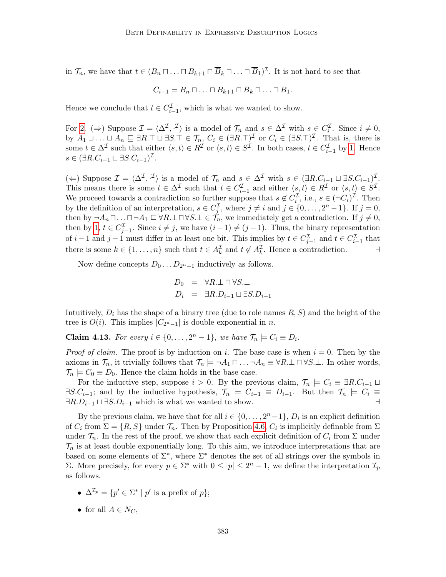in  $\mathcal{T}_n$ , we have that  $t \in (B_n \sqcap \ldots \sqcap B_{k+1} \sqcap \overline{B}_k \sqcap \ldots \sqcap \overline{B}_1)^{\mathcal{I}}$ . It is not hard to see that

$$
C_{i-1} = B_n \sqcap \ldots \sqcap B_{k+1} \sqcap \overline{B}_k \sqcap \ldots \sqcap \overline{B}_1.
$$

Hence we conclude that  $t \in C_{i-1}^{\mathcal{I}}$ , which is what we wanted to show.

For [2.](#page-35-1) ( $\Rightarrow$ ) Suppose  $\mathcal{I} = \langle \Delta^{\mathcal{I}}, \cdot^{\mathcal{I}} \rangle$  is a model of  $\mathcal{T}_n$  and  $s \in \Delta^{\mathcal{I}}$  with  $s \in C_i^{\mathcal{I}}$ . Since  $i \neq 0$ , by  $A_1 \sqcup \ldots \sqcup A_n \sqsubseteq \exists R.\top \sqcup \exists S.\top \in \mathcal{T}_n, C_i \in (\exists R.\top)^\mathcal{I}$  or  $C_i \in (\exists S.\top)^\mathcal{I}$ . That is, there is some  $t \in \Delta^{\mathcal{I}}$  such that either  $\langle s, t \rangle \in R^{\mathcal{I}}$  or  $\langle s, t \rangle \in S^{\mathcal{I}}$ . In both cases,  $t \in C^{\mathcal{I}}_{i-1}$  by [1.](#page-35-0) Hence  $s \in (\exists R.C_{i-1} \sqcup \exists S.C_{i-1})^{\mathcal{I}}.$ 

(←) Suppose  $\mathcal{I} = \langle \Delta^{\mathcal{I}}, \cdot^{\mathcal{I}} \rangle$  is a model of  $\mathcal{T}_n$  and  $s \in \Delta^{\mathcal{I}}$  with  $s \in (\exists R.C_{i-1} \sqcup \exists S.C_{i-1})^{\mathcal{I}}$ . This means there is some  $t \in \Delta^{\mathcal{I}}$  such that  $t \in C_{i-1}^{\mathcal{I}}$  and either  $\langle s, t \rangle \in R^{\mathcal{I}}$  or  $\langle s, t \rangle \in S^{\mathcal{I}}$ . We proceed towards a contradiction so further suppose that  $s \notin C_i^{\mathcal{I}}$ , i.e.,  $s \in (\neg C_i)^{\mathcal{I}}$ . Then by the definition of an interpretation,  $s \in C_j^{\mathcal{I}}$ , where  $j \neq i$  and  $j \in \{0, \ldots, 2^n - 1\}$ . If  $j = 0$ , then by  $\neg A_n \sqcap \ldots \sqcap \neg A_1 \sqsubseteq \forall R \perp \sqcap \forall S \perp \in \mathcal{T}_n$ , we immediately get a contradiction. If  $j \neq 0$ , then by [1,](#page-35-0)  $t \in C_{j-1}^{\mathcal{I}}$ . Since  $i \neq j$ , we have  $(i-1) \neq (j-1)$ . Thus, the binary representation of  $i-1$  and  $j-1$  must differ in at least one bit. This implies by  $t \in C_{j-1}^{\mathcal{I}}$  and  $t \in C_{i-1}^{\mathcal{I}}$  that there is some  $k \in \{1, ..., n\}$  such that  $t \in A_k^{\mathcal{I}}$  and  $t \notin A_k^{\mathcal{I}}$ . Hence a contradiction.

Now define concepts  $D_0 \ldots D_{2<sup>n</sup> - 1}$  inductively as follows.

$$
D_0 = \forall R \perp \sqcap \forall S \perp
$$
  

$$
D_i = \exists R \ldotp D_{i-1} \sqcup \exists S \ldotp D_{i-1}
$$

Intuitively,  $D_i$  has the shape of a binary tree (due to role names  $R, S$ ) and the height of the tree is  $O(i)$ . This implies  $|C_{2^n-1}|$  is double exponential in n.

**Claim 4.13.** For every  $i \in \{0, \ldots, 2^n - 1\}$ , we have  $\mathcal{T}_n \models C_i \equiv D_i$ .

*Proof of claim.* The proof is by induction on i. The base case is when  $i = 0$ . Then by the axioms in  $\mathcal{T}_n$ , it trivially follows that  $\mathcal{T}_n \models \neg A_1 \sqcap \ldots \neg A_n \equiv \forall R \perp \sqcap \forall S \perp$ . In other words,  $\mathcal{T}_n \models C_0 \equiv D_0$ . Hence the claim holds in the base case.

For the inductive step, suppose  $i > 0$ . By the previous claim,  $\mathcal{T}_n \models C_i \equiv \exists R.C_{i-1} \sqcup$  $\exists S.C_{i-1}$ ; and by the inductive hypothesis,  $\mathcal{T}_n \models C_{i-1} \equiv D_{i-1}$ . But then  $\mathcal{T}_n \models C_i \equiv$  $\exists R.D_{i-1} \sqcup \exists S.D_{i-1}$  which is what we wanted to show.  $\Box$ 

By the previous claim, we have that for all  $i \in \{0, \ldots, 2<sup>n</sup> - 1\}$ ,  $D<sub>i</sub>$  is an explicit definition of  $C_i$  from  $\Sigma = \{R, S\}$  under  $\mathcal{T}_n$ . Then by Proposition [4.6,](#page-32-2)  $C_i$  is implicitly definable from  $\Sigma$ under  $\mathcal{T}_n$ . In the rest of the proof, we show that each explicit definition of  $C_i$  from  $\Sigma$  under  $\mathcal{T}_n$  is at least double exponentially long. To this aim, we introduce interpretations that are based on some elements of  $\Sigma^*$ , where  $\Sigma^*$  denotes the set of all strings over the symbols in Σ. More precisely, for every  $p ∈ Σ^*$  with  $0 ≤ |p| ≤ 2^n - 1$ , we define the interpretation  $\mathcal{I}_p$ as follows.

- $\Delta^{\mathcal{I}_p} = \{p' \in \Sigma^* \mid p' \text{ is a prefix of } p\};\$
- for all  $A \in N_C$ ,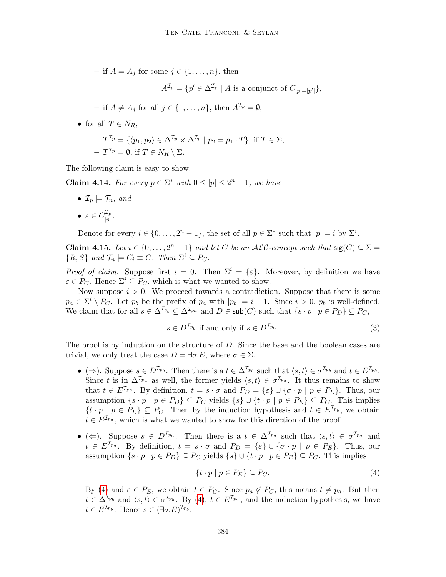– if  $A = A_j$  for some  $j \in \{1, \ldots, n\}$ , then

$$
A^{\mathcal{I}_p} = \{ p' \in \Delta^{\mathcal{I}_p} \mid A \text{ is a conjunct of } C_{|p|-|p'|} \},
$$

- if 
$$
A \neq A_j
$$
 for all  $j \in \{1, ..., n\}$ , then  $A^{\mathcal{I}_p} = \emptyset$ ;

• for all  $T \in N_R$ ,

$$
-T^{\mathcal{I}_p} = \{ \langle p_1, p_2 \rangle \in \Delta^{\mathcal{I}_p} \times \Delta^{\mathcal{I}_p} \mid p_2 = p_1 \cdot T \}, \text{ if } T \in \Sigma, -T^{\mathcal{I}_p} = \emptyset, \text{ if } T \in N_R \setminus \Sigma.
$$

The following claim is easy to show.

<span id="page-37-0"></span>**Claim 4.14.** For every  $p \in \Sigma^*$  with  $0 \leq |p| \leq 2^n - 1$ , we have

•  $\mathcal{I}_p \models \mathcal{T}_n$ , and

$$
\bullet \ \varepsilon \in C_{|p|}^{\mathcal{I}_p}.
$$

Denote for every  $i \in \{0, \ldots, 2^n - 1\}$ , the set of all  $p \in \Sigma^*$  such that  $|p| = i$  by  $\Sigma^i$ .

**Claim 4.15.** Let  $i \in \{0, ..., 2^n - 1\}$  and let C be an ALC-concept such that  $sig(C) \subseteq \Sigma$  $\{R, S\}$  and  $\mathcal{T}_n \models C_i \equiv C$ . Then  $\Sigma^i \subseteq P_C$ .

*Proof of claim.* Suppose first  $i = 0$ . Then  $\Sigma^{i} = {\varepsilon}$ . Moreover, by definition we have  $\varepsilon \in P_C$ . Hence  $\Sigma^i \subseteq P_C$ , which is what we wanted to show.

Now suppose  $i > 0$ . We proceed towards a contradiction. Suppose that there is some  $p_a \in \Sigma^i \setminus P_C$ . Let  $p_b$  be the prefix of  $p_a$  with  $|p_b| = i - 1$ . Since  $i > 0$ ,  $p_b$  is well-defined. We claim that for all  $s \in \Delta^{\mathcal{I}_{p_b}} \subseteq \Delta^{\mathcal{I}_{pa}}$  and  $D \in \mathsf{sub}(C)$  such that  $\{s \cdot p \mid p \in P_D\} \subseteq P_C$ ,

<span id="page-37-2"></span>
$$
s \in D^{\mathcal{I}_{p_b}} \text{ if and only if } s \in D^{\mathcal{I}_{p_a}}. \tag{3}
$$

The proof is by induction on the structure of D. Since the base and the boolean cases are trivial, we only treat the case  $D = \exists \sigma.E$ , where  $\sigma \in \Sigma$ .

- ( $\Rightarrow$ ). Suppose  $s \in D^{\mathcal{I}_{p_b}}$ . Then there is a  $t \in \Delta^{\mathcal{I}_{p_b}}$  such that  $\langle s, t \rangle \in \sigma^{\mathcal{I}_{p_b}}$  and  $t \in E^{\mathcal{I}_{p_b}}$ . Since t is in  $\Delta^{\mathcal{I}_{p_a}}$  as well, the former yields  $\langle s, t \rangle \in \sigma^{\mathcal{I}_{p_a}}$ . It thus remains to show that  $t \in E^{\mathcal{I}_{pa}}$ . By definition,  $t = s \cdot \sigma$  and  $P_D = \{\varepsilon\} \cup \{\sigma \cdot p \mid p \in P_E\}$ . Thus, our assumption  $\{s \cdot p \mid p \in P_D\} \subseteq P_C$  yields  $\{s\} \cup \{t \cdot p \mid p \in P_E\} \subseteq P_C$ . This implies  $\{t \cdot p \mid p \in P_E\} \subseteq P_C$ . Then by the induction hypothesis and  $t \in E^{\mathcal{I}_{p_b}}$ , we obtain  $t \in E^{\mathcal{I}_{pa}}$ , which is what we wanted to show for this direction of the proof.
- ( $\Leftarrow$ ). Suppose  $s \in D^{\mathcal{I}_{pa}}$ . Then there is a  $t \in \Delta^{\mathcal{I}_{pa}}$  such that  $\langle s, t \rangle \in \sigma^{\mathcal{I}_{pa}}$  and  $t \in E^{\mathcal{I}_{p_a}}$ . By definition,  $t = s \cdot \sigma$  and  $P_D = {\varepsilon} \cup {\sigma \cdot p \mid p \in P_E}$ . Thus, our assumption  $\{s \cdot p \mid p \in P_D\} \subseteq P_C$  yields  $\{s\} \cup \{t \cdot p \mid p \in P_E\} \subseteq P_C$ . This implies

<span id="page-37-1"></span>
$$
\{t \cdot p \mid p \in P_E\} \subseteq P_C. \tag{4}
$$

By [\(4\)](#page-37-1) and  $\varepsilon \in P_E$ , we obtain  $t \in P_C$ . Since  $p_a \notin P_C$ , this means  $t \neq p_a$ . But then  $t \in \Delta^{\mathcal{I}_{p_b}}$  and  $\langle s, t \rangle \in \sigma^{\mathcal{I}_{p_b}}$ . By [\(4\)](#page-37-1),  $t \in E^{\mathcal{I}_{p_a}}$ , and the induction hypothesis, we have  $t \in E^{\mathcal{I}_{p_b}}$ . Hence  $s \in (\exists \sigma.E)^{\mathcal{I}_{p_b}}$ .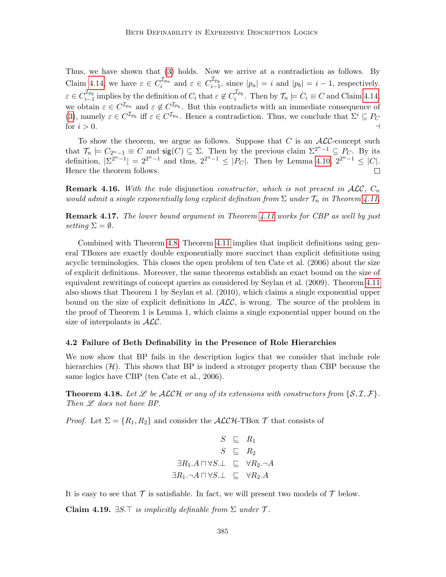Thus, we have shown that [\(3\)](#page-37-2) holds. Now we arrive at a contradiction as follows. By Claim [4.14,](#page-37-0) we have  $\varepsilon \in C_i^{\mathcal{I}_{p_a}}$  and  $\varepsilon \in C_{i-1}^{\mathcal{I}_{p_b}}$ , since  $|p_a| = i$  and  $|p_b| = i - 1$ , respectively.  $\varepsilon \in C_{i-1}^{\mathcal{I}_{p_b}}$  implies by the definition of  $C_i$  that  $\varepsilon \notin C_i^{\mathcal{I}_{p_b}}$ . Then by  $\mathcal{T}_n \models C_i \equiv C$  and Claim [4.14,](#page-37-0) we obtain  $\varepsilon \in C^{\mathcal{I}_{p_a}}$  and  $\varepsilon \notin C^{\mathcal{I}_{p_b}}$ . But this contradicts with an immediate consequence of [\(3\)](#page-37-2), namely  $\varepsilon \in C^{\mathcal{I}_{p_b}}$  iff  $\varepsilon \in C^{\mathcal{I}_{p_a}}$ . Hence a contradiction. Thus, we conclude that  $\Sigma^i \subseteq P_C$ for  $i > 0$ .

To show the theorem, we argue as follows. Suppose that  $C$  is an  $ALC$ -concept such that  $\mathcal{T}_n \models C_{2^n-1} \equiv C$  and  $\text{sig}(C) \subseteq \Sigma$ . Then by the previous claim  $\Sigma^{2^n-1} \subseteq P_C$ . By its definition,  $|\Sigma^{2^{n}-1}| = 2^{2^{n}-1}$  and thus,  $2^{2^{n}-1} \leq |P_C|$ . Then by Lemma [4.10,](#page-34-1)  $2^{2^{n}-1} \leq |C|$ . Hence the theorem follows.  $\Box$ 

**Remark 4.16.** With the role disjunction constructor, which is not present in  $\mathcal{ALC}$ ,  $C_n$ would admit a single exponentially long explicit definition from  $\Sigma$  under  $\mathcal{T}_n$  in Theorem [4.11.](#page-34-0)

**Remark 4.17.** The lower bound argument in Theorem [4.11](#page-34-0) works for CBP as well by just setting  $\Sigma = \emptyset$ .

Combined with Theorem [4.8,](#page-33-1) Theorem [4.11](#page-34-0) implies that implicit definitions using general TBoxes are exactly double exponentially more succinct than explicit definitions using acyclic terminologies. This closes the open problem of ten Cate et al. (2006) about the size of explicit definitions. Moreover, the same theorems establish an exact bound on the size of equivalent rewritings of concept queries as considered by Seylan et al. (2009). Theorem [4.11](#page-34-0) also shows that Theorem 1 by Seylan et al. (2010), which claims a single exponential upper bound on the size of explicit definitions in  $ALC$ , is wrong. The source of the problem in the proof of Theorem 1 is Lemma 1, which claims a single exponential upper bound on the size of interpolants in  $ALC$ .

#### <span id="page-38-1"></span>4.2 Failure of Beth Definability in the Presence of Role Hierarchies

We now show that BP fails in the description logics that we consider that include role hierarchies  $(H)$ . This shows that BP is indeed a stronger property than CBP because the same logics have CBP (ten Cate et al., 2006).

<span id="page-38-0"></span>**Theorem 4.18.** Let  $\mathcal{L}$  be ALCH or any of its extensions with constructors from  $\{S, \mathcal{I}, \mathcal{F}\}\$ . Then  $\mathscr L$  does not have BP.

*Proof.* Let  $\Sigma = \{R_1, R_2\}$  and consider the  $\mathcal{ALCH}\text{-}\mathrm{TBox}\,\mathcal{T}$  that consists of

$$
S \subseteq R_1
$$
  
\n
$$
S \subseteq R_2
$$
  
\n
$$
\exists R_1.A \sqcap \forall S.\bot \subseteq \forall R_2.\neg A
$$
  
\n
$$
\exists R_1.\neg A \sqcap \forall S.\bot \subseteq \forall R_2.A
$$

It is easy to see that  $\mathcal T$  is satisfiable. In fact, we will present two models of  $\mathcal T$  below.

Claim 4.19.  $\exists S.\top$  is implicitly definable from  $\Sigma$  under  $\mathcal T$ .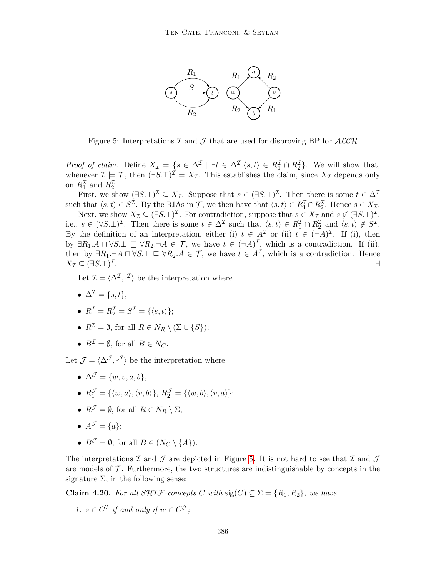

<span id="page-39-0"></span>Figure 5: Interpretations  $\mathcal I$  and  $\mathcal J$  that are used for disproving BP for  $\mathcal{ALCH}$ 

*Proof of claim.* Define  $X_{\mathcal{I}} = \{s \in \Delta^{\mathcal{I}} \mid \exists t \in \Delta^{\mathcal{I}}.\langle s,t\rangle \in R_1^{\mathcal{I}} \cap R_2^{\mathcal{I}}\}\.$  We will show that, whenever  $\mathcal{I} \models \mathcal{T}$ , then  $(\exists S.\top)^{\mathcal{I}} = X_{\mathcal{I}}$ . This establishes the claim, since  $X_{\mathcal{I}}$  depends only on  $R_1^{\mathcal{I}}$  and  $R_2^{\mathcal{I}}$ .

First, we show  $(\exists S.\top)^{\mathcal{I}} \subseteq X_{\mathcal{I}}$ . Suppose that  $s \in (\exists S.\top)^{\mathcal{I}}$ . Then there is some  $t \in \Delta^{\mathcal{I}}$ such that  $\langle s, t \rangle \in S^{\mathcal{I}}$ . By the RIAs in  $\mathcal{T}$ , we then have that  $\langle s, t \rangle \in R_1^{\mathcal{I}} \cap R_2^{\mathcal{I}}$ . Hence  $s \in X_{\mathcal{I}}$ .

Next, we show  $X_{\mathcal{I}} \subseteq (\exists S.\top)^{\mathcal{I}}$ . For contradiction, suppose that  $s \in X_{\mathcal{I}}$  and  $s \notin (\exists S.\top)^{\mathcal{I}}$ , i.e.,  $s \in (\forall S.\bot)^{\mathcal{I}}$ . Then there is some  $t \in \Delta^{\mathcal{I}}$  such that  $\langle s,t \rangle \in R_1^{\mathcal{I}} \cap R_2^{\mathcal{I}}$  and  $\langle s,t \rangle \notin S^{\mathcal{I}}$ . By the definition of an interpretation, either (i)  $t \in A^{\mathcal{I}}$  or (ii)  $t \in (-A)^{\mathcal{I}}$ . If (i), then by  $\exists R_1 \ldotp A \sqcap \forall S \ldotp \perp \sqsubseteq \forall R_2 \ldotp \neg A \in \mathcal{T}$ , we have  $t \in (\neg A)^{\mathcal{I}}$ , which is a contradiction. If (ii), then by  $\exists R_1.\neg A \sqcap \forall S.\bot \sqsubseteq \forall R_2.A \in \mathcal{T}$ , we have  $t \in A^{\mathcal{I}}$ , which is a contradiction. Hence  $X_{\mathcal{I}} \subseteq (\exists S.\top)^{\mathcal{I}}$ . A construction of the construction of the construction of the construction of the construction of the construction of the construction of the construction of the construction of the construction of the construction of th

Let  $\mathcal{I} = \langle \Delta^{\mathcal{I}}, \cdot^{\mathcal{I}} \rangle$  be the interpretation where

•  $\Delta^{\mathcal{I}} = \{s, t\},\,$ 

$$
\bullet \ \ R^{\mathcal{I}}_1 = R^{\mathcal{I}}_2 = S^{\mathcal{I}} = \{\langle s, t \rangle\};
$$

- $R^{\mathcal{I}} = \emptyset$ , for all  $R \in N_R \setminus (\Sigma \cup \{S\})$ ;
- $B^{\mathcal{I}} = \emptyset$ , for all  $B \in N_C$ .

Let  $\mathcal{J} = \langle \Delta^{\mathcal{J}}, \cdot^{\mathcal{J}} \rangle$  be the interpretation where

- $\Delta^{\mathcal{J}} = \{w, v, a, b\},\$
- $R_1^{\mathcal{J}} = {\langle \langle w, a \rangle, \langle v, b \rangle}, R_2^{\mathcal{J}} = {\langle \langle w, b \rangle, \langle v, a \rangle};$
- $R^{\mathcal{J}} = \emptyset$ , for all  $R \in N_R \setminus \Sigma$ ;
- $A^{\mathcal{J}} = \{a\};$
- $B^{\mathcal{J}} = \emptyset$ , for all  $B \in (N_C \setminus \{A\})$ .

The interpretations  $\mathcal I$  and  $\mathcal J$  are depicted in Figure [5.](#page-39-0) It is not hard to see that  $\mathcal I$  and  $\mathcal J$ are models of  $\mathcal T$ . Furthermore, the two structures are indistinguishable by concepts in the signature  $\Sigma$ , in the following sense:

**Claim 4.20.** For all SHIF-concepts C with  $\text{sig}(C) \subseteq \Sigma = \{R_1, R_2\}$ , we have

1. 
$$
s \in C^{\mathcal{I}}
$$
 if and only if  $w \in C^{\mathcal{J}}$ ;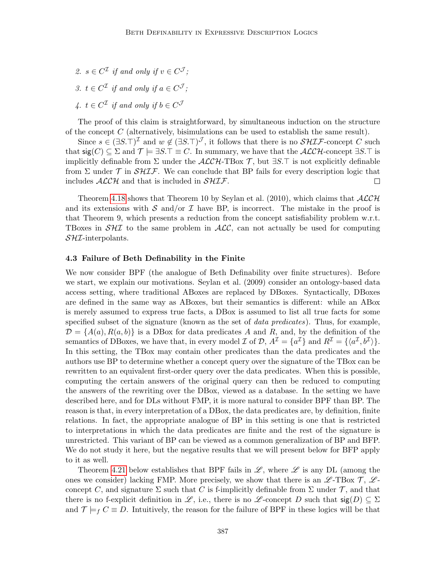2.  $s \in C^{\mathcal{I}}$  if and only if  $v \in C^{\mathcal{J}}$ ; 3.  $t \in C^{\mathcal{I}}$  if and only if  $a \in C^{\mathcal{J}}$ ; 4.  $t \in C^{\mathcal{I}}$  if and only if  $b \in C^{\mathcal{J}}$ 

The proof of this claim is straightforward, by simultaneous induction on the structure of the concept  $C$  (alternatively, bisimulations can be used to establish the same result).

Since  $s \in (\exists S.\top)^{\mathcal{I}}$  and  $w \notin (\exists S.\top)^{\mathcal{J}}$ , it follows that there is no  $\mathcal{SHIF}$ -concept C such that  $sig(C) \subseteq \Sigma$  and  $\mathcal{T} \models \exists S.\top \equiv C.$  In summary, we have that the  $\mathcal{ALCH}\text{-concept } \exists S.\top$  is implicitly definable from  $\Sigma$  under the  $\mathcal{ALCH}\text{-}\mathrm{TBox}$  T, but  $\exists S.\top$  is not explicitly definable from  $\Sigma$  under  $\mathcal T$  in  $\mathcal S\mathcal H\mathcal I\mathcal F$ . We can conclude that BP fails for every description logic that includes  $\mathcal{ALCH}$  and that is included in  $\mathcal{SHIF}$ .  $\Box$ 

Theorem [4.18](#page-38-0) shows that Theorem 10 by Seylan et al. (2010), which claims that  $\mathcal{ALCH}$ and its extensions with S and/or I have BP, is incorrect. The mistake in the proof is that Theorem 9, which presents a reduction from the concept satisfiability problem w.r.t. TBoxes in  $S\mathcal{H}I$  to the same problem in  $\mathcal{ALC}$ , can not actually be used for computing  $\mathcal{S}H\mathcal{I}$ -interpolants.

#### 4.3 Failure of Beth Definability in the Finite

We now consider BPF (the analogue of Beth Definability over finite structures). Before we start, we explain our motivations. Seylan et al. (2009) consider an ontology-based data access setting, where traditional ABoxes are replaced by DBoxes. Syntactically, DBoxes are defined in the same way as ABoxes, but their semantics is different: while an ABox is merely assumed to express true facts, a DBox is assumed to list all true facts for some specified subset of the signature (known as the set of *data predicates*). Thus, for example,  $\mathcal{D} = \{A(a), R(a, b)\}\$ is a DBox for data predicates A and R, and, by the definition of the semantics of DBoxes, we have that, in every model  $\mathcal I$  of  $\mathcal D$ ,  $A^{\mathcal I} = \{a^{\mathcal I}\}\$  and  $R^{\mathcal I} = \{\langle a^{\mathcal I}, b^{\mathcal I}\rangle\}.$ In this setting, the TBox may contain other predicates than the data predicates and the authors use BP to determine whether a concept query over the signature of the TBox can be rewritten to an equivalent first-order query over the data predicates. When this is possible, computing the certain answers of the original query can then be reduced to computing the answers of the rewriting over the DBox, viewed as a database. In the setting we have described here, and for DLs without FMP, it is more natural to consider BPF than BP. The reason is that, in every interpretation of a DBox, the data predicates are, by definition, finite relations. In fact, the appropriate analogue of BP in this setting is one that is restricted to interpretations in which the data predicates are finite and the rest of the signature is unrestricted. This variant of BP can be viewed as a common generalization of BP and BFP. We do not study it here, but the negative results that we will present below for BFP apply to it as well.

Theorem [4.21](#page-41-0) below establishes that BPF fails in  $\mathscr{L}$ , where  $\mathscr{L}$  is any DL (among the ones we consider) lacking FMP. More precisely, we show that there is an  $\mathscr{L}\text{-}\text{TBox }\mathcal{T}, \mathscr{L}\text{-}$ concept C, and signature  $\Sigma$  such that C is f-implicitly definable from  $\Sigma$  under  $\mathcal T$ , and that there is no f-explicit definition in L, i.e., there is no L-concept D such that  $sig(D) \subseteq \Sigma$ and  $\mathcal{T} \models_f C \equiv D$ . Intuitively, the reason for the failure of BPF in these logics will be that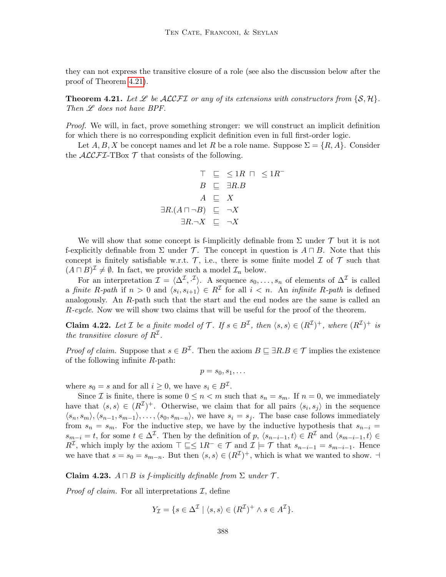they can not express the transitive closure of a role (see also the discussion below after the proof of Theorem [4.21\)](#page-41-0).

<span id="page-41-0"></span>**Theorem 4.21.** Let  $\mathscr L$  be ALCFI or any of its extensions with constructors from  $\{S, \mathcal{H}\}\$ . Then  $\mathscr L$  does not have BPF.

Proof. We will, in fact, prove something stronger: we will construct an implicit definition for which there is no corresponding explicit definition even in full first-order logic.

Let  $A, B, X$  be concept names and let R be a role name. Suppose  $\Sigma = \{R, A\}$ . Consider the  $\mathcal{ALCFT}\text{-}\mathrm{TBox}\mathcal{T}$  that consists of the following.

$$
\top \subseteq \leq 1R \cap \leq 1R^{-}
$$
  
\n
$$
B \subseteq \exists R.B
$$
  
\n
$$
A \subseteq X
$$
  
\n
$$
\exists R.(A \sqcap \neg B) \subseteq \neg X
$$
  
\n
$$
\exists R.\neg X \subseteq \neg X
$$

We will show that some concept is f-implicitly definable from  $\Sigma$  under  $\mathcal T$  but it is not f-explicitly definable from  $\Sigma$  under T. The concept in question is  $A \sqcap B$ . Note that this concept is finitely satisfiable w.r.t.  $\mathcal{T}$ , i.e., there is some finite model  $\mathcal{I}$  of  $\mathcal{T}$  such that  $(A \sqcap B)^{\mathcal{I}} \neq \emptyset$ . In fact, we provide such a model  $\mathcal{I}_n$  below.

For an interpretation  $\mathcal{I} = \langle \Delta^{\mathcal{I}}, \cdot^{\mathcal{I}} \rangle$ . A sequence  $s_0, \ldots, s_n$  of elements of  $\Delta^{\mathcal{I}}$  is called a finite R-path if  $n > 0$  and  $\langle s_i, s_{i+1} \rangle \in R^{\mathcal{I}}$  for all  $i < n$ . An *infinite R-path* is defined analogously. An R-path such that the start and the end nodes are the same is called an R-cycle. Now we will show two claims that will be useful for the proof of the theorem.

<span id="page-41-1"></span>**Claim 4.22.** Let *I* be a finite model of *T*. If  $s \in B^{\mathcal{I}}$ , then  $\langle s, s \rangle \in (R^{\mathcal{I}})^+$ , where  $(R^{\mathcal{I}})^+$  is the transitive closure of  $R^{\mathcal{I}}$ .

*Proof of claim.* Suppose that  $s \in B^{\mathcal{I}}$ . Then the axiom  $B \subseteq \exists R.B \in \mathcal{T}$  implies the existence of the following infinite  $R$ -path:

 $p = s_0, s_1, \ldots$ 

where  $s_0 = s$  and for all  $i \geq 0$ , we have  $s_i \in B^{\mathcal{I}}$ .

Since *I* is finite, there is some  $0 \leq n < m$  such that  $s_n = s_m$ . If  $n = 0$ , we immediately have that  $\langle s, s \rangle \in (R^{\mathcal{I}})^+$ . Otherwise, we claim that for all pairs  $\langle s_i, s_j \rangle$  in the sequence  $\langle s_n, s_m \rangle, \langle s_{n-1}, s_{m-1} \rangle, \ldots, \langle s_0, s_{m-n} \rangle$ , we have  $s_i = s_j$ . The base case follows immediately from  $s_n = s_m$ . For the inductive step, we have by the inductive hypothesis that  $s_{n-i} =$  $s_{m-i} = t$ , for some  $t \in \Delta^{\mathcal{I}}$ . Then by the definition of p,  $\langle s_{n-i-1}, t \rangle \in R^{\mathcal{I}}$  and  $\langle s_{m-i-1}, t \rangle \in$  $R^{\mathcal{I}}$ , which imply by the axiom  $\top \sqsubseteq \leq 1R^{-} \in \mathcal{T}$  and  $\mathcal{I} \models \mathcal{T}$  that  $s_{n-i-1} = s_{m-i-1}$ . Hence we have that  $s = s_0 = s_{m-n}$ . But then  $\langle s, s \rangle \in (R^{\mathcal{I}})^+$ , which is what we wanted to show.  $\exists$ 

Claim 4.23.  $A \sqcap B$  is f-implicitly definable from  $\Sigma$  under  $\mathcal T$ .

*Proof of claim.* For all interpretations  $\mathcal{I}$ , define

$$
Y_{\mathcal{I}} = \{ s \in \Delta^{\mathcal{I}} \mid \langle s, s \rangle \in (R^{\mathcal{I}})^+ \land s \in A^{\mathcal{I}} \}.
$$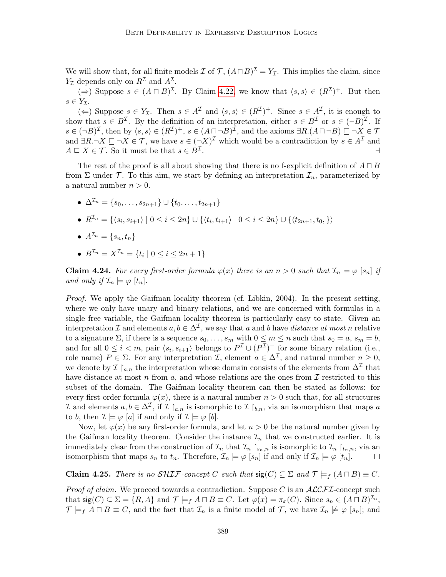We will show that, for all finite models  $\mathcal I$  of  $\mathcal T$ ,  $(A \sqcap B)^{\mathcal I} = Y_{\mathcal I}$ . This implies the claim, since  $Y_{\mathcal{I}}$  depends only on  $R^{\mathcal{I}}$  and  $A^{\mathcal{I}}$ .

 $(\Rightarrow)$  Suppose  $s \in (A \sqcap B)^{\mathcal{I}}$ . By Claim [4.22,](#page-41-1) we know that  $\langle s, s \rangle \in (R^{\mathcal{I}})^+$ . But then  $s \in Y_{\tau}$ .

(←) Suppose  $s \in Y_{\mathcal{I}}$ . Then  $s \in A^{\mathcal{I}}$  and  $\langle s, s \rangle \in (R^{\mathcal{I}})^+$ . Since  $s \in A^{\mathcal{I}}$ , it is enough to show that  $s \in B^{\mathcal{I}}$ . By the definition of an interpretation, either  $s \in B^{\mathcal{I}}$  or  $s \in (-B)^{\mathcal{I}}$ . If  $s \in (\neg B)^{\mathcal{I}}$ , then by  $\langle s, s \rangle \in (R^{\mathcal{I}})^+$ ,  $s \in (A \sqcap \neg B)^{\mathcal{I}}$ , and the axioms  $\exists R.(A \sqcap \neg B) \sqsubseteq \neg X \in \mathcal{T}$ and  $\exists R.\neg X \sqsubseteq \neg X \in \mathcal{T}$ , we have  $s \in (\neg X)^{\mathcal{I}}$  which would be a contradiction by  $s \in A^{\mathcal{I}}$  and  $A \sqsubseteq X \in \mathcal{T}$ . So it must be that  $s \in B^{\mathcal{I}}$ . . A construction of the construction of the construction of the construction of the construction of the construction of the construction of the construction of the construction of the construction of the construction of th

The rest of the proof is all about showing that there is no f-explicit definition of  $A \sqcap B$ from  $\Sigma$  under  $\mathcal T$ . To this aim, we start by defining an interpretation  $\mathcal I_n$ , parameterized by a natural number  $n > 0$ .

- $\Delta^{\mathcal{I}_n} = \{s_0, \ldots, s_{2n+1}\} \cup \{t_0, \ldots, t_{2n+1}\}\$
- $R^{\mathcal{I}_n} = \{ \langle s_i, s_{i+1} \rangle \mid 0 \leq i \leq 2n \} \cup \{ \langle t_i, t_{i+1} \rangle \mid 0 \leq i \leq 2n \} \cup \{ \langle t_{2n+1}, t_0, \} \rangle$
- $A^{\mathcal{I}_n} = \{s_n, t_n\}$
- $B^{\mathcal{I}_n} = X^{\mathcal{I}_n} = \{t_i \mid 0 \leq i \leq 2n + 1\}$

**Claim 4.24.** For every first-order formula  $\varphi(x)$  there is an  $n > 0$  such that  $\mathcal{I}_n \models \varphi$   $[s_n]$  if and only if  $\mathcal{I}_n \models \varphi$   $[t_n]$ .

Proof. We apply the Gaifman locality theorem (cf. Libkin, 2004). In the present setting, where we only have unary and binary relations, and we are concerned with formulas in a single free variable, the Gaifman locality theorem is particularly easy to state. Given an interpretation  $\mathcal I$  and elements  $a, b \in \Delta^{\mathcal I}$ , we say that a and b have distance at most n relative to a signature  $\Sigma$ , if there is a sequence  $s_0, \ldots, s_m$  with  $0 \le m \le n$  such that  $s_0 = a$ ,  $s_m = b$ , and for all  $0 \leq i < m$ , pair  $\langle s_i, s_{i+1} \rangle$  belongs to  $P^{\mathcal{I}} \cup (P^{\mathcal{I}})^-$  for some binary relation (i.e., role name)  $P \in \Sigma$ . For any interpretation  $\mathcal{I}$ , element  $a \in \Delta^{\mathcal{I}}$ , and natural number  $n \geq 0$ , we denote by  $\mathcal{I}\restriction_{a,n}$  the interpretation whose domain consists of the elements from  $\Delta^{\mathcal{I}}$  that have distance at most n from a, and whose relations are the ones from  $\mathcal I$  restricted to this subset of the domain. The Gaifman locality theorem can then be stated as follows: for every first-order formula  $\varphi(x)$ , there is a natural number  $n > 0$  such that, for all structures I and elements  $a, b \in \Delta^{\mathcal{I}}$ , if I  $\uparrow a_n$  is isomorphic to I  $\uparrow b_n$ , via an isomorphism that maps a to b, then  $\mathcal{I} \models \varphi$  [a] if and only if  $\mathcal{I} \models \varphi$  [b].

Now, let  $\varphi(x)$  be any first-order formula, and let  $n > 0$  be the natural number given by the Gaifman locality theorem. Consider the instance  $\mathcal{I}_n$  that we constructed earlier. It is immediately clear from the construction of  $\mathcal{I}_n$  that  $\mathcal{I}_n \upharpoonright_{s_n,n}$  is isomorphic to  $\mathcal{I}_n \upharpoonright_{t_n,n}$ , via an isomorphism that maps  $s_n$  to  $t_n$ . Therefore,  $\mathcal{I}_n \models \varphi$  [ $s_n$ ] if and only if  $\mathcal{I}_n \models \varphi$  [ $t_n$ ].  $\begin{array}{c} \hline \end{array}$ 

Claim 4.25. There is no SHIF-concept C such that  $sig(C) \subseteq \Sigma$  and  $\mathcal{T} \models_f (A \sqcap B) \equiv C$ .

*Proof of claim.* We proceed towards a contradiction. Suppose C is an  $ALCFT$ -concept such that  $\operatorname{sig}(C) \subseteq \Sigma = \{R, A\}$  and  $\mathcal{T} \models_f A \sqcap B \equiv C$ . Let  $\varphi(x) = \pi_x(C)$ . Since  $s_n \in (A \sqcap B)^{\mathcal{I}_n}$ ,  $\mathcal{T} \models_f A \sqcap B \equiv C$ , and the fact that  $\mathcal{I}_n$  is a finite model of  $\mathcal{T}$ , we have  $\mathcal{I}_n \not\models \varphi$  [s<sub>n</sub>]; and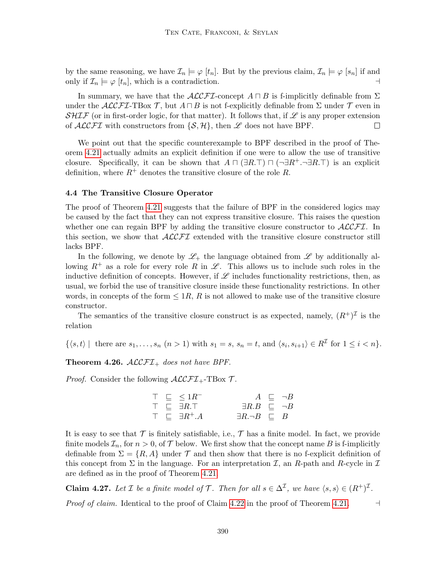by the same reasoning, we have  $\mathcal{I}_n \models \varphi [t_n]$ . But by the previous claim,  $\mathcal{I}_n \models \varphi [s_n]$  if and only if  $\mathcal{I}_n \models \varphi$   $[t_n]$ , which is a contradiction.

In summary, we have that the  $\mathcal{ALCFT}$ -concept  $A \sqcap B$  is f-implicitly definable from  $\Sigma$ under the  $ALCFT$ -TBox T, but  $A \sqcap B$  is not f-explicitly definable from  $\Sigma$  under T even in SHIF (or in first-order logic, for that matter). It follows that, if  $\mathscr L$  is any proper extension of  $\mathcal{ALCFT}$  with constructors from  $\{\mathcal{S}, \mathcal{H}\}\)$ , then  $\mathcal L$  does not have BPF.  $\Box$ 

We point out that the specific counterexample to BPF described in the proof of Theorem [4.21](#page-41-0) actually admits an explicit definition if one were to allow the use of transitive closure. Specifically, it can be shown that  $A \sqcap (\exists R.\top) \sqcap (\neg \exists R^+.\neg \exists R.\top)$  is an explicit definition, where  $R^+$  denotes the transitive closure of the role R.

#### <span id="page-43-0"></span>4.4 The Transitive Closure Operator

The proof of Theorem [4.21](#page-41-0) suggests that the failure of BPF in the considered logics may be caused by the fact that they can not express transitive closure. This raises the question whether one can regain BPF by adding the transitive closure constructor to  $\mathcal{ALCFL}$ . In this section, we show that  $\mathcal{ALCFT}$  extended with the transitive closure constructor still lacks BPF.

In the following, we denote by  $\mathscr{L}_+$  the language obtained from  $\mathscr{L}$  by additionally allowing  $R^+$  as a role for every role R in  $\mathscr L$ . This allows us to include such roles in the inductive definition of concepts. However, if  $\mathscr L$  includes functionality restrictions, then, as usual, we forbid the use of transitive closure inside these functionality restrictions. In other words, in concepts of the form  $\leq 1R$ , R is not allowed to make use of the transitive closure constructor.

The semantics of the transitive closure construct is as expected, namely,  $(R^{\dagger})^{\mathcal{I}}$  is the relation

 $\{\langle s,t\rangle \mid \text{ there are } s_1,\ldots,s_n \ (n>1) \text{ with } s_1=s, s_n=t, \text{ and } \langle s_i,s_{i+1}\rangle \in R^{\mathcal{I}} \text{ for } 1\leq i < n\}.$ 

**Theorem 4.26.**  $\mathcal{ALCFL}_+$  does not have BPF.

*Proof.* Consider the following  $\mathcal{ALCFT}_{+}$ -TBox  $\mathcal{T}$ .

$$
\begin{array}{ccccccc}\n\top & \sqsubseteq & \leq 1R^{-} & & A & \sqsubseteq & \neg B \\
\top & \sqsubseteq & \exists R.\top & & & \exists R.B & \sqsubseteq & \neg B \\
\top & \sqsubseteq & \exists R^{+}.A & & & \exists R.\neg B & \sqsubseteq & B\n\end{array}
$$

It is easy to see that  $\mathcal T$  is finitely satisfiable, i.e.,  $\mathcal T$  has a finite model. In fact, we provide finite models  $\mathcal{I}_n$ , for  $n > 0$ , of  $\mathcal{T}$  below. We first show that the concept name B is f-implicitly definable from  $\Sigma = \{R, A\}$  under  $\mathcal T$  and then show that there is no f-explicit definition of this concept from  $\Sigma$  in the language. For an interpretation  $\mathcal{I}$ , an R-path and R-cycle in  $\mathcal{I}$ are defined as in the proof of Theorem [4.21.](#page-41-0)

**Claim 4.27.** Let  $\mathcal I$  be a finite model of  $\mathcal T$ . Then for all  $s \in \Delta^{\mathcal I}$ , we have  $\langle s, s \rangle \in (R^+)^{\mathcal I}$ . *Proof of claim.* Identical to the proof of Claim [4.22](#page-41-1) in the proof of Theorem [4.21.](#page-41-0)  $\Box$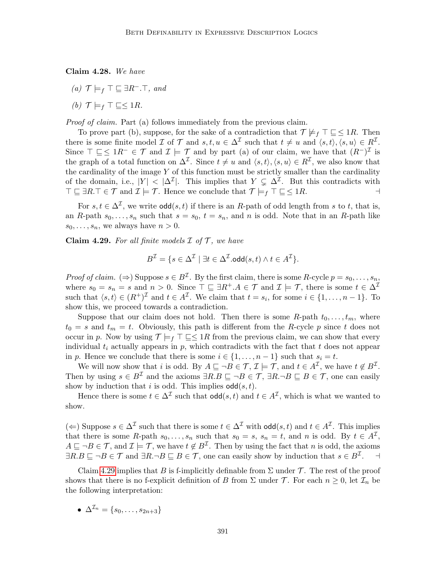Claim 4.28. We have

(a)  $\mathcal{T} \models_f \top \sqsubseteq \exists R^- \bot \top$ , and

(b)  $\mathcal{T} \models_f \top \sqsubseteq \leq 1R$ .

Proof of claim. Part (a) follows immediately from the previous claim.

To prove part (b), suppose, for the sake of a contradiction that  $\mathcal{T} \not\models_f \top \sqsubseteq \leq 1R$ . Then there is some finite model  $\mathcal I$  of  $\mathcal T$  and  $s, t, u \in \Delta^{\mathcal I}$  such that  $t \neq u$  and  $\langle s, t \rangle, \langle s, u \rangle \in R^{\mathcal I}$ . Since  $\top \sqsubseteq \leq 1R^{-} \in \mathcal{T}$  and  $\mathcal{I} \models \mathcal{T}$  and by part (a) of our claim, we have that  $(R^{-})^{\mathcal{I}}$  is the graph of a total function on  $\Delta^{\mathcal{I}}$ . Since  $t \neq u$  and  $\langle s,t \rangle, \langle s,u \rangle \in R^{\mathcal{I}}$ , we also know that the cardinality of the image  $Y$  of this function must be strictly smaller than the cardinality of the domain, i.e.,  $|Y| < |\Delta^{\mathcal{I}}|$ . This implies that  $Y \subsetneq \Delta^{\mathcal{I}}$ . But this contradicts with  $\top \sqsubseteq \exists R.\top \in \mathcal{T}$  and  $\mathcal{I} \models \mathcal{T}$ . Hence we conclude that  $\mathcal{T} \models_f \top \sqsubseteq \leq 1R$ .

For  $s, t \in \Delta^{\mathcal{I}}$ , we write  $\text{odd}(s, t)$  if there is an R-path of odd length from s to t, that is, an R-path  $s_0, \ldots, s_n$  such that  $s = s_0, t = s_n$ , and n is odd. Note that in an R-path like  $s_0, \ldots, s_n$ , we always have  $n > 0$ .

<span id="page-44-0"></span>Claim 4.29. For all finite models  $\mathcal I$  of  $\mathcal T$ , we have

$$
B^{\mathcal{I}} = \{s \in \Delta^{\mathcal{I}} \mid \exists t \in \Delta^{\mathcal{I}}.\text{odd}(s,t) \land t \in A^{\mathcal{I}}\}.
$$

*Proof of claim.* ( $\Rightarrow$ ) Suppose  $s \in B^{\mathcal{I}}$ . By the first claim, there is some R-cycle  $p = s_0, \ldots, s_n$ , where  $s_0 = s_n = s$  and  $n > 0$ . Since  $\top \sqsubseteq \exists R^+ . A \in \mathcal{T}$  and  $\mathcal{I} \models \mathcal{T}$ , there is some  $t \in \Delta^{\mathcal{I}}$ such that  $\langle s, t \rangle \in (R^+)^{\mathcal{I}}$  and  $t \in A^{\mathcal{I}}$ . We claim that  $t = s_i$ , for some  $i \in \{1, \ldots, n-1\}$ . To show this, we proceed towards a contradiction.

Suppose that our claim does not hold. Then there is some  $R$ -path  $t_0, \ldots, t_m$ , where  $t_0 = s$  and  $t_m = t$ . Obviously, this path is different from the R-cycle p since t does not occur in p. Now by using  $\mathcal{T} \models_f \top \sqsubseteq \leq 1R$  from the previous claim, we can show that every individual  $t_i$  actually appears in p, which contradicts with the fact that t does not appear in p. Hence we conclude that there is some  $i \in \{1, \ldots, n-1\}$  such that  $s_i = t$ .

We will now show that i is odd. By  $A \sqsubseteq \neg B \in \mathcal{T}$ ,  $\mathcal{I} \models \mathcal{T}$ , and  $t \in A^{\mathcal{I}}$ , we have  $t \notin B^{\mathcal{I}}$ . Then by using  $s \in B^{\mathcal{I}}$  and the axioms  $\exists R.B \sqsubseteq \neg B \in \mathcal{T}$ ,  $\exists R.\neg B \sqsubseteq B \in \mathcal{T}$ , one can easily show by induction that i is odd. This implies  $\text{odd}(s, t)$ .

Hence there is some  $t \in \Delta^{\mathcal{I}}$  such that  $\text{odd}(s, t)$  and  $t \in A^{\mathcal{I}}$ , which is what we wanted to show.

(←) Suppose  $s \in \Delta^{\mathcal{I}}$  such that there is some  $t \in \Delta^{\mathcal{I}}$  with  $\text{odd}(s, t)$  and  $t \in A^{\mathcal{I}}$ . This implies that there is some R-path  $s_0, \ldots, s_n$  such that  $s_0 = s$ ,  $s_n = t$ , and n is odd. By  $t \in A^{\mathcal{I}}$ ,  $A \sqsubseteq \neg B \in \mathcal{T}$ , and  $\mathcal{I} \models \mathcal{T}$ , we have  $t \notin B^{\mathcal{I}}$ . Then by using the fact that n is odd, the axioms  $\exists R.B \sqsubseteq \neg B \in \mathcal{T}$  and  $\exists R.\neg B \sqsubseteq B \in \mathcal{T}$ , one can easily show by induction that  $s \in B^{\mathcal{I}}$ .

Claim [4.29](#page-44-0) implies that B is f-implicitly definable from  $\Sigma$  under T. The rest of the proof shows that there is no f-explicit definition of B from  $\Sigma$  under T. For each  $n \geq 0$ , let  $\mathcal{I}_n$  be the following interpretation:

$$
\bullet \ \Delta^{\mathcal{I}_n} = \{s_0, \ldots, s_{2n+3}\}
$$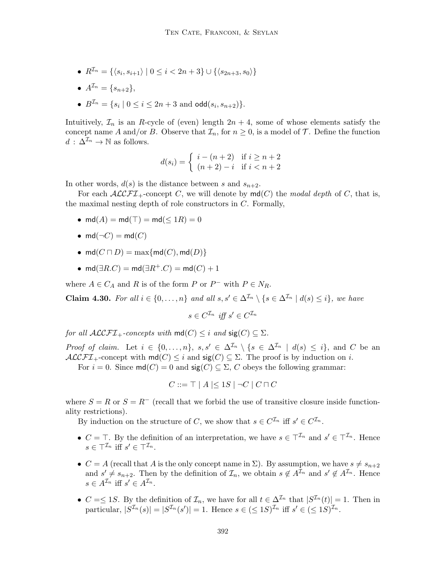- $R^{\mathcal{I}_n} = \{ \langle s_i, s_{i+1} \rangle \mid 0 \leq i < 2n+3 \} \cup \{ \langle s_{2n+3}, s_0 \rangle \}$
- $A^{\mathcal{I}_n} = \{s_{n+2}\},\,$
- $B^{\mathcal{I}_n} = \{s_i \mid 0 \leq i \leq 2n+3 \text{ and } \text{odd}(s_i, s_{n+2})\}.$

Intuitively,  $\mathcal{I}_n$  is an R-cycle of (even) length  $2n + 4$ , some of whose elements satisfy the concept name A and/or B. Observe that  $\mathcal{I}_n$ , for  $n \geq 0$ , is a model of T. Define the function  $d : \Delta^{\mathcal{I}_n} \to \mathbb{N}$  as follows.

$$
d(s_i) = \begin{cases} i - (n+2) & \text{if } i \ge n+2 \\ (n+2) - i & \text{if } i < n+2 \end{cases}
$$

In other words,  $d(s)$  is the distance between s and  $s_{n+2}$ .

For each  $\mathcal{ALCFT}_+$ -concept C, we will denote by  $\mathsf{md}(C)$  the modal depth of C, that is, the maximal nesting depth of role constructors in  $C$ . Formally,

- md $(A)$  = md $(\top)$  = md $(\leq 1R)$  = 0
- md( $\neg C$ ) = md( $C$ )
- md $(C \sqcap D) = \max\{ \text{md}(C), \text{md}(D) \}$
- md( $\exists R.C$ ) = md( $\exists R^+.C$ ) = md( $C$ ) + 1

where  $A \in C_A$  and R is of the form P or P<sup>-</sup> with  $P \in N_R$ .

**Claim 4.30.** For all  $i \in \{0, ..., n\}$  and all  $s, s' \in \Delta^{\mathcal{I}_n} \setminus \{s \in \Delta^{\mathcal{I}_n} \mid d(s) \leq i\}$ , we have

 $s \in C^{\mathcal{I}_n}$  iff  $s' \in C^{\mathcal{I}_n}$ 

for all  $\mathcal{ALCFT}_+$ -concepts with  $\mathsf{md}(C) \leq i$  and  $\mathsf{sig}(C) \subseteq \Sigma$ .

*Proof of claim.* Let  $i \in \{0, ..., n\}$ ,  $s, s' \in \Delta^{\mathcal{I}_n} \setminus \{s \in \Delta^{\mathcal{I}_n} \mid d(s) \leq i\}$ , and C be an  $\mathcal{ALCFT}_+$ -concept with  $\mathsf{md}(C) \leq i$  and  $\mathsf{sig}(C) \subseteq \Sigma$ . The proof is by induction on i.

For  $i = 0$ . Since  $md(C) = 0$  and  $sig(C) \subseteq \Sigma$ , C obeys the following grammar:

$$
C ::= \top | A | \leq 1S | \neg C | C \sqcap C
$$

where  $S = R$  or  $S = R^{-}$  (recall that we forbid the use of transitive closure inside functionality restrictions).

By induction on the structure of C, we show that  $s \in C^{\mathcal{I}_n}$  iff  $s' \in C^{\mathcal{I}_n}$ .

- $C = \top$ . By the definition of an interpretation, we have  $s \in \top^{I_n}$  and  $s' \in \top^{I_n}$ . Hence  $s \in \top^{\mathcal{I}_n}$  iff  $s' \in \top^{\mathcal{I}_n}$ .
- $C = A$  (recall that A is the only concept name in  $\Sigma$ ). By assumption, we have  $s \neq s_{n+2}$ and  $s' \neq s_{n+2}$ . Then by the definition of  $\mathcal{I}_n$ , we obtain  $s \notin A^{\mathcal{I}_n}$  and  $s' \notin A^{\mathcal{I}_n}$ . Hence  $s \in A^{\mathcal{I}_n}$  iff  $s' \in A^{\mathcal{I}_n}$ .
- $C = \leq 1S$ . By the definition of  $\mathcal{I}_n$ , we have for all  $t \in \Delta^{\mathcal{I}_n}$  that  $|S^{\mathcal{I}_n}(t)| = 1$ . Then in particular,  $|S^{\mathcal{I}_n}(s)| = |S^{\mathcal{I}_n}(s')| = 1$ . Hence  $s \in (\leq 1S)^{\mathcal{I}_n}$  iff  $s' \in (\leq 1S)^{\mathcal{I}_n}$ .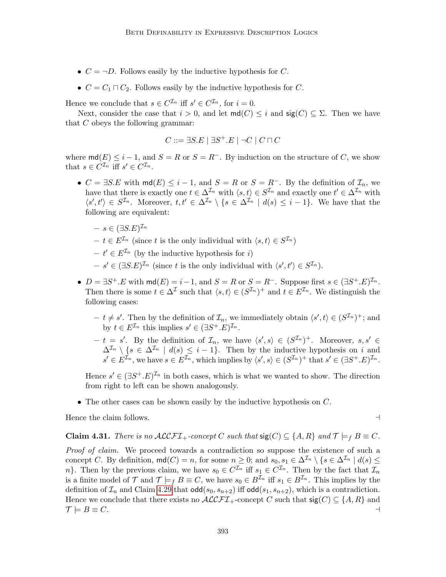- $C = \neg D$ . Follows easily by the inductive hypothesis for C.
- $C = C_1 \sqcap C_2$ . Follows easily by the inductive hypothesis for C.

Hence we conclude that  $s \in C^{\mathcal{I}_n}$  iff  $s' \in C^{\mathcal{I}_n}$ , for  $i = 0$ .

Next, consider the case that  $i > 0$ , and let  $\text{md}(C) \leq i$  and  $\text{sig}(C) \subseteq \Sigma$ . Then we have that C obeys the following grammar:

$$
C ::= \exists S.E \mid \exists S^{+}.E \mid \neg C \mid C \sqcap C
$$

where  $\text{md}(E) \leq i - 1$ , and  $S = R$  or  $S = R^{-}$ . By induction on the structure of C, we show that  $s \in C^{\mathcal{I}_n}$  iff  $s' \in C^{\mathcal{I}_n}$ .

- $C = \exists S.E$  with  $\mathsf{md}(E) \leq i 1$ , and  $S = R$  or  $S = R^-$ . By the definition of  $\mathcal{I}_n$ , we have that there is exactly one  $t \in \Delta^{\mathcal{I}_n}$  with  $\langle s, t \rangle \in S^{\mathcal{I}_n}$  and exactly one  $t' \in \Delta^{\mathcal{I}_n}$  with  $\langle s',t'\rangle \in S^{\mathcal{I}_n}$ . Moreover,  $t,t' \in \Delta^{\mathcal{I}_n} \setminus \{s \in \Delta^{\mathcal{I}_n} \mid d(s) \leq i-1\}$ . We have that the following are equivalent:
	- $s \in (\exists S.E)^{\mathcal{I}_n}$
	- $-t \in E^{\mathcal{I}_n}$  (since t is the only individual with  $\langle s, t \rangle \in S^{\mathcal{I}_n}$ )
	- $-t' \in E^{\mathcal{I}_n}$  (by the inductive hypothesis for i)
	- $-s' \in (\exists S.E)^{\mathcal{I}_n}$  (since t is the only individual with  $\langle s', t' \rangle \in S^{\mathcal{I}_n}$ ).
- $D = \exists S^+ . E$  with  $\textsf{md}(E) = i 1$ , and  $S = R$  or  $S = R^-$ . Suppose first  $s \in (\exists S^+ . E)^{\mathcal{I}_n}$ . Then there is some  $t \in \Delta^{\mathcal{I}}$  such that  $\langle s, t \rangle \in (S^{\mathcal{I}_n})^+$  and  $t \in E^{\mathcal{I}_n}$ . We distinguish the following cases:
	- $t \neq s'$ . Then by the definition of  $\mathcal{I}_n$ , we immediately obtain  $\langle s', t \rangle \in (S^{\mathcal{I}_n})^+$ ; and by  $t \in E^{\mathcal{I}_n}$  this implies  $s' \in (\exists S^+, E)^{\mathcal{I}_n}$ .
	- $t = s'$ . By the definition of  $\mathcal{I}_n$ , we have  $\langle s', s \rangle \in (\mathcal{S}^{\mathcal{I}_n})^+$ . Moreover,  $s, s' \in$  $\Delta^{\mathcal{I}_n} \setminus \{s \in \Delta^{\mathcal{I}_n} \mid d(s) \leq i-1\}.$  Then by the inductive hypothesis on i and  $s' \in E^{\mathcal{I}_n}$ , we have  $s \in E^{\mathcal{I}_n}$ , which implies by  $\langle s', s \rangle \in (S^{\mathcal{I}_n})^+$  that  $s' \in (\exists S^+, E)^{\mathcal{I}_n}$ .

Hence  $s' \in (\exists S^+, E)^{\mathcal{I}_n}$  in both cases, which is what we wanted to show. The direction from right to left can be shown analogously.

• The other cases can be shown easily by the inductive hypothesis on C.

Hence the claim follows.  $\Box$ 

## <span id="page-46-0"></span>**Claim 4.31.** There is no  $ALCFT_+$ -concept C such that  $\text{sig}(C) \subseteq \{A, R\}$  and  $\mathcal{T} \models_f B \equiv C$ .

Proof of claim. We proceed towards a contradiction so suppose the existence of such a concept C. By definition,  $\text{md}(C) = n$ , for some  $n \geq 0$ ; and  $s_0, s_1 \in \Delta^{\mathcal{I}_n} \setminus \{s \in \Delta^{\mathcal{I}_n} \mid d(s) \leq \Delta^{\mathcal{I}_n} \mid d(s) \leq \Delta^{\mathcal{I}_n} \}$ n}. Then by the previous claim, we have  $s_0 \in C^{\mathcal{I}_n}$  iff  $s_1 \in C^{\mathcal{I}_n}$ . Then by the fact that  $\mathcal{I}_n$ is a finite model of T and  $\mathcal{T} \models_f B \equiv C$ , we have  $s_0 \in B^{\mathcal{I}_n}$  iff  $s_1 \in B^{\mathcal{I}_n}$ . This implies by the definition of  $\mathcal{I}_n$  and Claim [4.29](#page-44-0) that  $\text{odd}(s_0, s_{n+2})$  iff  $\text{odd}(s_1, s_{n+2})$ , which is a contradiction. Hence we conclude that there exists no  $\mathcal{ALCFT}_+$ -concept C such that  $sig(C) \subseteq \{A, R\}$  and  $\mathcal{T} \models B \equiv C.$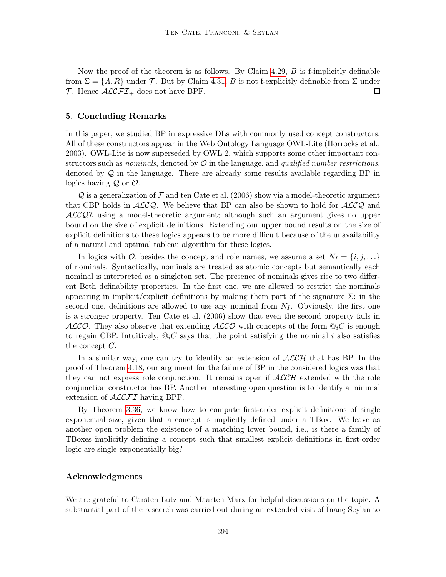Now the proof of the theorem is as follows. By Claim  $4.29$ ,  $B$  is f-implicitly definable from  $\Sigma = \{A, R\}$  under T. But by Claim [4.31,](#page-46-0) B is not f-explicitly definable from  $\Sigma$  under  $\mathcal T$ . Hence  $\mathcal{ALCFL}_+$  does not have BPF.  $\Box$ 

# 5. Concluding Remarks

In this paper, we studied BP in expressive DLs with commonly used concept constructors. All of these constructors appear in the Web Ontology Language OWL-Lite (Horrocks et al., 2003). OWL-Lite is now superseded by OWL 2, which supports some other important constructors such as nominals, denoted by  $\mathcal O$  in the language, and *qualified number restrictions*, denoted by  $\mathcal Q$  in the language. There are already some results available regarding BP in logics having  $Q$  or  $O$ .

Q is a generalization of F and ten Cate et al. (2006) show via a model-theoretic argument that CBP holds in  $ALCO$ . We believe that BP can also be shown to hold for  $ALCO$  and ALCQI using a model-theoretic argument; although such an argument gives no upper bound on the size of explicit definitions. Extending our upper bound results on the size of explicit definitions to these logics appears to be more difficult because of the unavailability of a natural and optimal tableau algorithm for these logics.

In logics with  $\mathcal{O}$ , besides the concept and role names, we assume a set  $N_I = \{i, j, \ldots\}$ of nominals. Syntactically, nominals are treated as atomic concepts but semantically each nominal is interpreted as a singleton set. The presence of nominals gives rise to two different Beth definability properties. In the first one, we are allowed to restrict the nominals appearing in implicit/explicit definitions by making them part of the signature  $\Sigma$ ; in the second one, definitions are allowed to use any nominal from  $N_I$ . Obviously, the first one is a stronger property. Ten Cate et al. (2006) show that even the second property fails in ALCO. They also observe that extending  $ALCO$  with concepts of the form  $\mathbb{Q}_i C$  is enough to regain CBP. Intuitively,  $\mathbb{Q}_i C$  says that the point satisfying the nominal i also satisfies the concept C.

In a similar way, one can try to identify an extension of  $\mathcal{ALCH}$  that has BP. In the proof of Theorem [4.18,](#page-38-0) our argument for the failure of BP in the considered logics was that they can not express role conjunction. It remains open if  $\mathcal{ALCH}$  extended with the role conjunction constructor has BP. Another interesting open question is to identify a minimal extension of  $\mathcal{ALCFT}$  having BPF.

By Theorem [3.36,](#page-30-1) we know how to compute first-order explicit definitions of single exponential size, given that a concept is implicitly defined under a TBox. We leave as another open problem the existence of a matching lower bound, i.e., is there a family of TBoxes implicitly defining a concept such that smallest explicit definitions in first-order logic are single exponentially big?

# Acknowledgments

We are grateful to Carsten Lutz and Maarten Marx for helpful discussions on the topic. A substantial part of the research was carried out during an extended visit of Inanç Seylan to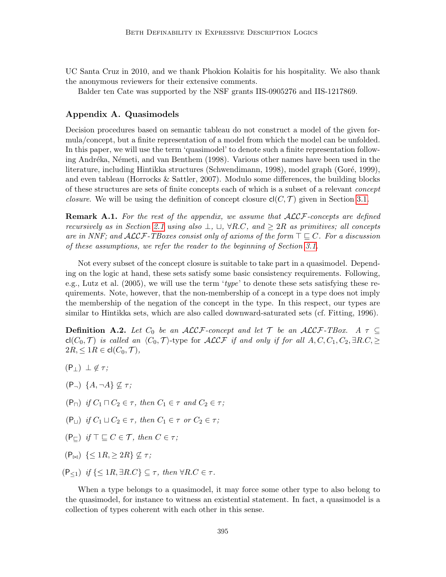UC Santa Cruz in 2010, and we thank Phokion Kolaitis for his hospitality. We also thank the anonymous reviewers for their extensive comments.

Balder ten Cate was supported by the NSF grants IIS-0905276 and IIS-1217869.

# Appendix A. Quasimodels

Decision procedures based on semantic tableau do not construct a model of the given formula/concept, but a finite representation of a model from which the model can be unfolded. In this paper, we will use the term 'quasimodel' to denote such a finite representation following Andréka, Németi, and van Benthem (1998). Various other names have been used in the literature, including Hintikka structures (Schwendimann, 1998), model graph (Goré, 1999), and even tableau (Horrocks & Sattler, 2007). Modulo some differences, the building blocks of these structures are sets of finite concepts each of which is a subset of a relevant concept *closure.* We will be using the definition of concept closure  $cl(C, \mathcal{T})$  given in Section [3.1.](#page-10-0)

**Remark A.1.** For the rest of the appendix, we assume that  $ALCF$ -concepts are defined recursively as in Section [2.1](#page-5-1) using also  $\perp$ ,  $\sqcup$ ,  $\forall R.C$ , and  $\geq 2R$  as primitives; all concepts are in NNF; and  $\mathcal{ALCF}\text{-}\mathcal{T}$ Boxes consist only of axioms of the form  $\top \sqsubseteq C$ . For a discussion of these assumptions, we refer the reader to the beginning of Section [3.1.](#page-10-0)

Not every subset of the concept closure is suitable to take part in a quasimodel. Depending on the logic at hand, these sets satisfy some basic consistency requirements. Following, e.g., Lutz et al.  $(2005)$ , we will use the term 'type' to denote these sets satisfying these requirements. Note, however, that the non-membership of a concept in a type does not imply the membership of the negation of the concept in the type. In this respect, our types are similar to Hintikka sets, which are also called downward-saturated sets (cf. Fitting, 1996).

**Definition A.2.** Let  $C_0$  be an ALCF-concept and let  $\mathcal T$  be an ALCF-TBox. A  $\tau \subseteq$ cl(C<sub>0</sub>, T) is called an  $\langle C_0, T \rangle$ -type for ALCF if and only if for all  $A, C, C_1, C_2, \exists R.C, \geq$  $2R, \leq 1R \in \text{cl}(C_0, \mathcal{T}),$ 

- $(P_{\perp}) \perp \notin \tau$ ;
- $(P_{\neg})$   $\{A, \neg A\} \nsubseteq \tau$ ;
- $(P_{\square})$  if  $C_1 \square C_2 \in \tau$ , then  $C_1 \in \tau$  and  $C_2 \in \tau$ ;
- $(P_{11})$  if  $C_1 \sqcup C_2 \in \tau$ , then  $C_1 \in \tau$  or  $C_2 \in \tau$ ;
- $(P_{\sqsubset})$  if  $\top \sqsubset C \in \mathcal{T}$ , then  $C \in \tau$ ;
- $(P_{\bowtie}) \leq 1R, \geq 2R \nsubseteq \tau;$
- $(P_{\leq 1})$  if  $\{\leq 1R, \exists R.C\} \subseteq \tau$ , then  $\forall R.C \in \tau$ .

<span id="page-48-0"></span>When a type belongs to a quasimodel, it may force some other type to also belong to the quasimodel, for instance to witness an existential statement. In fact, a quasimodel is a collection of types coherent with each other in this sense.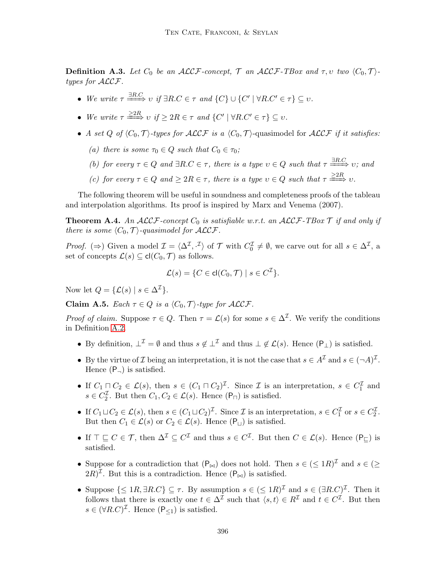**Definition A.3.** Let  $C_0$  be an ALCF-concept,  $\mathcal{T}$  an ALCF-TBox and  $\tau, \upsilon$  two  $\langle C_0, \mathcal{T} \rangle$ types for ALCF.

- We write  $\tau \stackrel{\exists R.C.}{\longrightarrow} v$  if  $\exists R.C \in \tau$  and  $\{C\} \cup \{C' \mid \forall R.C' \in \tau\} \subseteq v$ .
- We write  $\tau \stackrel{\geq 2R}{\Longrightarrow} v \text{ if } \geq 2R \in \tau \text{ and } \{C' \mid \forall R.C' \in \tau\} \subseteq v.$
- A set Q of  $\langle C_0, \mathcal{T} \rangle$ -types for  $\mathcal{ALCF}$  is a  $\langle C_0, \mathcal{T} \rangle$ -quasimodel for  $\mathcal{ALCF}$  if it satisfies:
	- (a) there is some  $\tau_0 \in Q$  such that  $C_0 \in \tau_0$ ;
	- (b) for every  $\tau \in Q$  and  $\exists R.C \in \tau$ , there is a type  $v \in Q$  such that  $\tau \stackrel{\exists R.C.}{\longrightarrow} v$ ; and
	- (c) for every  $\tau \in Q$  and  $\geq 2R \in \tau$ , there is a type  $v \in Q$  such that  $\tau \stackrel{\geq 2R}{\Longrightarrow} v$ .

The following theorem will be useful in soundness and completeness proofs of the tableau and interpolation algorithms. Its proof is inspired by Marx and Venema (2007).

<span id="page-49-1"></span>**Theorem A.4.** An  $ALCF$ -concept  $C_0$  is satisfiable w.r.t. an  $ALCF$ -TBox  $\mathcal T$  if and only if there is some  $\langle C_0, \mathcal{T} \rangle$ -quasimodel for  $\mathcal{ALCF}$ .

*Proof.* ( $\Rightarrow$ ) Given a model  $\mathcal{I} = \langle \Delta^{\mathcal{I}}, \cdot^{\mathcal{I}} \rangle$  of  $\mathcal{T}$  with  $C_0^{\mathcal{I}} \neq \emptyset$ , we carve out for all  $s \in \Delta^{\mathcal{I}}$ , a set of concepts  $\mathcal{L}(s) \subseteq \text{cl}(C_0, \mathcal{T})$  as follows.

$$
\mathcal{L}(s) = \{ C \in \text{cl}(C_0, \mathcal{T}) \mid s \in C^{\mathcal{I}} \}.
$$

Now let  $Q = \{ \mathcal{L}(s) \mid s \in \Delta^{\mathcal{I}} \}.$ 

<span id="page-49-0"></span>Claim A.5. Each  $\tau \in Q$  is a  $\langle C_0, \mathcal{T} \rangle$ -type for ALCF.

*Proof of claim.* Suppose  $\tau \in Q$ . Then  $\tau = \mathcal{L}(s)$  for some  $s \in \Delta^{\mathcal{I}}$ . We verify the conditions in Definition [A.2.](#page-1-0)

- By definition,  $\perp^{\mathcal{I}} = \emptyset$  and thus  $s \notin \perp^{\mathcal{I}}$  and thus  $\perp \notin \mathcal{L}(s)$ . Hence  $(\mathsf{P}_\perp)$  is satisfied.
- By the virtue of *I* being an interpretation, it is not the case that  $s \in A^{\mathcal{I}}$  and  $s \in (\neg A)^{\mathcal{I}}$ . Hence  $(P_{\neg})$  is satisfied.
- If  $C_1 \square C_2 \in \mathcal{L}(s)$ , then  $s \in (C_1 \square C_2)^{\mathcal{I}}$ . Since  $\mathcal{I}$  is an interpretation,  $s \in C_1^{\mathcal{I}}$  and  $s \in C_2^{\mathcal{I}}$ . But then  $C_1, C_2 \in \mathcal{L}(s)$ . Hence  $(\mathsf{P}_{\sqcap})$  is satisfied.
- If  $C_1 \sqcup C_2 \in \mathcal{L}(s)$ , then  $s \in (C_1 \sqcup C_2)^{\mathcal{I}}$ . Since  $\mathcal{I}$  is an interpretation,  $s \in C_1^{\mathcal{I}}$  or  $s \in C_2^{\mathcal{I}}$ . But then  $C_1 \in \mathcal{L}(s)$  or  $C_2 \in \mathcal{L}(s)$ . Hence  $(\mathsf{P}_\sqcup)$  is satisfied.
- If  $\top \sqsubseteq C \in \mathcal{T}$ , then  $\Delta^{\mathcal{I}} \subseteq C^{\mathcal{I}}$  and thus  $s \in C^{\mathcal{I}}$ . But then  $C \in \mathcal{L}(s)$ . Hence  $(\mathsf{P}_{\sqsubseteq})$  is satisfied.
- Suppose for a contradiction that  $(P_{\bowtie})$  does not hold. Then  $s \in (\leq 1R)^{\mathcal{I}}$  and  $s \in (\geq 1R)^{\mathcal{I}}$  $(2R)^{\mathcal{I}}$ . But this is a contradiction. Hence  $(P_{\bowtie})$  is satisfied.
- Suppose  $\{\leq 1R, \exists R.C\} \subseteq \tau$ . By assumption  $s \in (\leq 1R)^{\mathcal{I}}$  and  $s \in (\exists R.C)^{\mathcal{I}}$ . Then it follows that there is exactly one  $t \in \Delta^{\mathcal{I}}$  such that  $\langle s, t \rangle \in R^{\mathcal{I}}$  and  $t \in C^{\mathcal{I}}$ . But then  $s \in (\forall R.C)^{\mathcal{I}}$ . Hence  $(\mathsf{P}_{\leq 1})$  is satisfied.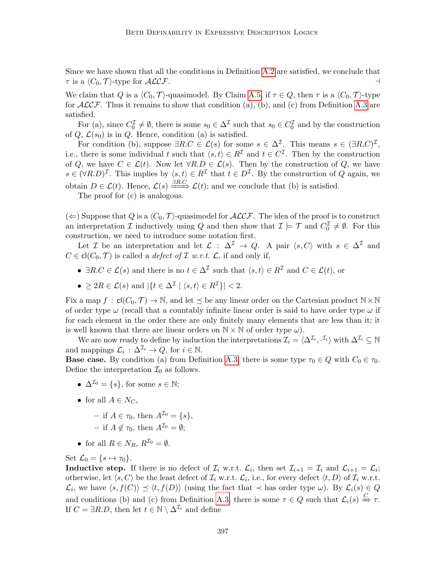Since we have shown that all the conditions in Definition [A.2](#page-1-0) are satisfied, we conclude that  $\tau$  is a  $\langle C_0, \mathcal{T} \rangle$ -type for  $\mathcal{ALCF}$ .

We claim that Q is a  $\langle C_0, \mathcal{T} \rangle$ -quasimodel. By Claim [A.5,](#page-49-0) if  $\tau \in Q$ , then  $\tau$  is a  $\langle C_0, \mathcal{T} \rangle$ -type for  $ALCF$ . Thus it remains to show that condition (a), (b), and (c) from Definition [A.3](#page-48-0) are satisfied.

For (a), since  $C_0^{\mathcal{I}} \neq \emptyset$ , there is some  $s_0 \in \Delta^{\mathcal{I}}$  such that  $s_0 \in C_0^{\mathcal{I}}$  and by the construction of  $Q, \mathcal{L}(s_0)$  is in  $Q$ . Hence, condition (a) is satisfied.

For condition (b), suppose  $\exists R.C \in \mathcal{L}(s)$  for some  $s \in \Delta^{\mathcal{I}}$ . This means  $s \in (\exists R.C)^{\mathcal{I}}$ , i.e., there is some individual t such that  $\langle s, t \rangle \in R^{\mathcal{I}}$  and  $t \in C^{\mathcal{I}}$ . Then by the construction of Q, we have  $C \in \mathcal{L}(t)$ . Now let  $\forall R.D \in \mathcal{L}(s)$ . Then by the construction of Q, we have  $s \in (\forall R.D)^{\mathcal{I}}$ . This implies by  $\langle s, t \rangle \in R^{\mathcal{I}}$  that  $t \in D^{\mathcal{I}}$ . By the construction of Q again, we obtain  $D \in \mathcal{L}(t)$ . Hence,  $\mathcal{L}(s) \xrightarrow{\exists R.C} \mathcal{L}(t)$ ; and we conclude that (b) is satisfied.

The proof for (c) is analogous.

 $(\Leftarrow)$  Suppose that Q is a  $\langle C_0, \mathcal{T} \rangle$ -quasimodel for  $\mathcal{ALCF}$ . The idea of the proof is to construct an interpretation  $\mathcal I$  inductively using  $Q$  and then show that  $\mathcal I \models \mathcal T$  and  $C_0^{\mathcal I} \neq \emptyset$ . For this construction, we need to introduce some notation first.

Let *I* be an interpretation and let  $\mathcal{L} : \Delta^{\mathcal{I}} \to Q$ . A pair  $\langle s, C \rangle$  with  $s \in \Delta^{\mathcal{I}}$  and  $C \in \text{cl}(C_0, \mathcal{T})$  is called a *defect of*  $\mathcal{I}$  w.r.t.  $\mathcal{L}$ , if and only if,

- $\exists R.C \in \mathcal{L}(s)$  and there is no  $t \in \Delta^{\mathcal{I}}$  such that  $\langle s,t \rangle \in R^{\mathcal{I}}$  and  $C \in \mathcal{L}(t)$ , or
- $\geq 2R \in \mathcal{L}(s)$  and  $|\{t \in \Delta^{\mathcal{I}} \mid \langle s, t \rangle \in R^{\mathcal{I}}\}| < 2$ .

Fix a map  $f : cl(C_0, \mathcal{T}) \to \mathbb{N}$ , and let  $\preceq$  be any linear order on the Cartesian product  $\mathbb{N} \times \mathbb{N}$ of order type  $\omega$  (recall that a countably infinite linear order is said to have order type  $\omega$  if for each element in the order there are only finitely many elements that are less than it; it is well known that there are linear orders on  $\mathbb{N} \times \mathbb{N}$  of order type  $\omega$ ).

We are now ready to define by induction the interpretations  $\mathcal{I}_i = \langle \Delta^{\mathcal{I}_i}, \cdot^{\mathcal{I}_i} \rangle$  with  $\Delta^{\mathcal{I}_i} \subseteq \mathbb{N}$ and mappings  $\mathcal{L}_i$ :  $\Delta^{\mathcal{I}_i} \to Q$ , for  $i \in \mathbb{N}$ .

**Base case.** By condition (a) from Definition [A.3,](#page-48-0) there is some type  $\tau_0 \in Q$  with  $C_0 \in \tau_0$ . Define the interpretation  $\mathcal{I}_0$  as follows.

- $\Delta^{I_0} = \{s\}$ , for some  $s \in \mathbb{N}$ ;
- for all  $A \in N_C$ ,
	- if  $A \in \tau_0$ , then  $A^{\mathcal{I}_0} = \{s\},\$
	- if  $A \notin \tau_0$ , then  $A^{\mathcal{I}_0} = \emptyset$ ;
- for all  $R \in N_R$ ,  $R^{\mathcal{I}_0} = \emptyset$ .

Set  $\mathcal{L}_0 = \{s \mapsto \tau_0\}.$ 

**Inductive step.** If there is no defect of  $\mathcal{I}_i$  w.r.t.  $\mathcal{L}_i$ , then set  $\mathcal{I}_{i+1} = \mathcal{I}_i$  and  $\mathcal{L}_{i+1} = \mathcal{L}_i$ ; otherwise, let  $\langle s, C \rangle$  be the least defect of  $\mathcal{I}_i$  w.r.t.  $\mathcal{L}_i$ , i.e., for every defect  $\langle t, D \rangle$  of  $\mathcal{I}_i$  w.r.t.  $\mathcal{L}_i$ , we have  $\langle s, f(C) \rangle \preceq \langle t, f(D) \rangle$  (using the fact that  $\prec$  has order type  $\omega$ ). By  $\mathcal{L}_i(s) \in Q$ and conditions (b) and (c) from Definition [A.3,](#page-48-0) there is some  $\tau \in Q$  such that  $\mathcal{L}_i(s) \stackrel{C}{\Rightarrow} \tau$ . If  $C = \exists R.D$ , then let  $t \in \mathbb{N} \setminus \Delta^{\mathcal{I}_i}$  and define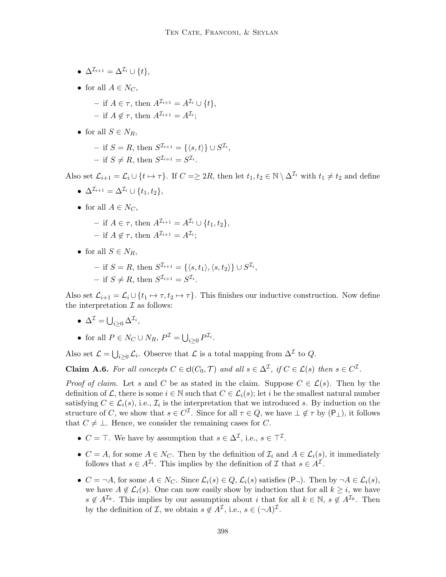- $\Delta^{\mathcal{I}_{i+1}} = \Delta^{\mathcal{I}_{i}} \cup \{t\},\$
- for all  $A \in N_C$ ,
	- if  $A \in \tau$ , then  $A^{\mathcal{I}_{i+1}} = A^{\mathcal{I}_{i}} \cup \{t\},\$
	- $-$  if  $A \notin \tau$ , then  $A^{\mathcal{I}_{i+1}} = A^{\mathcal{I}_{i}};$
- for all  $S \in N_R$ ,
	- $-$  if  $S = R$ , then  $S^{\mathcal{I}_{i+1}} = {\langle \langle s, t \rangle \} \cup S^{\mathcal{I}_{i}},$ - if  $S \neq R$ , then  $S^{\mathcal{I}_{i+1}} = S^{\mathcal{I}_{i}}$ .

Also set  $\mathcal{L}_{i+1} = \mathcal{L}_i \cup \{t \mapsto \tau\}$ . If  $C = \geq 2R$ , then let  $t_1, t_2 \in \mathbb{N} \setminus \Delta^{\mathcal{I}_i}$  with  $t_1 \neq t_2$  and define

- $\Delta^{\mathcal{I}_{i+1}} = \Delta^{\mathcal{I}_{i}} \cup \{t_1, t_2\},\,$
- for all  $A \in N_C$ ,
	- if  $A \in \tau$ , then  $A^{I_{i+1}} = A^{I_i} \cup \{t_1, t_2\}$ ,
	- $-$  if  $A \notin \tau$ , then  $A^{\mathcal{I}_{i+1}} = A^{\mathcal{I}_{i}};$
- for all  $S \in N_R$ ,
	- $-$  if  $S = R$ , then  $S^{\mathcal{I}_{i+1}} = \{ \langle s, t_1 \rangle, \langle s, t_2 \rangle \}$  ∪  $S^{\mathcal{I}_{i}},$ - if  $S \neq R$ , then  $S^{\mathcal{I}_{i+1}} = S^{\mathcal{I}_{i}}$ .

Also set  $\mathcal{L}_{i+1} = \mathcal{L}_i \cup \{t_1 \mapsto \tau, t_2 \mapsto \tau\}$ . This finishes our inductive construction. Now define the interpretation  $\mathcal I$  as follows:

- $\Delta^{\mathcal{I}} = \bigcup_{i \geq 0} \Delta^{\mathcal{I}_i},$
- for all  $P \in N_C \cup N_R$ ,  $P^{\mathcal{I}} = \bigcup_{i \geq 0} P^{\mathcal{I}_i}$ .

Also set  $\mathcal{L} = \bigcup_{i \geq 0} \mathcal{L}_i$ . Observe that  $\mathcal{L}$  is a total mapping from  $\Delta^{\mathcal{I}}$  to  $Q$ .

<span id="page-51-0"></span>**Claim A.6.** For all concepts  $C \in cl(C_0, \mathcal{T})$  and all  $s \in \Delta^{\mathcal{I}}$ , if  $C \in \mathcal{L}(s)$  then  $s \in C^{\mathcal{I}}$ .

*Proof of claim.* Let s and C be as stated in the claim. Suppose  $C \in \mathcal{L}(s)$ . Then by the definition of L, there is some  $i \in \mathbb{N}$  such that  $C \in \mathcal{L}_i(s)$ ; let i be the smallest natural number satisfying  $C \in \mathcal{L}_i(s)$ , i.e.,  $\mathcal{I}_i$  is the interpretation that we introduced s. By induction on the structure of C, we show that  $s \in C^{\mathcal{I}}$ . Since for all  $\tau \in Q$ , we have  $\bot \notin \tau$  by  $(\mathsf{P}_{\bot})$ , it follows that  $C \neq \bot$ . Hence, we consider the remaining cases for C.

- $C = \top$ . We have by assumption that  $s \in \Delta^{\mathcal{I}}$ , i.e.,  $s \in \top^{\mathcal{I}}$ .
- $C = A$ , for some  $A \in N_C$ . Then by the definition of  $\mathcal{I}_i$  and  $A \in \mathcal{L}_i(s)$ , it immediately follows that  $s \in A^{\mathcal{I}_i}$ . This implies by the definition of  $\mathcal{I}$  that  $s \in A^{\mathcal{I}}$ .
- $C = \neg A$ , for some  $A \in N_C$ . Since  $\mathcal{L}_i(s) \in Q$ ,  $\mathcal{L}_i(s)$  satisfies  $(\mathsf{P}_{\neg})$ . Then by  $\neg A \in \mathcal{L}_i(s)$ , we have  $A \notin \mathcal{L}_i(s)$ . One can now easily show by induction that for all  $k \geq i$ , we have  $s \notin A^{\mathcal{I}_k}$ . This implies by our assumption about i that for all  $k \in \mathbb{N}$ ,  $s \notin A^{\mathcal{I}_k}$ . Then by the definition of *I*, we obtain  $s \notin A^{\mathcal{I}}$ , i.e.,  $s \in (-A)^{\mathcal{I}}$ .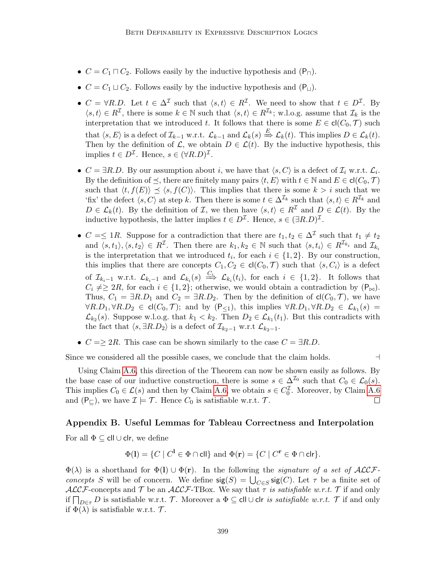- $C = C_1 \sqcap C_2$ . Follows easily by the inductive hypothesis and  $(P_{\sqcap})$ .
- $C = C_1 \sqcup C_2$ . Follows easily by the inductive hypothesis and  $(P_{\sqcup})$ .
- $C = \forall R.D.$  Let  $t \in \Delta^{\mathcal{I}}$  such that  $\langle s,t \rangle \in R^{\mathcal{I}}$ . We need to show that  $t \in D^{\mathcal{I}}$ . By  $\langle s,t\rangle \in R^{\mathcal{I}}$ , there is some  $k \in \mathbb{N}$  such that  $\langle s,t\rangle \in R^{\mathcal{I}_k}$ ; w.l.o.g. assume that  $\mathcal{I}_k$  is the interpretation that we introduced t. It follows that there is some  $E \in \mathsf{cl}(C_0, \mathcal{T})$  such that  $\langle s, E \rangle$  is a defect of  $\mathcal{I}_{k-1}$  w.r.t.  $\mathcal{L}_{k-1}$  and  $\mathcal{L}_k(s) \stackrel{E}{\Rightarrow} \mathcal{L}_k(t)$ . This implies  $D \in \mathcal{L}_k(t)$ . Then by the definition of  $\mathcal{L}$ , we obtain  $D \in \mathcal{L}(t)$ . By the inductive hypothesis, this implies  $t \in D^{\mathcal{I}}$ . Hence,  $s \in (\forall R.D)^{\mathcal{I}}$ .
- $C = \exists R.D.$  By our assumption about i, we have that  $\langle s, C \rangle$  is a defect of  $\mathcal{I}_i$  w.r.t.  $\mathcal{L}_i$ . By the definition of  $\preceq$ , there are finitely many pairs  $\langle t, E \rangle$  with  $t \in \mathbb{N}$  and  $E \in cl(C_0, \mathcal{T})$ such that  $\langle t, f(E) \rangle \preceq \langle s, f(C) \rangle$ . This implies that there is some  $k > i$  such that we 'fix' the defect  $\langle s, C \rangle$  at step k. Then there is some  $t \in \Delta^{\mathcal{I}_k}$  such that  $\langle s, t \rangle \in R^{\mathcal{I}_k}$  and  $D \in \mathcal{L}_k(t)$ . By the definition of  $\mathcal{I}$ , we then have  $\langle s, t \rangle \in R^{\mathcal{I}}$  and  $D \in \mathcal{L}(t)$ . By the inductive hypothesis, the latter implies  $t \in D^{\mathcal{I}}$ . Hence,  $s \in (\exists R.D)^{\mathcal{I}}$ .
- $C = \leq 1R$ . Suppose for a contradiction that there are  $t_1, t_2 \in \Delta^{\mathcal{I}}$  such that  $t_1 \neq t_2$ and  $\langle s, t_1 \rangle, \langle s, t_2 \rangle \in R^{\mathcal{I}}$ . Then there are  $k_1, k_2 \in \mathbb{N}$  such that  $\langle s, t_i \rangle \in R^{\mathcal{I}_{k_i}}$  and  $\mathcal{I}_{k_i}$ is the interpretation that we introduced  $t_i$ , for each  $i \in \{1,2\}$ . By our construction, this implies that there are concepts  $C_1, C_2 \in \text{cl}(C_0, \mathcal{T})$  such that  $\langle s, C_i \rangle$  is a defect of  $\mathcal{I}_{k_i-1}$  w.r.t.  $\mathcal{L}_{k_i-1}$  and  $\mathcal{L}_{k_i}(s) \stackrel{C_i}{\implies} \mathcal{L}_{k_i}(t_i)$ , for each  $i \in \{1,2\}$ . It follows that  $C_i \neq \geq 2R$ , for each  $i \in \{1,2\}$ ; otherwise, we would obtain a contradiction by  $(P_{\bowtie})$ . Thus,  $C_1 = \exists R.D_1$  and  $C_2 = \exists R.D_2$ . Then by the definition of  $cl(C_0, \mathcal{T})$ , we have  $\forall R.D_1, \forall R.D_2 \in \mathsf{cl}(C_0, \mathcal{T})$ ; and by  $(\mathsf{P}_{\leq 1})$ , this implies  $\forall R.D_1, \forall R.D_2 \in \mathcal{L}_{k_1}(s)$  $\mathcal{L}_{k_2}(s)$ . Suppose w.l.o.g. that  $k_1 < k_2$ . Then  $D_2 \in \mathcal{L}_{k_1}(t_1)$ . But this contradicts with the fact that  $\langle s, \exists R.D_2 \rangle$  is a defect of  $\mathcal{I}_{k_2-1}$  w.r.t  $\mathcal{L}_{k_2-1}$ .
- $C = \geq 2R$ . This case can be shown similarly to the case  $C = \exists R.D$ .

Since we considered all the possible cases, we conclude that the claim holds.  $\Box$ 

Using Claim [A.6,](#page-51-0) this direction of the Theorem can now be shown easily as follows. By the base case of our inductive construction, there is some  $s \in \Delta^{\mathcal{I}_0}$  such that  $C_0 \in \mathcal{L}_0(s)$ . This implies  $C_0 \in \mathcal{L}(s)$  and then by Claim [A.6,](#page-51-0) we obtain  $s \in C_0^{\mathcal{I}}$ . Moreover, by Claim [A.6](#page-51-0) and  $(P_{\square})$ , we have  $\mathcal{I} \models \mathcal{T}$ . Hence  $C_0$  is satisfiable w.r.t.  $\mathcal{T}$ .  $\Box$ 

## Appendix B. Useful Lemmas for Tableau Correctness and Interpolation

For all  $\Phi \subseteq \text{ell} \cup \text{clr}$ , we define

$$
\Phi(\mathbf{l}) = \{ C \mid C^{\mathbf{l}} \in \Phi \cap \mathsf{cll} \} \text{ and } \Phi(\mathbf{r}) = \{ C \mid C^{\mathbf{r}} \in \Phi \cap \mathsf{clr} \}.
$$

 $\Phi(\lambda)$  is a shorthand for  $\Phi(I) \cup \Phi(r)$ . In the following the *signature of a set of ACCF*concepts S will be of concern. We define  $sig(S) = \bigcup_{C \in S} sig(C)$ . Let  $\tau$  be a finite set of  $ALCF$ -concepts and T be an  $ALCF$ -TBox. We say that  $\tau$  is satisfiable w.r.t. T if and only if  $\prod_{D \in \tau} D$  is satisfiable w.r.t. T. Moreover a  $\Phi \subseteq \text{cll} \cup \text{clr}$  is satisfiable w.r.t. T if and only if  $\Phi(\lambda)$  is satisfiable w.r.t.  $\mathcal{T}$ .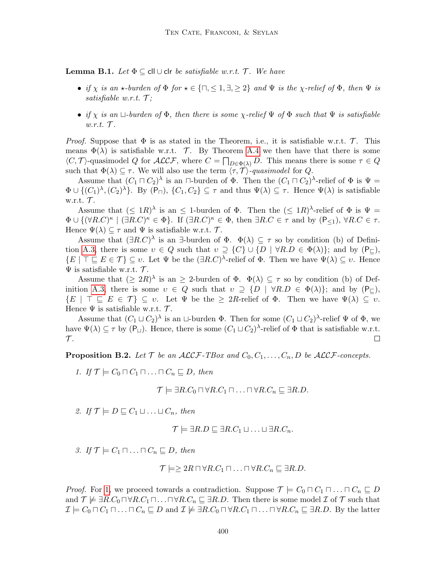**Lemma B.1.** Let  $\Phi \subseteq \text{cl} \cup \text{cl}$  be satisfiable w.r.t.  $\mathcal{T}$ . We have

- if  $\chi$  is an  $\star$ -burden of  $\Phi$  for  $\star \in \{\square, \leq 1, \exists, \geq 2\}$  and  $\Psi$  is the  $\chi$ -relief of  $\Phi$ , then  $\Psi$  is satisfiable w.r.t.  $\mathcal{T}$ ;
- if x is an  $\Box$ -burden of  $\Phi$ , then there is some x-relief  $\Psi$  of  $\Phi$  such that  $\Psi$  is satisfiable  $w.r.t.$   $\mathcal{T}$ .

*Proof.* Suppose that  $\Phi$  is as stated in the Theorem, i.e., it is satisfiable w.r.t.  $\mathcal{T}$ . This means  $\Phi(\lambda)$  is satisfiable w.r.t. T. By Theorem [A.4](#page-49-1) we then have that there is some  $\langle C, \mathcal{T} \rangle$ -quasimodel Q for  $\mathcal{ALCF}$ , where  $C = \prod_{D \in \Phi(\lambda)} D$ . This means there is some  $\tau \in Q$ such that  $\Phi(\lambda) \subseteq \tau$ . We will also use the term  $\langle \tau, \mathcal{T} \rangle$ -quasimodel for Q.

Assume that  $(C_1 \sqcap C_2)^\lambda$  is an  $\sqcap$ -burden of  $\Phi$ . Then the  $(C_1 \sqcap C_2)^\lambda$ -relief of  $\Phi$  is  $\Psi$  =  $\Phi \cup \{(C_1)^{\lambda}, (C_2)^{\lambda}\}\.$  By  $(\mathsf{P}_{\Box})$ ,  $\{C_1, C_2\} \subseteq \tau$  and thus  $\Psi(\lambda) \subseteq \tau$ . Hence  $\Psi(\lambda)$  is satisfiable w.r.t.  $\mathcal{T}$ .

Assume that  $(\leq 1R)^{\lambda}$  is an  $\leq 1$ -burden of  $\Phi$ . Then the  $(\leq 1R)^{\lambda}$ -relief of  $\Phi$  is  $\Psi =$  $\Phi \cup \{(\forall R.C)^{\kappa} \mid (\exists R.C)^{\kappa} \in \Phi\}.$  If  $(\exists R.C)^{\kappa} \in \Phi$ , then  $\exists R.C \in \tau$  and by  $(\mathsf{P}_{\leq 1}), \forall R.C \in \tau$ . Hence  $\Psi(\lambda) \subseteq \tau$  and  $\Psi$  is satisfiable w.r.t.  $\mathcal{T}$ .

Assume that  $(\exists R.C)^{\lambda}$  is an  $\exists$ -burden of  $\Phi$ .  $\Phi(\lambda) \subseteq \tau$  so by condition (b) of Defini-tion [A.3,](#page-48-0) there is some  $v \in Q$  such that  $v \supseteq \{C\} \cup \{D \mid \forall R.D \in \Phi(\lambda)\}\;$  and by  $(\mathsf{P}_{\sqsubset})$ ,  $\{E \mid \top \sqsubseteq E \in \mathcal{T}\} \subseteq v$ . Let  $\Psi$  be the  $(\exists R.C)^{\lambda}$ -relief of  $\Phi$ . Then we have  $\Psi(\lambda) \subseteq v$ . Hence  $\Psi$  is satisfiable w.r.t.  $\mathcal{T}$ .

Assume that  $(\geq 2R)^{\lambda}$  is an  $\geq 2$ -burden of  $\Phi$ .  $\Phi(\lambda) \subseteq \tau$  so by condition (b) of Def-inition [A.3,](#page-48-0) there is some  $v \in Q$  such that  $v \supseteq \{D \mid \forall R.D \in \Phi(\lambda)\}\;$  and by  $(\mathsf{P}_{\square}),$  $\{E \mid \top \sqsubseteq E \in \mathcal{T}\}\subseteq v$ . Let  $\Psi$  be the  $\geq 2R$ -relief of  $\Phi$ . Then we have  $\Psi(\lambda) \subseteq v$ . Hence  $\Psi$  is satisfiable w.r.t.  $\mathcal{T}$ .

Assume that  $(C_1 \sqcup C_2)^\lambda$  is an  $\sqcup$ -burden  $\Phi$ . Then for some  $(C_1 \sqcup C_2)^\lambda$ -relief  $\Psi$  of  $\Phi$ , we have  $\Psi(\lambda) \subseteq \tau$  by  $(P_{\square})$ . Hence, there is some  $(C_1 \sqcup C_2)^{\lambda}$ -relief of  $\Phi$  that is satisfiable w.r.t.  $\mathcal{T}.$  $\Box$ 

**Proposition B.2.** Let  $\mathcal{T}$  be an  $\mathcal{ALCF}\text{-}TBox$  and  $C_0, C_1, \ldots, C_n, D$  be  $\mathcal{ALCF}\text{-}concepts.$ 

<span id="page-53-0"></span>1. If  $\mathcal{T} \models C_0 \sqcap C_1 \sqcap \ldots \sqcap C_n \sqsubseteq D$ , then

$$
\mathcal{T} \models \exists R.C_0 \sqcap \forall R.C_1 \sqcap \ldots \sqcap \forall R.C_n \sqsubseteq \exists R.D.
$$

<span id="page-53-1"></span>2. If  $\mathcal{T} \models D \sqsubseteq C_1 \sqcup \ldots \sqcup C_n$ , then

$$
\mathcal{T} \models \exists R.D \sqsubseteq \exists R.C_1 \sqcup \ldots \sqcup \exists R.C_n.
$$

3. If  $\mathcal{T} \models C_1 \sqcap \ldots \sqcap C_n \sqsubseteq D$ , then

 $\mathcal{T} \models \geq 2R \sqcap \forall R.C_1 \sqcap \ldots \sqcap \forall R.C_n \sqsubseteq \exists R.D.$ 

*Proof.* For [1,](#page-53-0) we proceed towards a contradiction. Suppose  $\mathcal{T} \models C_0 \sqcap C_1 \sqcap \ldots \sqcap C_n \sqsubseteq D$ and  $\mathcal{T} \not\models \exists R.C_0 \sqcap \forall R.C_1 \sqcap \ldots \sqcap \forall R.C_n \sqsubseteq \exists R.D.$  Then there is some model  $\mathcal{I}$  of  $\mathcal{T}$  such that  $\mathcal{I} \models C_0 \sqcap C_1 \sqcap \ldots \sqcap C_n \sqsubseteq D$  and  $\mathcal{I} \not\models \exists R.C_0 \sqcap \forall R.C_1 \sqcap \ldots \sqcap \forall R.C_n \sqsubseteq \exists R.D.$  By the latter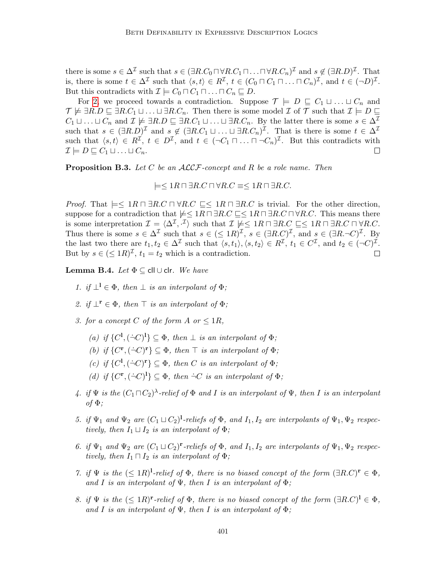there is some  $s \in \Delta^{\mathcal{I}}$  such that  $s \in (\exists R.C_0 \sqcap \forall R.C_1 \sqcap \ldots \sqcap \forall R.C_n)^{\mathcal{I}}$  and  $s \notin (\exists R.D)^{\mathcal{I}}$ . That is, there is some  $t \in \Delta^{\mathcal{I}}$  such that  $\langle s,t \rangle \in R^{\mathcal{I}}$ ,  $t \in (C_0 \sqcap C_1 \sqcap \ldots \sqcap C_n)^{\mathcal{I}}$ , and  $t \in (\neg D)^{\mathcal{I}}$ . But this contradicts with  $\mathcal{I} \models C_0 \sqcap C_1 \sqcap \ldots \sqcap C_n \sqsubseteq D$ .

For [2,](#page-53-1) we proceed towards a contradiction. Suppose  $\mathcal{T} \models D \sqsubseteq C_1 \sqcup \ldots \sqcup C_n$  and  $\mathcal{T} \not\models \exists R.D \sqsubseteq \exists R.C_1 \sqcup \ldots \sqcup \exists R.C_n.$  Then there is some model  $\mathcal{I}$  of  $\mathcal{T}$  such that  $\mathcal{I} \models D \sqsubseteq$  $C_1 \sqcup \ldots \sqcup C_n$  and  $\mathcal{I} \not\models \exists R.D \sqsubseteq \exists R.C_1 \sqcup \ldots \sqcup \exists R.C_n$ . By the latter there is some  $s \in \Delta^{\mathcal{I}}$ such that  $s \in (\exists R.D)^{\mathcal{I}}$  and  $s \notin (\exists R.C_1 \sqcup ... \sqcup \exists R.C_n)^{\mathcal{I}}$ . That is there is some  $t \in \Delta^{\mathcal{I}}$ such that  $\langle s,t\rangle \in \mathbb{R}^{\mathcal{I}}, t \in \mathbb{D}^{\mathcal{I}},$  and  $t \in (\neg C_1 \sqcap \ldots \sqcap \neg C_n)^{\mathcal{I}}$ . But this contradicts with  $\mathcal{I} \models D \sqsubseteq C_1 \sqcup \ldots \sqcup C_n.$  $\Box$ 

<span id="page-54-10"></span>**Proposition B.3.** Let  $C$  be an  $ALCF$ -concept and  $R$  be a role name. Then

 $\vert = \leq 1R \sqcap \exists R.C \sqcap \forall R.C \equiv \leq 1R \sqcap \exists R.C.$ 

*Proof.* That  $\models \leq 1R \sqcap \exists R.C \sqcap \forall R.C \sqsubseteq \leq 1R \sqcap \exists R.C$  is trivial. For the other direction, suppose for a contradiction that  $\neq \leq 1R \sqcap \exists R.C \sqsubseteq \leq 1R \sqcap \exists R.C \sqcap \forall R.C.$  This means there is some interpretation  $\mathcal{I} = \langle \Delta^{\mathcal{I}}, \cdot^{\mathcal{I}} \rangle$  such that  $\mathcal{I} \not\models \leq 1R \sqcap \exists R.C \sqsubseteq \leq 1R \sqcap \exists R.C \sqcap \forall R.C.$ Thus there is some  $s \in \Delta^{\mathcal{I}}$  such that  $s \in (\leq 1R)^{\mathcal{I}}$ ,  $s \in (\exists R.C)^{\mathcal{I}}$ , and  $s \in (\exists R.\neg C)^{\mathcal{I}}$ . By the last two there are  $t_1, t_2 \in \Delta^{\mathcal{I}}$  such that  $\langle s, t_1 \rangle, \langle s, t_2 \rangle \in R^{\mathcal{I}}, t_1 \in C^{\mathcal{I}},$  and  $t_2 \in (\neg C)^{\mathcal{I}}$ . But by  $s \in (\leq 1R)^{\mathcal{I}}$ ,  $t_1 = t_2$  which is a contradiction.  $\Box$ 

<span id="page-54-12"></span><span id="page-54-0"></span>Lemma B.4. Let  $\Phi \subset$  cll  $\cup$  clr. We have

- 1. if  $\perp^1 \in \Phi$ , then  $\perp$  is an interpolant of  $\Phi$ ;
- <span id="page-54-1"></span>2. if  $\perp^{\mathbf{r}} \in \Phi$ , then  $\top$  is an interpolant of  $\Phi$ ;
- <span id="page-54-3"></span><span id="page-54-2"></span>3. for a concept C of the form A or  $\leq 1R$ ,
	- (a) if  $\{C^1, (\dot{\neg} C)^1\} \subseteq \Phi$ , then  $\bot$  is an interpolant of  $\Phi$ ;
	- (b) if  $\{C^{\mathbf{r}}, (\dot{\neg} C)^{\mathbf{r}}\} \subseteq \Phi$ , then  $\top$  is an interpolant of  $\Phi$ ;
	- (c) if  $\{C^1, (\dot{\neg} C)^r\} \subseteq \Phi$ , then C is an interpolant of  $\Phi$ ;
	- (d) if  $\{C^{\mathbf{r}}, (\dot{\neg} C)^{\mathbf{l}}\} \subseteq \Phi$ , then  $\dot{\neg} C$  is an interpolant of  $\Phi$ ;
- <span id="page-54-6"></span><span id="page-54-5"></span><span id="page-54-4"></span>4. if  $\Psi$  is the  $(C_1 \sqcap C_2)^\lambda$ -relief of  $\Phi$  and I is an interpolant of  $\Psi$ , then I is an interpolant of  $\Phi$ :
- <span id="page-54-7"></span>5. if  $\Psi_1$  and  $\Psi_2$  are  $(C_1 \sqcup C_2)^{1}$ -reliefs of  $\Phi$ , and  $I_1, I_2$  are interpolants of  $\Psi_1, \Psi_2$  respectively, then  $I_1 \sqcup I_2$  is an interpolant of  $\Phi$ ;
- <span id="page-54-8"></span>6. if  $\Psi_1$  and  $\Psi_2$  are  $(C_1 \sqcup C_2)^r$ -reliefs of  $\Phi$ , and  $I_1, I_2$  are interpolants of  $\Psi_1, \Psi_2$  respectively, then  $I_1 \sqcap I_2$  is an interpolant of  $\Phi$ ;
- <span id="page-54-9"></span>7. if  $\Psi$  is the  $(\leq 1R)^{1}$ -relief of  $\Phi$ , there is no biased concept of the form  $(\exists R.C)^{r} \in \Phi$ , and I is an interpolant of  $\Psi$ , then I is an interpolant of  $\Phi$ ;
- <span id="page-54-11"></span>8. if  $\Psi$  is the  $(\leq 1R)^{r}$ -relief of  $\Phi$ , there is no biased concept of the form  $(\exists R.C)^{l} \in \Phi$ , and I is an interpolant of  $\Psi$ , then I is an interpolant of  $\Phi$ ;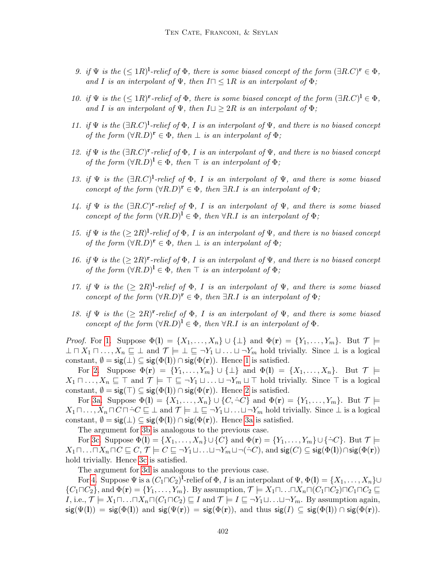- <span id="page-55-0"></span>9. if  $\Psi$  is the  $(\leq 1R)^{1}$ -relief of  $\Phi$ , there is some biased concept of the form  $(\exists R.C)^{r} \in \Phi$ , and I is an interpolant of  $\Psi$ , then  $I \cap \langle 1R$  is an interpolant of  $\Phi$ ;
- <span id="page-55-1"></span>10. if  $\Psi$  is the  $(\leq 1R)^r$ -relief of  $\Phi$ , there is some biased concept of the form  $(\exists R.C)^l \in \Phi$ , and I is an interpolant of  $\Psi$ , then  $I \sqcup \geq 2R$  is an interpolant of  $\Phi$ ;
- <span id="page-55-2"></span>11. if  $\Psi$  is the  $(\exists R.C)^{1}$ -relief of  $\Phi$ , I is an interpolant of  $\Psi$ , and there is no biased concept of the form  $(\forall R.D)^{r} \in \Phi$ , then  $\bot$  is an interpolant of  $\Phi$ ;
- <span id="page-55-3"></span>12. if  $\Psi$  is the  $(\exists R.C)^{\mathbf{r}}$ -relief of  $\Phi$ , I is an interpolant of  $\Psi$ , and there is no biased concept of the form  $(\forall R.D)^{1} \in \Phi$ , then  $\top$  is an interpolant of  $\Phi$ ;
- <span id="page-55-4"></span>13. if  $\Psi$  is the  $(\exists R.C)^{1}$ -relief of  $\Phi$ , I is an interpolant of  $\Psi$ , and there is some biased concept of the form  $(\forall R.D)^{r} \in \Phi$ , then  $\exists R.I$  is an interpolant of  $\Phi$ ;
- <span id="page-55-5"></span>14. if  $\Psi$  is the  $(\exists R.C)^r$ -relief of  $\Phi$ , I is an interpolant of  $\Psi$ , and there is some biased concept of the form  $(\forall R.D)^{1} \in \Phi$ , then  $\forall R.I$  is an interpolant of  $\Phi$ ;
- <span id="page-55-6"></span>15. if  $\Psi$  is the  $(\geq 2R)^{1}$ -relief of  $\Phi$ , I is an interpolant of  $\Psi$ , and there is no biased concept of the form  $(\forall R.D)^{r} \in \Phi$ , then  $\bot$  is an interpolant of  $\Phi$ ;
- <span id="page-55-7"></span>16. if  $\Psi$  is the  $(\geq 2R)^{r}$ -relief of  $\Phi$ , I is an interpolant of  $\Psi$ , and there is no biased concept of the form  $(\forall R.D)^{1} \in \Phi$ , then  $\top$  is an interpolant of  $\Phi$ ;
- <span id="page-55-8"></span>17. if  $\Psi$  is the  $( \geq 2R)^{1}$ -relief of  $\Phi$ , I is an interpolant of  $\Psi$ , and there is some biased concept of the form  $(\forall R.D)^{r} \in \Phi$ , then  $\exists R.I$  is an interpolant of  $\Phi$ ;
- <span id="page-55-9"></span>18. if  $\Psi$  is the  $( \geq 2R)^r$ -relief of  $\Phi$ , I is an interpolant of  $\Psi$ , and there is some biased concept of the form  $(\forall R.D)^{1} \in \Phi$ , then  $\forall R.I$  is an interpolant of  $\Phi$ .

*Proof.* For [1.](#page-54-0) Suppose  $\Phi(1) = \{X_1, \ldots, X_n\} \cup \{\perp\}$  and  $\Phi(\mathbf{r}) = \{Y_1, \ldots, Y_m\}$ . But  $\mathcal{T} \models$  $\bot \sqcap X_1 \sqcap \ldots, X_n \sqsubseteq \bot$  and  $\mathcal{T} \models \bot \sqsubseteq \neg Y_1 \sqcup \ldots \sqcup \neg Y_m$  hold trivially. Since  $\bot$  is a logical constant,  $\emptyset = \text{sig}(\bot) \subseteq \text{sig}(\Phi(\mathbf{l})) \cap \text{sig}(\Phi(\mathbf{r}))$ . Hence [1](#page-54-0) is satisfied.

For [2.](#page-54-1) Suppose  $\Phi(\mathbf{r}) = \{Y_1, \ldots, Y_m\} \cup \{\perp\}$  and  $\Phi(\mathbf{l}) = \{X_1, \ldots, X_n\}$ . But  $\mathcal{T} \models$  $X_1 \sqcap \ldots, X_n \sqsubseteq \top$  and  $\mathcal{T} \models \top \sqsubseteq \neg Y_1 \sqcup \ldots \sqcup \neg Y_m \sqcup \top$  hold trivially. Since  $\top$  is a logical constant,  $\emptyset = \mathsf{sig}(\top) \subseteq \mathsf{sig}(\Phi(\mathbf{l})) \cap \mathsf{sig}(\Phi(\mathbf{r}))$ . Hence [2](#page-54-1) is satisfied.

For [3a.](#page-54-2) Suppose  $\Phi(1) = \{X_1, \ldots, X_n\} \cup \{C, \dot{\neg} C\}$  and  $\Phi(\mathbf{r}) = \{Y_1, \ldots, Y_m\}$ . But  $\mathcal{T} \models$  $X_1 \sqcap \ldots, X_n \sqcap C \sqcap \neg C \sqsubseteq \bot$  and  $\mathcal{T} \models \bot \sqsubseteq \neg Y_1 \sqcup \ldots \sqcup \neg Y_m$  hold trivially. Since  $\bot$  is a logical constant,  $\emptyset = \mathsf{sig}(\bot) \subseteq \mathsf{sig}(\Phi(\mathsf{I})) \cap \mathsf{sig}(\Phi(\mathsf{r}))$ . Hence [3a](#page-54-2) is satisfied.

The argument for [3b](#page-54-3) is analogous to the previous case.

For [3c.](#page-54-4) Suppose  $\Phi(\mathbf{l}) = \{X_1, \ldots, X_n\} \cup \{C\}$  and  $\Phi(\mathbf{r}) = \{Y_1, \ldots, Y_m\} \cup \{\neg C\}$ . But  $\mathcal{T} \models$  $X_1\sqcap\ldots\sqcap X_n\sqcap C\sqsubseteq C,$   $\mathcal{T}\models C\sqsubseteq\neg Y_1\sqcup\ldots\sqcup\neg Y_m\sqcup\neg(\neg C)$ , and  $\mathsf{sig}(C)\subseteq\mathsf{sig}(\Phi(1))\cap\mathsf{sig}(\Phi(\mathbf{r}))$ hold trivially. Hence [3c](#page-54-4) is satisfied.

The argument for [3d](#page-54-5) is analogous to the previous case.

For [4.](#page-54-6) Suppose  $\Psi$  is a  $(C_1 \sqcap C_2)^{1}$ -relief of  $\Phi$ , I is an interpolant of  $\Psi$ ,  $\Phi(1) = \{X_1, \ldots, X_n\} \cup$  $\{C_1 \sqcap C_2\}$ , and  $\Phi(\mathbf{r}) = \{Y_1, \ldots, Y_m\}$ . By assumption,  $\mathcal{T} \models X_1 \sqcap \ldots \sqcap X_n \sqcap (C_1 \sqcap C_2) \sqcap C_1 \sqcap C_2 \sqsubseteq$ I, i.e.,  $\mathcal{T} \models X_1 \sqcap \ldots \sqcap X_n \sqcap (C_1 \sqcap C_2) \sqsubseteq I$  and  $\mathcal{T} \models I \sqsubseteq \neg Y_1 \sqcup \ldots \sqcup \neg Y_m$ . By assumption again,  $\operatorname{sig}(\Psi(1)) = \operatorname{sig}(\Phi(1))$  and  $\operatorname{sig}(\Psi(r)) = \operatorname{sig}(\Phi(r))$ , and thus  $\operatorname{sig}(I) \subseteq \operatorname{sig}(\Phi(1)) \cap \operatorname{sig}(\Phi(r))$ .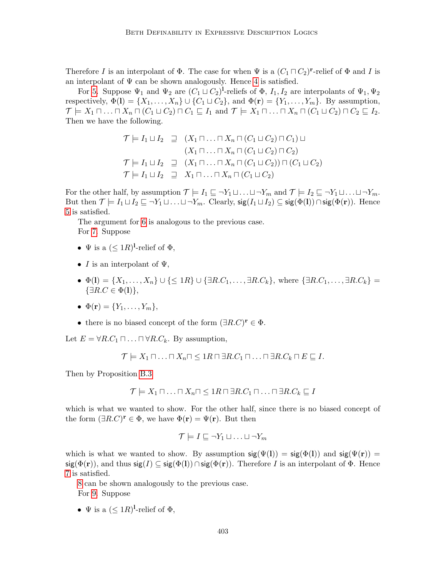Therefore I is an interpolant of  $\Phi$ . The case for when  $\Psi$  is a  $(C_1 \sqcap C_2)^{r}$ -relief of  $\Phi$  and I is an interpolant of  $\Psi$  can be shown analogously. Hence [4](#page-54-6) is satisfied.

For [5.](#page-54-7) Suppose  $\Psi_1$  and  $\Psi_2$  are  $(C_1 \sqcup C_2)^{1}$ -reliefs of  $\Phi$ ,  $I_1, I_2$  are interpolants of  $\Psi_1, \Psi_2$ respectively,  $\Phi(1) = \{X_1, \ldots, X_n\} \cup \{C_1 \sqcup C_2\}$ , and  $\Phi(\mathbf{r}) = \{Y_1, \ldots, Y_m\}$ . By assumption,  $\mathcal{T} \models X_1 \sqcap \ldots \sqcap X_n \sqcap (C_1 \sqcup C_2) \sqcap C_1 \sqsubseteq I_1 \text{ and } \mathcal{T} \models X_1 \sqcap \ldots \sqcap X_n \sqcap (C_1 \sqcup C_2) \sqcap C_2 \sqsubseteq I_2.$ Then we have the following.

$$
\mathcal{T} \models I_1 \sqcup I_2 \quad \sqsupseteq \quad (X_1 \sqcap \ldots \sqcap X_n \sqcap (C_1 \sqcup C_2) \sqcap C_1) \sqcup
$$
\n
$$
(X_1 \sqcap \ldots \sqcap X_n \sqcap (C_1 \sqcup C_2) \sqcap C_2)
$$
\n
$$
\mathcal{T} \models I_1 \sqcup I_2 \quad \sqsupseteq \quad (X_1 \sqcap \ldots \sqcap X_n \sqcap (C_1 \sqcup C_2)) \sqcap (C_1 \sqcup C_2)
$$
\n
$$
\mathcal{T} \models I_1 \sqcup I_2 \quad \sqsupseteq \quad X_1 \sqcap \ldots \sqcap X_n \sqcap (C_1 \sqcup C_2)
$$

For the other half, by assumption  $\mathcal{T} \models I_1 \sqsubseteq \neg Y_1 \sqcup \ldots \sqcup \neg Y_m$  and  $\mathcal{T} \models I_2 \sqsubseteq \neg Y_1 \sqcup \ldots \sqcup \neg Y_m$ . But then  $\mathcal{T} \models I_1 \sqcup I_2 \sqsubseteq \neg Y_1 \sqcup \ldots \sqcup \neg Y_m$ . Clearly,  $sig(I_1 \sqcup I_2) \subseteq sig(\Phi(1)) \cap sig(\Phi(r))$ . Hence [5](#page-54-7) is satisfied.

The argument for [6](#page-54-8) is analogous to the previous case. For [7.](#page-54-9) Suppose

- $\Psi$  is a  $(\leq 1R)^{1}$ -relief of  $\Phi$ ,
- I is an interpolant of  $\Psi$ ,
- $\Phi(1) = \{X_1, \ldots, X_n\} \cup \{\leq 1R\} \cup \{\exists R.C_1, \ldots, \exists R.C_k\}, \text{ where } \{\exists R.C_1, \ldots, \exists R.C_k\} =$  $\{\exists R.C \in \Phi(\mathbf{l})\},\$
- $\bullet \ \Phi(\mathbf{r}) = \{Y_1, \ldots, Y_m\},\,$
- there is no biased concept of the form  $(\exists R.C)^{r} \in \Phi$ .

Let  $E = \forall R.C_1 \sqcap ... \sqcap \forall R.C_k$ . By assumption,

$$
\mathcal{T} \models X_1 \sqcap \ldots \sqcap X_n \sqcap \leq 1R \sqcap \exists R.C_1 \sqcap \ldots \sqcap \exists R.C_k \sqcap E \sqsubseteq I.
$$

Then by Proposition [B.3](#page-54-10)

$$
\mathcal{T} \models X_1 \sqcap \ldots \sqcap X_n \sqcap \leq 1R \sqcap \exists R.C_1 \sqcap \ldots \sqcap \exists R.C_k \sqsubseteq I
$$

which is what we wanted to show. For the other half, since there is no biased concept of the form  $(\exists R.C)^{\mathbf{r}} \in \Phi$ , we have  $\Phi(\mathbf{r}) = \Psi(\mathbf{r})$ . But then

$$
\mathcal{T} \models I \sqsubseteq \neg Y_1 \sqcup \ldots \sqcup \neg Y_m
$$

which is what we wanted to show. By assumption  $sig(\Psi(I)) = sig(\Phi(I))$  and  $sig(\Psi(r)) =$  $sig(\Phi(\mathbf{r}))$ , and thus  $sig(I) \subseteq sig(\Phi(\mathbf{l})) \cap sig(\Phi(\mathbf{r}))$ . Therefore I is an interpolant of  $\Phi$ . Hence [7](#page-54-9) is satisfied.

[8](#page-54-11) can be shown analogously to the previous case. For [9.](#page-55-0) Suppose

•  $\Psi$  is a  $(\leq 1R)^{1}$ -relief of  $\Phi$ ,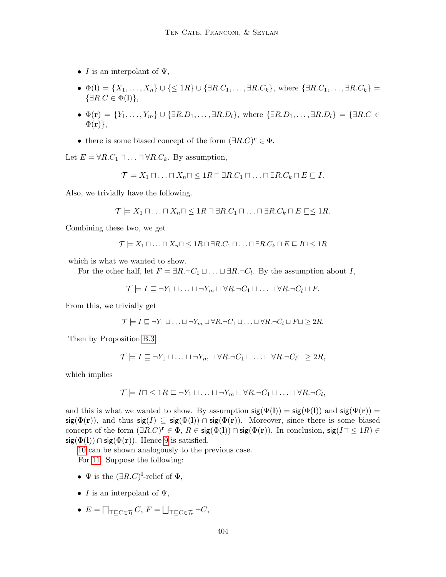- I is an interpolant of  $\Psi$ ,
- $\Phi(1) = \{X_1, \ldots, X_n\} \cup \{\leq 1R\} \cup \{\exists R.C_1, \ldots, \exists R.C_k\}, \text{ where } \{\exists R.C_1, \ldots, \exists R.C_k\} =$  $\{\exists R.C \in \Phi(\mathbf{l})\},\$
- $\Phi(\mathbf{r}) = \{Y_1, \ldots, Y_m\} \cup \{\exists R.D_1, \ldots, \exists R.D_l\},\$  where  $\{\exists R.D_1, \ldots, \exists R.D_l\} = \{\exists R.C \in \mathcal{F}\}$  $\Phi(\mathbf{r})\},\,$
- there is some biased concept of the form  $(\exists R.C)^{r} \in \Phi$ .

Let  $E = \forall R.C_1 \sqcap \ldots \sqcap \forall R.C_k$ . By assumption,

$$
\mathcal{T} \models X_1 \sqcap \ldots \sqcap X_n \sqcap \leq 1R \sqcap \exists R.C_1 \sqcap \ldots \sqcap \exists R.C_k \sqcap E \sqsubseteq I.
$$

Also, we trivially have the following.

$$
\mathcal{T} \models X_1 \sqcap \ldots \sqcap X_n \sqcap \leq 1R \sqcap \exists R.C_1 \sqcap \ldots \sqcap \exists R.C_k \sqcap E \sqsubseteq \leq 1R.
$$

Combining these two, we get

$$
\mathcal{T} \models X_1 \sqcap \ldots \sqcap X_n \sqcap \leq 1R \sqcap \exists R.C_1 \sqcap \ldots \sqcap \exists R.C_k \sqcap E \sqsubseteq I \sqcap \leq 1R
$$

which is what we wanted to show.

For the other half, let  $F = \exists R.\neg C_1 \sqcup \dots \sqcup \exists R.\neg C_l$ . By the assumption about I,

$$
\mathcal{T} \models I \sqsubseteq \neg Y_1 \sqcup \ldots \sqcup \neg Y_m \sqcup \forall R.\neg C_1 \sqcup \ldots \sqcup \forall R.\neg C_l \sqcup F.
$$

From this, we trivially get

$$
\mathcal{T} \models I \sqsubseteq \neg Y_1 \sqcup \ldots \sqcup \neg Y_m \sqcup \forall R.\neg C_1 \sqcup \ldots \sqcup \forall R.\neg C_l \sqcup F \sqcup \geq 2R.
$$

Then by Proposition [B.3,](#page-54-10)

$$
\mathcal{T} \models I \sqsubseteq \neg Y_1 \sqcup \ldots \sqcup \neg Y_m \sqcup \forall R.\neg C_1 \sqcup \ldots \sqcup \forall R.\neg C_l \sqcup \geq 2R,
$$

which implies

$$
\mathcal{T} \models I \sqcap \leq 1R \sqsubseteq \neg Y_1 \sqcup \ldots \sqcup \neg Y_m \sqcup \forall R.\neg C_1 \sqcup \ldots \sqcup \forall R.\neg C_l,
$$

and this is what we wanted to show. By assumption  $sig(\Psi(I)) = sig(\Phi(I))$  and  $sig(\Psi(r)) =$ sig( $\Phi(\mathbf{r})$ ), and thus sig( $I \subseteq \text{sig}(\Phi(I)) \cap \text{sig}(\Phi(\mathbf{r}))$ . Moreover, since there is some biased concept of the form  $(\exists R.C)^r \in \Phi$ ,  $R \in \text{sig}(\Phi(I)) \cap \text{sig}(\Phi(r))$ . In conclusion,  $\text{sig}(I \cap \leq 1R) \in$  $sig(\Phi(I)) \cap sig(\Phi(r))$ . Hence [9](#page-55-0) is satisfied.

[10](#page-55-1) can be shown analogously to the previous case.

For [11.](#page-55-2) Suppose the following:

- $\Psi$  is the  $(\exists R.C)^{1}$ -relief of  $\Phi$ ,
- I is an interpolant of  $\Psi$ ,
- $\bullet$   $E = \bigcap_{\top \sqsubseteq C \in \mathcal{T}_\mathbf{I}} C, F = \bigsqcup_{\top \sqsubseteq C \in \mathcal{T}_\mathbf{r}} \neg C,$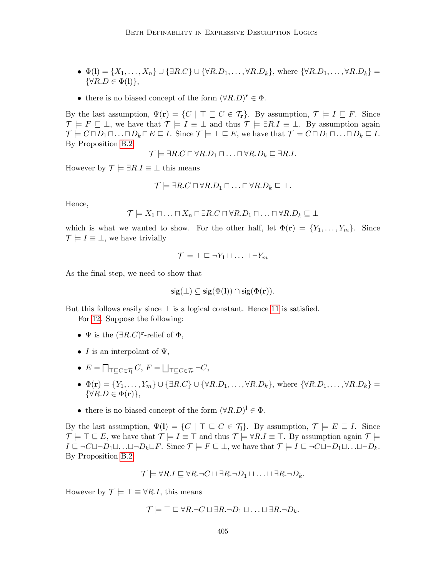- $\Phi(1) = \{X_1, \ldots, X_n\} \cup \{\exists R.C\} \cup \{\forall R.D_1, \ldots, \forall R.D_k\}$ , where  $\{\forall R.D_1, \ldots, \forall R.D_k\} =$  $\{\forall R.D \in \Phi(\mathbf{l})\},\$
- there is no biased concept of the form  $(\forall R.D)^{r} \in \Phi$ .

By the last assumption,  $\Psi(\mathbf{r}) = \{C \mid \top \sqsubseteq C \in \mathcal{T}_{\mathbf{r}}\}$ . By assumption,  $\mathcal{T} \models I \sqsubseteq F$ . Since  $\mathcal{T} \models F \sqsubseteq \bot$ , we have that  $\mathcal{T} \models I \equiv \bot$  and thus  $\mathcal{T} \models \exists R.I \equiv \bot$ . By assumption again  $\mathcal{T} \models C \sqcap D_1 \sqcap \ldots \sqcap D_k \sqcap E \sqsubseteq I$ . Since  $\mathcal{T} \models \top \sqsubseteq E$ , we have that  $\mathcal{T} \models C \sqcap D_1 \sqcap \ldots \sqcap D_k \sqsubseteq I$ . By Proposition [B.2](#page-8-0)

$$
\mathcal{T} \models \exists R.C \sqcap \forall R.D_1 \sqcap \ldots \sqcap \forall R.D_k \sqsubseteq \exists R.I.
$$

However by  $\mathcal{T} \models \exists R.I \equiv \bot$  this means

$$
\mathcal{T} \models \exists R.C \sqcap \forall R.D_1 \sqcap \ldots \sqcap \forall R.D_k \sqsubseteq \bot.
$$

Hence,

$$
\mathcal{T} \models X_1 \sqcap \ldots \sqcap X_n \sqcap \exists R.C \sqcap \forall R.D_1 \sqcap \ldots \sqcap \forall R.D_k \sqsubseteq \bot
$$

which is what we wanted to show. For the other half, let  $\Phi(\mathbf{r}) = \{Y_1, \ldots, Y_m\}$ . Since  $\mathcal{T} \models I \equiv \bot$ , we have trivially

$$
\mathcal{T} \models \bot \sqsubseteq \neg Y_1 \sqcup \ldots \sqcup \neg Y_m
$$

As the final step, we need to show that

$$
\mathsf{sig}(\bot) \subseteq \mathsf{sig}(\Phi(\mathbf{l})) \cap \mathsf{sig}(\Phi(\mathbf{r})).
$$

But this follows easily since  $\perp$  is a logical constant. Hence [11](#page-55-2) is satisfied.

For [12.](#page-55-3) Suppose the following:

- $\Psi$  is the  $(\exists R.C)^{\mathbf{r}}$ -relief of  $\Phi$ ,
- I is an interpolant of  $\Psi$ ,
- $E = \prod_{\substack{\top \sqsubseteq C \in \mathcal{T}_{\textbf{I}}}} C, F = \bigsqcup_{\substack{\top \sqsubseteq C \in \mathcal{T}_{\textbf{r}}}} \neg C,$
- $\Phi(\mathbf{r}) = \{Y_1, \ldots, Y_m\} \cup \{\exists R.C\} \cup \{\forall R.D_1, \ldots, \forall R.D_k\}$ , where  $\{\forall R.D_1, \ldots, \forall R.D_k\} =$  $\{\forall R.D \in \Phi(\mathbf{r})\},\$
- there is no biased concept of the form  $(\forall R.D)^{\mathbf{l}} \in \Phi$ .

By the last assumption,  $\Psi(I) = \{C \mid \top \sqsubseteq C \in \mathcal{T}_1\}$ . By assumption,  $\mathcal{T} \models E \sqsubseteq I$ . Since  $\mathcal{T} \models \top \sqsubseteq E$ , we have that  $\mathcal{T} \models I \equiv \top$  and thus  $\mathcal{T} \models \forall R.I \equiv \top$ . By assumption again  $\mathcal{T} \models$  $I \sqsubseteq \neg C \sqcup \neg D_1 \sqcup \ldots \sqcup \neg D_k \sqcup F$ . Since  $\mathcal{T} \models F \sqsubseteq \bot$ , we have that  $\mathcal{T} \models I \sqsubseteq \neg C \sqcup \neg D_1 \sqcup \ldots \sqcup \neg D_k$ . By Proposition [B.2](#page-8-0)

$$
\mathcal{T}\models \forall R.I\sqsubseteq \forall R.\neg C\sqcup \exists R.\neg D_1\sqcup \ldots \sqcup \exists R.\neg D_k.
$$

However by  $\mathcal{T} \models \top \equiv \forall R.I$ , this means

$$
\mathcal{T} \models \top \sqsubseteq \forall R \neg C \sqcup \exists R \neg D_1 \sqcup \ldots \sqcup \exists R \neg D_k.
$$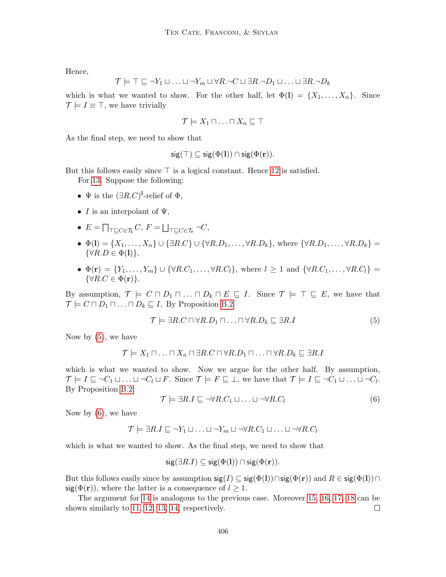Hence,

$$
\mathcal{T} \models \top \sqsubseteq \neg Y_1 \sqcup \ldots \sqcup \neg Y_m \sqcup \forall R \neg C \sqcup \exists R \neg D_1 \sqcup \ldots \sqcup \exists R \neg D_k
$$

which is what we wanted to show. For the other half, let  $\Phi(1) = \{X_1, \ldots, X_n\}$ . Since  $\mathcal{T} \models I \equiv \top$ , we have trivially

$$
\mathcal{T} \models X_1 \sqcap \ldots \sqcap X_n \sqsubseteq \top
$$

As the final step, we need to show that

$$
\mathsf{sig}(\top) \subseteq \mathsf{sig}(\Phi(\mathbf{l})) \cap \mathsf{sig}(\Phi(\mathbf{r})).
$$

But this follows easily since  $\top$  is a logical constant. Hence [12](#page-55-3) is satisfied.

For [13.](#page-55-4) Suppose the following:

- $\Psi$  is the  $(\exists R.C)^{1}$ -relief of  $\Phi$ ,
- I is an interpolant of  $\Psi$ ,
- $\bullet$   $E = \bigcap_{\top \sqsubseteq C \in \mathcal{T}_\mathbf{I}} C, F = \bigsqcup_{\top \sqsubseteq C \in \mathcal{T}_\mathbf{r}} \neg C,$
- $\Phi(I) = \{X_1, \ldots, X_n\} \cup \{\exists R.C\} \cup \{\forall R.D_1, \ldots, \forall R.D_k\}$ , where  $\{\forall R.D_1, \ldots, \forall R.D_k\}$  $\{\forall R.D \in \Phi(\mathbf{l})\},\$
- $\Phi(\mathbf{r}) = \{Y_1, \ldots, Y_m\} \cup \{\forall R.C_1, \ldots, \forall R.C_l\}, \text{ where } l \geq 1 \text{ and } \{\forall R.C_1, \ldots, \forall R.C_l\} =$  $\{\forall R.C \in \Phi(\mathbf{r})\}.$

By assumption,  $\mathcal{T} \models C \sqcap D_1 \sqcap \ldots \sqcap D_k \sqcap E \sqsubseteq I$ . Since  $\mathcal{T} \models \top \sqsubseteq E$ , we have that  $\mathcal{T} \models C \sqcap D_1 \sqcap \ldots \sqcap D_k \sqsubseteq I$ . By Proposition [B.2](#page-8-0)

<span id="page-59-0"></span>
$$
\mathcal{T} \models \exists R.C \sqcap \forall R.D_1 \sqcap \ldots \sqcap \forall R.D_k \sqsubseteq \exists R.I \tag{5}
$$

Now by  $(5)$ , we have

$$
\mathcal{T} \models X_1 \sqcap \ldots \sqcap X_n \sqcap \exists R.C \sqcap \forall R.D_1 \sqcap \ldots \sqcap \forall R.D_k \sqsubseteq \exists R.I
$$

which is what we wanted to show. Now we argue for the other half. By assumption,  $\mathcal{T} \models I \sqsubseteq \neg C_1 \sqcup \ldots \sqcup \neg C_l \sqcup F$ . Since  $\mathcal{T} \models F \sqsubseteq \bot$ , we have that  $\mathcal{T} \models I \sqsubseteq \neg C_1 \sqcup \ldots \sqcup \neg C_l$ . By Proposition [B.2](#page-8-0)

<span id="page-59-1"></span>
$$
\mathcal{T} \models \exists R.I \sqsubseteq \neg \forall R.C_1 \sqcup \ldots \sqcup \neg \forall R.C_l
$$
\n
$$
(6)
$$

Now by  $(6)$ , we have

$$
\mathcal{T} \models \exists R.I \sqsubseteq \neg Y_1 \sqcup \ldots \sqcup \neg Y_m \sqcup \neg \forall R.C_1 \sqcup \ldots \sqcup \neg \forall R.C_l
$$

which is what we wanted to show. As the final step, we need to show that

$$
\mathsf{sig}(\exists R.I) \subseteq \mathsf{sig}(\Phi(\mathbf{l})) \cap \mathsf{sig}(\Phi(\mathbf{r})).
$$

But this follows easily since by assumption  $sig(I) \subseteq sig(\Phi(I)) \cap sig(\Phi(r))$  and  $R \in sig(\Phi(I)) \cap$  $sig(\Phi(\mathbf{r}))$ , where the latter is a consequence of  $l \geq 1$ .

The argument for [14](#page-55-5) is analogous to the previous case. Moreover [15,](#page-55-6) [16,](#page-55-7) [17,](#page-55-8) [18](#page-55-9) can be shown similarly to [11,](#page-55-2) [12,](#page-55-3) [13,](#page-55-4) [14,](#page-55-5) respectively.  $\Box$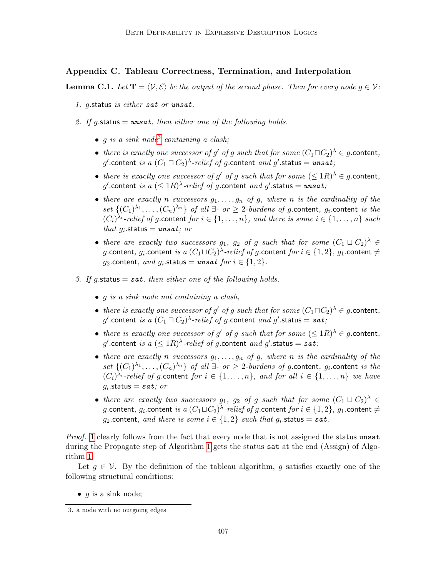# Appendix C. Tableau Correctness, Termination, and Interpolation

**Lemma C.1.** Let  $\mathbf{T} = \langle V, \mathcal{E} \rangle$  be the output of the second phase. Then for every node  $g \in V$ :

- <span id="page-60-1"></span>1. g.status is either sat or unsat.
- <span id="page-60-2"></span>2. If g.status =  $unsat$ , then either one of the following holds.
	- g is a sink node<sup>[3](#page-60-0)</sup> containing a clash;
	- there is exactly one successor of g' of g such that for some  $(C_1 \sqcap C_2)^\lambda \in g$  content,  $g'.$ content  $\emph{is a $(C_1\sqcap C_2)^\lambda$-relief of g.}$ content  $\emph{and } g'.$ status  $=$   $\emph{unsat;}$
	- there is exactly one successor of g' of g such that for some  $(\leq 1R)^{\lambda} \in g$  content,  $g'.$ content  $is$   $a$   $(\leq 1R)^\lambda\text{-}relief$  of  $g.\textsf{content}$   $and$   $g'.\textsf{status}=\textit{unsat};$
	- there are exactly n successors  $g_1, \ldots, g_n$  of g, where n is the cardinality of the set  $\{(C_1)^{\lambda_1}, \ldots, (C_n)^{\lambda_n}\}\$  of all  $\exists$ - or  $\geq$  2-burdens of g.content,  $g_i$  content is the  $(C_i)^{\lambda_i}$ -relief of g.content for  $i \in \{1, ..., n\}$ , and there is some  $i \in \{1, ..., n\}$  such that  $g_i$  status = unsat; or
	- there are exactly two successors  $g_1$ ,  $g_2$  of g such that for some  $(C_1 \sqcup C_2)^{\lambda} \in$  $g.$ content,  $g_i.$ content  $\emph{is a }$   $(C_1\sqcup C_2)^\lambda\emph{-relief}$  of  $g.$ content  $\emph{for i}\in\{1,2\},\,g_1.$ content  $\neq$ g<sub>2</sub>.content, and  $g_i$ .status = unsat for  $i \in \{1,2\}$ .
- <span id="page-60-3"></span>3. If g.status  $=$  sat, then either one of the following holds.
	- g is a sink node not containing a clash,
	- there is exactly one successor of g' of g such that for some  $(C_1 \sqcap C_2)^\lambda \in g$  content,  $g'.$ content  $is$  a  $(C_1\sqcap C_2)^\lambda\text{-}relief$  of  $g.\textsf{content}$  and  $g'.\textsf{status} = \textit{sat};$
	- there is exactly one successor of g' of g such that for some  $(\leq 1R)^{\lambda} \in g$  content,  $g'.$ content  $is$   $a$   $(\leq 1R)^\lambda\text{-}relief$  of  $g.\textsf{content}$   $and$   $g'.\textsf{status} = \textit{sat};$
	- there are exactly n successors  $q_1, \ldots, q_n$  of q, where n is the cardinality of the set  $\{(C_1)^{\lambda_1}, \ldots, (C_n)^{\lambda_n}\}\$  of all  $\exists$ - or  $\geq$  2-burdens of g.content,  $g_i$  content is the  $(C_i)^{\lambda_i}$ -relief of g.content for  $i \in \{1, ..., n\}$ , and for all  $i \in \{1, ..., n\}$  we have  $g_i$ .status  $=$  sat; or
	- there are exactly two successors  $g_1$ ,  $g_2$  of g such that for some  $(C_1 \sqcup C_2)^{\lambda} \in$  $g.$ content,  $g_i.$ content  $\emph{is a }$   $(C_1\sqcup C_2)^\lambda\emph{-relief}$  of  $g.$ content  $\emph{for i}\in\{1,2\},\,g_1.$ content  $\neq$ g<sub>2</sub>.content, and there is some  $i \in \{1,2\}$  such that  $g_i$ .status = sat.

Proof. [1](#page-60-1) clearly follows from the fact that every node that is not assigned the status unsat during the Propagate step of Algorithm [1](#page-14-0) gets the status sat at the end (Assign) of Algorithm [1.](#page-14-0)

Let  $g \in V$ . By the definition of the tableau algorithm, g satisfies exactly one of the following structural conditions:

•  $q$  is a sink node;

<span id="page-60-0"></span><sup>3.</sup> a node with no outgoing edges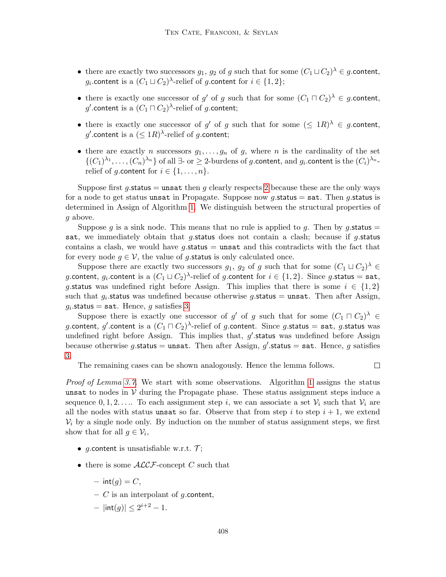- there are exactly two successors  $g_1, g_2$  of g such that for some  $(C_1 \sqcup C_2)$ <sup> $\lambda \in g$ </sup> content, g<sub>i</sub>.content is a  $(C_1 \sqcup C_2)$ <sup> $\lambda$ </sup>-relief of g.content for  $i \in \{1,2\};$
- there is exactly one successor of g' of g such that for some  $(C_1 \sqcap C_2)^\lambda \in g$  content,  $g'.$ content is a  $(C_1\sqcap C_2)^\lambda\text{-relief of } g.\text{\sf content};$
- there is exactly one successor of g' of g such that for some  $(\leq 1R)^{\lambda} \in g$  content, g' content is a  $(\leq 1R)^{\lambda}$ -relief of g content;
- there are exactly n successors  $g_1, \ldots, g_n$  of g, where n is the cardinality of the set  $\{(C_1)^{\lambda_1},\ldots,(C_n)^{\lambda_n}\}\$  of all  $\exists$ - or  $\geq$  2-burdens of g.content, and  $g_i$  content is the  $(C_i)^{\lambda_n}$ relief of g.content for  $i \in \{1, \ldots, n\}$ .

Suppose first  $g$  status = unsat then  $g$  clearly respects [2](#page-60-2) because these are the only ways for a node to get status unsat in Propagate. Suppose now g.status  $=$  sat. Then g.status is determined in Assign of Algorithm [1.](#page-14-0) We distinguish between the structural properties of g above.

Suppose g is a sink node. This means that no rule is applied to g. Then by g.status  $=$ sat, we immediately obtain that  $q$ -status does not contain a clash; because if  $q$ -status contains a clash, we would have g.status  $=$  unsat and this contradicts with the fact that for every node  $g \in V$ , the value of g status is only calculated once.

Suppose there are exactly two successors  $g_1, g_2$  of g such that for some  $(C_1 \sqcup C_2)^{\lambda} \in$ g.content,  $g_i.$ content is a  $(C_1\sqcup C_2)^\lambda$ -relief of g.content for  $i\in\{1,2\}.$  Since g.status =  $\texttt{sat},$ g. status was undefined right before Assign. This implies that there is some  $i \in \{1,2\}$ such that  $g_i$  status was undefined because otherwise g status = unsat. Then after Assign,  $g_i$ .status = sat. Hence,  $g$  satisfies [3.](#page-60-3)

Suppose there is exactly one successor of g' of g such that for some  $(C_1 \sqcap C_2)^\lambda \in$ g.content,  $g'$ .content is a  $(C_1\sqcap C_2)^\lambda$ -relief of g.content. Since g.status =  ${\tt sat},$  g.status was undefined right before Assign. This implies that,  $g'$  status was undefined before Assign because otherwise g.status = unsat. Then after Assign, g'.status = sat. Hence, g satisfies [3.](#page-60-3)

The remaining cases can be shown analogously. Hence the lemma follows.

 $\Box$ 

Proof of Lemma [3.7.](#page-13-1) We start with some observations. Algorithm [1](#page-14-0) assigns the status unsat to nodes in  $V$  during the Propagate phase. These status assignment steps induce a sequence  $0, 1, 2, \ldots$  To each assignment step i, we can associate a set  $\mathcal{V}_i$  such that  $\mathcal{V}_i$  are all the nodes with status unsat so far. Observe that from step i to step  $i + 1$ , we extend  $V_i$  by a single node only. By induction on the number of status assignment steps, we first show that for all  $g \in \mathcal{V}_i$ ,

- g.content is unsatisfiable w.r.t.  $\mathcal{T}$ ;
- there is some  $\mathcal{ALCF}$ -concept C such that
	- $-$  int(g) = C,
	- $C$  is an interpolant of g.content,
	- $-$  |int(g)|  $\leq 2^{i+2} 1$ .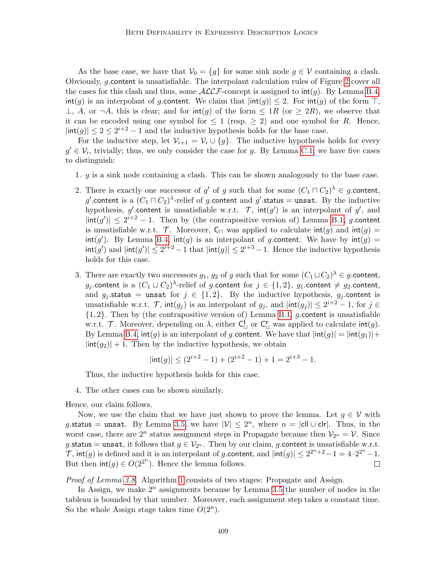As the base case, we have that  $V_0 = \{g\}$  for some sink node  $g \in V$  containing a clash. Obviously, g.content is unsatisfiable. The interpolant calculation rules of Figure [2](#page-15-1) cover all the cases for this clash and thus, some  $\mathcal{ALCF}$ -concept is assigned to  $\text{int}(g)$ . By Lemma [B.4,](#page-54-12)  $\text{int}(q)$  is an interpolant of q content. We claim that  $|\text{int}(q)| \leq 2$ . For  $\text{int}(q)$  of the form  $\top$ , ⊥, A, or  $\neg A$ , this is clear; and for  $\text{int}(g)$  of the form  $\leq 1R$  (or  $\geq 2R$ ), we observe that it can be encoded using one symbol for  $\leq 1$  (resp.  $\geq 2$ ) and one symbol for R. Hence,  $|\text{int}(g)| \leq 2 \leq 2^{i+2} - 1$  and the inductive hypothesis holds for the base case.

For the inductive step, let  $\mathcal{V}_{i+1} = \mathcal{V}_i \cup \{g\}$ . The inductive hypothesis holds for every  $g' \in \mathcal{V}_i$ , trivially; thus, we only consider the case for g. By Lemma [C.1,](#page-9-1) we have five cases to distinguish:

- 1. g is a sink node containing a clash. This can be shown analogously to the base case.
- 2. There is exactly one successor of g' of g such that for some  $(C_1 \sqcap C_2)$ <sup> $\lambda \in g$ </sup> content, g'.content is a  $(C_1 \sqcap C_2)$ <sup> $\lambda$ </sup>-relief of g.content and g'.status = unsat. By the inductive hypothesis, g' content is unsatisfiable w.r.t.  $\mathcal{T}$ ,  $\text{int}(g')$  is an interpolant of g', and  $|\text{int}(g')| \leq 2^{i+2} - 1$ . Then by (the contrapositive version of) Lemma [B.1,](#page-8-1) g.content is unsatisfiable w.r.t. T. Moreover,  $C_{\square}$  was applied to calculate  $\text{int}(q)$  and  $\text{int}(q)$  $\text{int}(g')$ . By Lemma [B.4,](#page-54-12)  $\text{int}(g)$  is an interpolant of g.content. We have by  $\text{int}(g)$  =  $\text{int}(g')$  and  $|\text{int}(g')| \leq 2^{i+2} - 1$  that  $|\text{int}(g)| \leq 2^{i+3} - 1$ . Hence the inductive hypothesis holds for this case.
- 3. There are exactly two successors  $g_1, g_2$  of g such that for some  $(C_1 \sqcup C_2)$ <sup> $\lambda \in g$ </sup>. Content,  $g_j.$ content is a  $(C_1\sqcup C_2)^\lambda$ -relief of  $g.$ content for  $j\,\in\,\{1,2\},\ g_1.$ content  $\neq\, g_2.$ content, and  $g_j$  status = unsat for  $j \in \{1,2\}$ . By the inductive hypothesis,  $g_j$  content is unsatisfiable w.r.t.  $\mathcal{T}$ ,  $\text{int}(g_j)$  is an interpolant of  $g_j$ , and  $|\text{int}(g_j)| \leq 2^{i+2} - 1$ , for  $j \in$  ${1, 2}$ . Then by (the contrapositive version of) Lemma [B.1,](#page-8-1) g. content is unsatisfiable w.r.t. T. Moreover, depending on  $\lambda$ , either  $C^{\mathbf{l}}_{\sqcup}$  or  $C^{\mathbf{r}}_{\sqcup}$  was applied to calculate  $\mathsf{int}(g)$ . By Lemma [B.4,](#page-54-12)  $\text{int}(q)$  is an interpolant of q.content. We have that  $|\text{int}(q)| = |\text{int}(q_1)| +$  $|\text{int}(g_2)| + 1$ . Then by the inductive hypothesis, we obtain

$$
|\text{int}(g)| \le (2^{i+2} - 1) + (2^{i+2} - 1) + 1 = 2^{i+3} - 1.
$$

Thus, the inductive hypothesis holds for this case.

4. The other cases can be shown similarly.

Hence, our claim follows.

Now, we use the claim that we have just shown to prove the lemma. Let  $q \in V$  with g. status = unsat. By Lemma [3.5,](#page-12-1) we have  $|\mathcal{V}| \leq 2^n$ , where  $n = |\text{cl} \cup \text{clr}|$ . Thus, in the worst case, there are  $2^n$  status assignment steps in Propagate because then  $\mathcal{V}_{2^n} = \mathcal{V}$ . Since g.status = unsat, it follows that  $g \in V_{2^n}$ . Then by our claim, g.content is unsatisfiable w.r.t.  $\mathcal{T}$ , int(g) is defined and it is an interpolant of g content, and  $|\text{int}(g)| \leq 2^{2^n+2} - 1 = 4 \cdot 2^{2^n} - 1$ . But then  $\text{int}(g) \in O(2^{2^n})$ . Hence the lemma follows.  $\Box$ 

Proof of Lemma [3.8.](#page-15-3) Algorithm [1](#page-14-0) consists of two stages: Propagate and Assign.

In Assign, we make  $2^n$  assignments because by Lemma [3.5](#page-12-1) the number of nodes in the tableau is bounded by that number. Moreover, each assignment step takes a constant time. So the whole Assign stage takes time  $O(2^n)$ .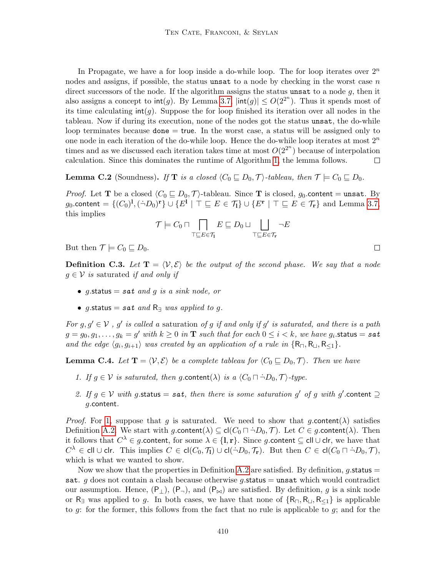In Propagate, we have a for loop inside a do-while loop. The for loop iterates over  $2^n$ nodes and assigns, if possible, the status unsat to a node by checking in the worst case  $n$ direct successors of the node. If the algorithm assigns the status unsat to a node  $g$ , then it also assigns a concept to  $\text{int}(g)$ . By Lemma [3.7,](#page-13-1)  $|\text{int}(g)| \leq O(2^{2^n})$ . Thus it spends most of its time calculating  $\text{int}(g)$ . Suppose the for loop finished its iteration over all nodes in the tableau. Now if during its execution, none of the nodes got the status unsat, the do-while loop terminates because  $\phi$  done  $=$  true. In the worst case, a status will be assigned only to one node in each iteration of the do-while loop. Hence the do-while loop iterates at most  $2^n$ times and as we discussed each iteration takes time at most  $O(2^{2^n})$  because of interpolation calculation. Since this dominates the runtime of Algorithm [1,](#page-14-0) the lemma follows.  $\Box$ 

**Lemma C.2** (Soundness). If **T** is a closed  $\langle C_0 \sqsubseteq D_0, \mathcal{T} \rangle$ -tableau, then  $\mathcal{T} \models C_0 \sqsubseteq D_0$ .

*Proof.* Let **T** be a closed  $\langle C_0 \sqsubseteq D_0, \mathcal{T} \rangle$ -tableau. Since **T** is closed,  $g_0$  content = unsat. By g<sub>0</sub>.content =  $\{(C_0)^1, (\dot{\neg}D_0)^r\} \cup \{E^1 \mid \top \sqsubseteq E \in \mathcal{T}_1\} \cup \{E^r \mid \top \sqsubseteq E \in \mathcal{T}_r\}$  and Lemma [3.7,](#page-13-1) this implies

$$
\mathcal{T}\models C_0\sqcap \bigcap_{\top\sqsubseteq E\in \mathcal{T}_\mathbf{I}} E\sqsubseteq D_0\sqcup \bigsqcup_{\top\sqsubseteq E\in \mathcal{T}_\mathbf{r}} \neg E
$$

But then  $\mathcal{T} \models C_0 \sqsubseteq D_0$ .

**Definition C.3.** Let  $T = \langle V, \mathcal{E} \rangle$  be the output of the second phase. We say that a node  $g \in V$  is saturated if and only if

- g.status = sat and g is a sink node, or
- g.status = sat and  $R$ <sup>3</sup> was applied to g.

For  $g, g' \in V$ , g' is called a saturation of g if and only if g' is saturated, and there is a path  $g=g_0,g_1,\ldots,g_k=g'$  with  $k\geq 0$  in  $\mathbf T$  such that for each  $0\leq i < k,$  we have  $g_i.$ status  $=$   $\texttt{sat}$ and the edge  $\langle g_i, g_{i+1} \rangle$  was created by an application of a rule in  $\{R_{\Box}, R_{\Box}, R_{\leq 1}\}.$ 

**Lemma C.4.** Let  $T = \langle V, \mathcal{E} \rangle$  be a complete tableau for  $\langle C_0 \sqsubseteq D_0, \mathcal{T} \rangle$ . Then we have

- <span id="page-63-0"></span>1. If  $g \in V$  is saturated, then g.content( $\lambda$ ) is a  $\langle C_0 \cap \neg D_0, \mathcal{T} \rangle$ -type.
- <span id="page-63-1"></span>2. If  $g \in V$  with g.status = sat, then there is some saturation g' of g with g'.content  $\supseteq$ g.content.

*Proof.* For [1,](#page-63-0) suppose that g is saturated. We need to show that g.content( $\lambda$ ) satisfies Definition [A.2.](#page-1-0) We start with  $g$  content( $\lambda$ )  $\subseteq$  cl( $C_0 \sqcap \neg D_0$ ,  $\mathcal{T}$ ). Let  $C \in g$  content( $\lambda$ ). Then it follows that  $C^{\lambda} \in g.$ content, for some  $\lambda \in \{1, r\}$ . Since g.content  $\subseteq$  cll∪clr, we have that  $C^{\lambda}$  ∈ cll∪clr. This implies  $C \in \mathsf{cl}(C_0, \mathcal{T}_1) \cup \mathsf{cl}(\dot{\neg}D_0, \mathcal{T}_r)$ . But then  $C \in \mathsf{cl}(C_0 \sqcap \dot{\neg}D_0, \mathcal{T})$ , which is what we wanted to show.

Now we show that the properties in Definition [A.2](#page-1-0) are satisfied. By definition, g.status  $=$ sat. g does not contain a clash because otherwise g.status  $=$  unsat which would contradict our assumption. Hence,  $(P_{\perp})$ ,  $(P_{\neg})$ , and  $(P_{\bowtie})$  are satisfied. By definition, g is a sink node or R<sub>∃</sub> was applied to g. In both cases, we have that none of  $\{R_{\Pi}, R_{\square}, R_{\leq 1}\}$  is applicable to g: for the former, this follows from the fact that no rule is applicable to g; and for the

 $\Box$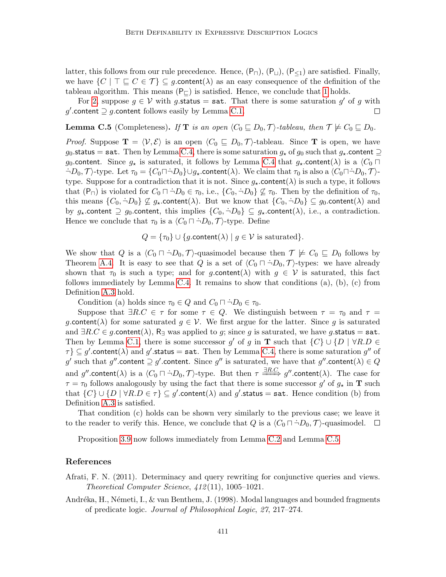latter, this follows from our rule precedence. Hence,  $(P_{\Box})$ ,  $(P_{\Box})$ ,  $(P_{\leq 1})$  are satisfied. Finally, we have  $\{C \mid \top \sqsubseteq C \in \mathcal{T}\}\subseteq g$  content( $\lambda$ ) as an easy consequence of the definition of the tableau algorithm. This means  $(P_{\square})$  is satisfied. Hence, we conclude that [1](#page-63-0) holds.

For [2,](#page-63-1) suppose  $g \in V$  with g.status = sat. That there is some saturation  $g'$  of g with g'.content  $\supseteq g$ .content follows easily by Lemma [C.1.](#page-9-1)  $\Box$ 

**Lemma C.5** (Completeness). If **T** is an open  $\langle C_0 \sqsubseteq D_0, \mathcal{T} \rangle$ -tableau, then  $\mathcal{T} \not\models C_0 \sqsubseteq D_0$ .

*Proof.* Suppose  $\mathbf{T} = \langle V, \mathcal{E} \rangle$  is an open  $\langle C_0 \sqsubseteq D_0, \mathcal{T} \rangle$ -tableau. Since T is open, we have g<sub>0</sub>.status = sat. Then by Lemma [C.4,](#page-11-0) there is some saturation  $g_{\star}$  of  $g_0$  such that  $g_{\star}$  content  $\supseteq$ g<sub>0</sub>.content. Since  $g_{\star}$  is saturated, it follows by Lemma [C.4](#page-11-0) that  $g_{\star}$  content( $\lambda$ ) is a  $\langle C_0 \cap$  $\neg D_0, \mathcal{T}$  type. Let  $\tau_0 = \{C_0 \Box \neg D_0\} \cup g_*$  content( $\lambda$ ). We claim that  $\tau_0$  is also a  $\langle C_0 \Box \Box D_0, \mathcal{T} \rangle$ type. Suppose for a contradiction that it is not. Since  $g_{\star}$  content( $\lambda$ ) is such a type, it follows that  $(P_{\square})$  is violated for  $C_0 \square \neg D_0 \in \tau_0$ , i.e.,  $\{C_0, \neg D_0\} \not\subseteq \tau_0$ . Then by the definition of  $\tau_0$ , this means  $\{C_0, \dot{\neg} D_0\} \not\subseteq g_*$  content( $\lambda$ ). But we know that  $\{C_0, \dot{\neg} D_0\} \subseteq g_0$  content( $\lambda$ ) and by  $g_*$  content  $\supseteq g_0$  content, this implies  $\{C_0, \dot{\neg} D_0\} \subseteq g_*$  content( $\lambda$ ), i.e., a contradiction. Hence we conclude that  $\tau_0$  is a  $\langle C_0 \cap \dot{\neg} D_0, \mathcal{T} \rangle$ -type. Define

$$
Q = \{\tau_0\} \cup \{g.\text{content}(\lambda) \mid g \in \mathcal{V} \text{ is saturated}\}.
$$

We show that Q is a  $\langle C_0 \cap \neg D_0, \mathcal{T} \rangle$ -quasimodel because then  $\mathcal{T} \not\models C_0 \sqsubseteq D_0$  follows by Theorem [A.4.](#page-49-1) It is easy to see that Q is a set of  $\langle C_0 \sqcap \neg D_0, \mathcal{T} \rangle$ -types: we have already shown that  $\tau_0$  is such a type; and for g.content( $\lambda$ ) with  $g \in V$  is saturated, this fact follows immediately by Lemma [C.4.](#page-11-0) It remains to show that conditions  $(a)$ ,  $(b)$ ,  $(c)$  from Definition [A.3](#page-48-0) hold.

Condition (a) holds since  $\tau_0 \in Q$  and  $C_0 \cap \neg D_0 \in \tau_0$ .

Suppose that  $\exists R.C \in \tau$  for some  $\tau \in Q$ . We distinguish between  $\tau = \tau_0$  and  $\tau =$ g.content( $\lambda$ ) for some saturated  $g \in V$ . We first argue for the latter. Since g is saturated and  $\exists R.C \in g$  content( $\lambda$ ),  $R_{\exists}$  was applied to g; since g is saturated, we have g status = sat. Then by Lemma [C.1,](#page-9-1) there is some successor g' of g in **T** such that  $\{C\} \cup \{D \mid \forall R.D \in \mathbb{R}\}$  $\{\tau}\}\subseteq g'.\text{content}(\lambda)$  and  $g'.\text{status} = \texttt{sat}$ . Then by Lemma [C.4,](#page-11-0) there is some saturation  $g''$  of g' such that  $g''$  content  $\supseteq g'$  content. Since  $g''$  is saturated, we have that  $g''$  content( $\lambda) \in Q$ and  $g''.$ content $(\lambda)$  is a  $\langle C_0 \sqcap \dot{\neg} D_0, \mathcal{T} \rangle$ -type. But then  $\tau \stackrel{\exists R.C.}{\Longrightarrow} g''.$ content $(\lambda)$ . The case for  $\tau = \tau_0$  follows analogously by using the fact that there is some successor  $g'$  of  $g_*$  in **T** such that  $\{C\} \cup \{D \mid \forall R.D \in \tau\} \subseteq g'.\text{content}(\lambda) \text{ and } g'.\text{status} = \texttt{sat}.$  Hence condition (b) from Definition [A.3](#page-48-0) is satisfied.

That condition (c) holds can be shown very similarly to the previous case; we leave it to the reader to verify this. Hence, we conclude that Q is a  $\langle C_0 \sqcap \neg D_0, \mathcal{T} \rangle$ -quasimodel.  $\Box$ 

Proposition [3.9](#page-15-2) now follows immediately from Lemma [C.2](#page-10-1) and Lemma [C.5.](#page-12-1)

## References

Afrati, F. N. (2011). Determinacy and query rewriting for conjunctive queries and views. Theoretical Computer Science, 412 (11), 1005–1021.

Andréka, H., Németi, I., & van Benthem, J. (1998). Modal languages and bounded fragments of predicate logic. Journal of Philosophical Logic, 27, 217–274.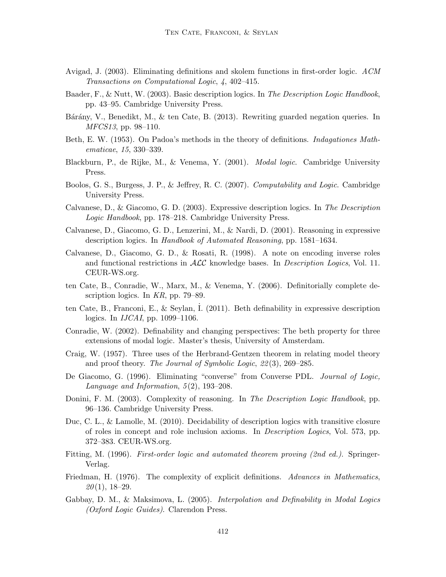- Avigad, J. (2003). Eliminating definitions and skolem functions in first-order logic. ACM Transactions on Computational Logic, 4, 402–415.
- Baader, F., & Nutt, W. (2003). Basic description logics. In The Description Logic Handbook, pp. 43–95. Cambridge University Press.
- Bárány, V., Benedikt, M., & ten Cate, B. (2013). Rewriting guarded negation queries. In MFCS13, pp. 98–110.
- Beth, E. W. (1953). On Padoa's methods in the theory of definitions. *Indiagationes Math*ematicae, 15, 330–339.
- Blackburn, P., de Rijke, M., & Venema, Y. (2001). Modal logic. Cambridge University Press.
- Boolos, G. S., Burgess, J. P., & Jeffrey, R. C. (2007). Computability and Logic. Cambridge University Press.
- Calvanese, D., & Giacomo, G. D. (2003). Expressive description logics. In The Description Logic Handbook, pp. 178–218. Cambridge University Press.
- Calvanese, D., Giacomo, G. D., Lenzerini, M., & Nardi, D. (2001). Reasoning in expressive description logics. In Handbook of Automated Reasoning, pp. 1581–1634.
- Calvanese, D., Giacomo, G. D., & Rosati, R. (1998). A note on encoding inverse roles and functional restrictions in  $\mathcal{ALC}$  knowledge bases. In *Description Logics*, Vol. 11. CEUR-WS.org.
- ten Cate, B., Conradie, W., Marx, M., & Venema, Y. (2006). Definitorially complete description logics. In KR, pp. 79–89.
- ten Cate, B., Franconi, E., & Seylan, I. (2011). Beth definability in expressive description logics. In *IJCAI*, pp. 1099–1106.
- Conradie, W. (2002). Definability and changing perspectives: The beth property for three extensions of modal logic. Master's thesis, University of Amsterdam.
- Craig, W. (1957). Three uses of the Herbrand-Gentzen theorem in relating model theory and proof theory. The Journal of Symbolic Logic, 22 (3), 269–285.
- De Giacomo, G. (1996). Eliminating "converse" from Converse PDL. Journal of Logic, Language and Information, 5(2), 193–208.
- Donini, F. M. (2003). Complexity of reasoning. In The Description Logic Handbook, pp. 96–136. Cambridge University Press.
- Duc, C. L., & Lamolle, M. (2010). Decidability of description logics with transitive closure of roles in concept and role inclusion axioms. In Description Logics, Vol. 573, pp. 372–383. CEUR-WS.org.
- Fitting, M. (1996). First-order logic and automated theorem proving (2nd ed.). Springer-Verlag.
- Friedman, H. (1976). The complexity of explicit definitions. Advances in Mathematics,  $20(1), 18-29.$
- Gabbay, D. M., & Maksimova, L. (2005). *Interpolation and Definability in Modal Logics* (Oxford Logic Guides). Clarendon Press.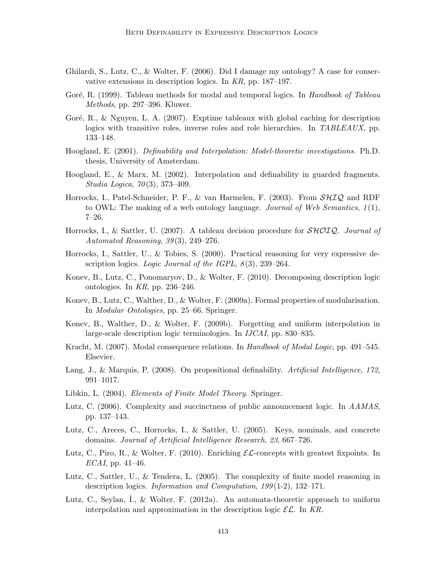- Ghilardi, S., Lutz, C., & Wolter, F. (2006). Did I damage my ontology? A case for conservative extensions in description logics. In KR, pp. 187–197.
- Goré, R. (1999). Tableau methods for modal and temporal logics. In Handbook of Tableau Methods, pp. 297–396. Kluwer.
- Goré, R., & Nguyen, L. A.  $(2007)$ . Exptime tableaux with global caching for description logics with transitive roles, inverse roles and role hierarchies. In TABLEAUX, pp. 133–148.
- Hoogland, E. (2001). Definability and Interpolation: Model-theoretic investigations. Ph.D. thesis, University of Amsterdam.
- Hoogland, E., & Marx, M. (2002). Interpolation and definability in guarded fragments. Studia Logica,  $70(3)$ , 373-409.
- Horrocks, I., Patel-Schneider, P. F., & van Harmelen, F. (2003). From  $\mathcal{SHIQ}$  and RDF to OWL: The making of a web ontology language. Journal of Web Semantics,  $1(1)$ , 7–26.
- Horrocks, I., & Sattler, U. (2007). A tableau decision procedure for  $\mathcal{SHOLQ}$ . Journal of Automated Reasoning,  $39(3)$ ,  $249-276$ .
- Horrocks, I., Sattler, U., & Tobies, S. (2000). Practical reasoning for very expressive description logics. Logic Journal of the IGPL,  $8(3)$ , 239–264.
- Konev, B., Lutz, C., Ponomaryov, D., & Wolter, F. (2010). Decomposing description logic ontologies. In KR, pp. 236–246.
- Konev, B., Lutz, C., Walther, D., & Wolter, F. (2009a). Formal properties of modularisation. In Modular Ontologies, pp. 25–66. Springer.
- Konev, B., Walther, D., & Wolter, F. (2009b). Forgetting and uniform interpolation in large-scale description logic terminologies. In IJCAI, pp. 830–835.
- Kracht, M. (2007). Modal consequence relations. In Handbook of Modal Logic, pp. 491–545. Elsevier.
- Lang, J., & Marquis, P. (2008). On propositional definability. Artificial Intelligence, 172, 991–1017.
- Libkin, L. (2004). *Elements of Finite Model Theory*. Springer.
- Lutz, C. (2006). Complexity and succinctness of public announcement logic. In AAMAS, pp. 137–143.
- Lutz, C., Areces, C., Horrocks, I., & Sattler, U. (2005). Keys, nominals, and concrete domains. Journal of Artificial Intelligence Research, 23, 667–726.
- Lutz, C., Piro, R., & Wolter, F. (2010). Enriching  $\mathcal{EL}$ -concepts with greatest fixpoints. In  $ECAI$ , pp. 41–46.
- Lutz, C., Sattler, U., & Tendera, L. (2005). The complexity of finite model reasoning in description logics. Information and Computation,  $199(1-2)$ ,  $132-171$ .
- Lutz, C., Seylan, I., & Wolter, F. (2012a). An automata-theoretic approach to uniform interpolation and approximation in the description logic  $\mathcal{EL}$ . In KR.